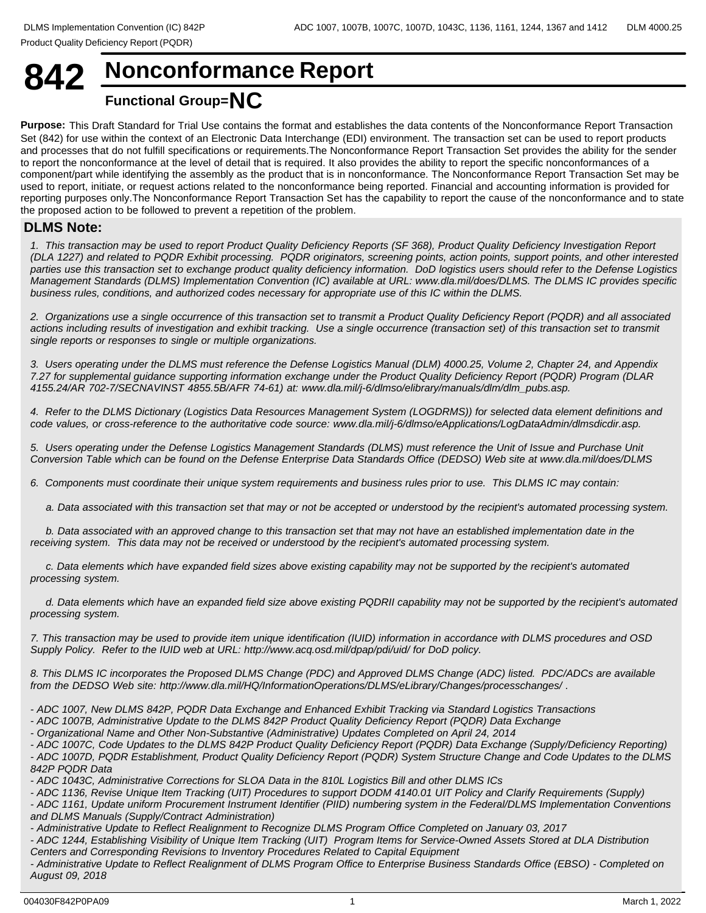# **842 Nonconformance Report**

# **Functional Group=NC**

**Purpose:** This Draft Standard for Trial Use contains the format and establishes the data contents of the Nonconformance Report Transaction Set (842) for use within the context of an Electronic Data Interchange (EDI) environment. The transaction set can be used to report products and processes that do not fulfill specifications or requirements.The Nonconformance Report Transaction Set provides the ability for the sender to report the nonconformance at the level of detail that is required. It also provides the ability to report the specific nonconformances of a component/part while identifying the assembly as the product that is in nonconformance. The Nonconformance Report Transaction Set may be used to report, initiate, or request actions related to the nonconformance being reported. Financial and accounting information is provided for reporting purposes only.The Nonconformance Report Transaction Set has the capability to report the cause of the nonconformance and to state the proposed action to be followed to prevent a repetition of the problem.

# **DLMS Note:**

*1. This transaction may be used to report Product Quality Deficiency Reports (SF 368), Product Quality Deficiency Investigation Report (DLA 1227) and related to PQDR Exhibit processing. PQDR originators, screening points, action points, support points, and other interested parties use this transaction set to exchange product quality deficiency information. DoD logistics users should refer to the Defense Logistics Management Standards (DLMS) Implementation Convention (IC) available at URL: www.dla.mil/does/DLMS. The DLMS IC provides specific business rules, conditions, and authorized codes necessary for appropriate use of this IC within the DLMS.*

*2. Organizations use a single occurrence of this transaction set to transmit a Product Quality Deficiency Report (PQDR) and all associated actions including results of investigation and exhibit tracking. Use a single occurrence (transaction set) of this transaction set to transmit single reports or responses to single or multiple organizations.*

*3. Users operating under the DLMS must reference the Defense Logistics Manual (DLM) 4000.25, Volume 2, Chapter 24, and Appendix 7.27 for supplemental guidance supporting information exchange under the Product Quality Deficiency Report (PQDR) Program (DLAR 4155.24/AR 702-7/SECNAVINST 4855.5B/AFR 74-61) at: www.dla.mil/j-6/dlmso/elibrary/manuals/dlm/dlm\_pubs.asp.*

*4. Refer to the DLMS Dictionary (Logistics Data Resources Management System (LOGDRMS)) for selected data element definitions and code values, or cross-reference to the authoritative code source: www.dla.mil/j-6/dlmso/eApplications/LogDataAdmin/dlmsdicdir.asp.* 

*5. Users operating under the Defense Logistics Management Standards (DLMS) must reference the Unit of Issue and Purchase Unit Conversion Table which can be found on the Defense Enterprise Data Standards Office (DEDSO) Web site at www.dla.mil/does/DLMS*

*6. Components must coordinate their unique system requirements and business rules prior to use. This DLMS IC may contain:*

 *a. Data associated with this transaction set that may or not be accepted or understood by the recipient's automated processing system.*

 *b. Data associated with an approved change to this transaction set that may not have an established implementation date in the receiving system. This data may not be received or understood by the recipient's automated processing system.*

 *c. Data elements which have expanded field sizes above existing capability may not be supported by the recipient's automated processing system.*

 *d. Data elements which have an expanded field size above existing PQDRII capability may not be supported by the recipient's automated processing system.*

*7. This transaction may be used to provide item unique identification (IUID) information in accordance with DLMS procedures and OSD Supply Policy. Refer to the IUID web at URL: http://www.acq.osd.mil/dpap/pdi/uid/ for DoD policy.*

*8. This DLMS IC incorporates the Proposed DLMS Change (PDC) and Approved DLMS Change (ADC) listed. PDC/ADCs are available from the DEDSO Web site: http://www.dla.mil/HQ/InformationOperations/DLMS/eLibrary/Changes/processchanges/ .*

*- ADC 1007, New DLMS 842P, PQDR Data Exchange and Enhanced Exhibit Tracking via Standard Logistics Transactions*

*- ADC 1007B, Administrative Update to the DLMS 842P Product Quality Deficiency Report (PQDR) Data Exchange*

*- Organizational Name and Other Non-Substantive (Administrative) Updates Completed on April 24, 2014*

*- ADC 1007C, Code Updates to the DLMS 842P Product Quality Deficiency Report (PQDR) Data Exchange (Supply/Deficiency Reporting) - ADC 1007D, PQDR Establishment, Product Quality Deficiency Report (PQDR) System Structure Change and Code Updates to the DLMS 842P PQDR Data*

*- ADC 1043C, Administrative Corrections for SLOA Data in the 810L Logistics Bill and other DLMS ICs*

*- ADC 1136, Revise Unique Item Tracking (UIT) Procedures to support DODM 4140.01 UIT Policy and Clarify Requirements (Supply)*

*- ADC 1161, Update uniform Procurement Instrument Identifier (PIID) numbering system in the Federal/DLMS Implementation Conventions and DLMS Manuals (Supply/Contract Administration)*

*- Administrative Update to Reflect Realignment to Recognize DLMS Program Office Completed on January 03, 2017*

*- ADC 1244, Establishing Visibility of Unique Item Tracking (UIT) Program Items for Service-Owned Assets Stored at DLA Distribution Centers and Corresponding Revisions to Inventory Procedures Related to Capital Equipment*

*- Administrative Update to Reflect Realignment of DLMS Program Office to Enterprise Business Standards Office (EBSO) - Completed on August 09, 2018*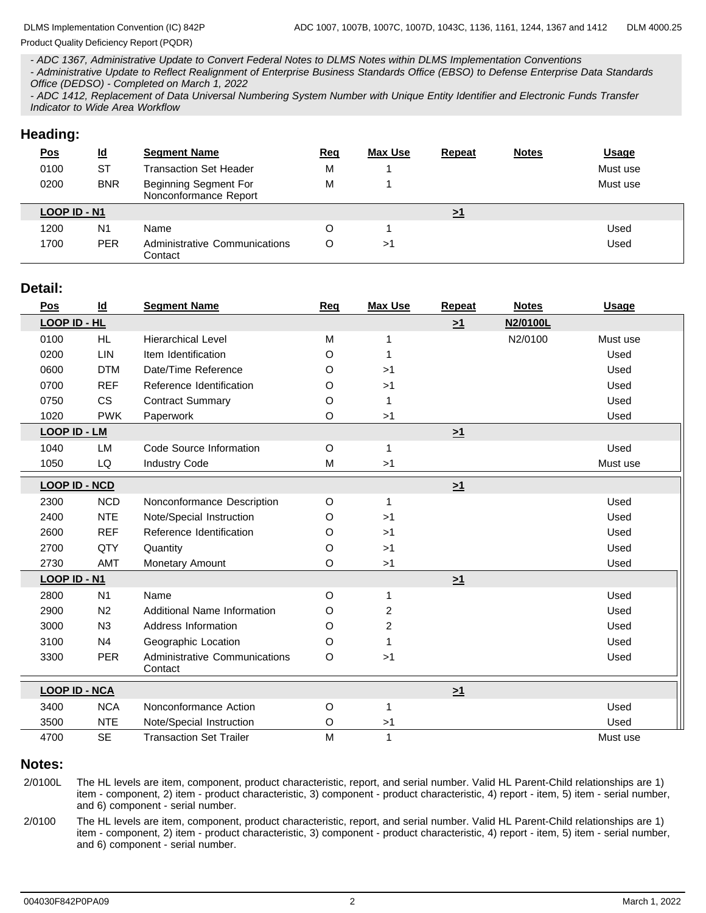*- ADC 1367, Administrative Update to Convert Federal Notes to DLMS Notes within DLMS Implementation Conventions - Administrative Update to Reflect Realignment of Enterprise Business Standards Office (EBSO) to Defense Enterprise Data Standards Office (DEDSO) - Completed on March 1, 2022*

*- ADC 1412, Replacement of Data Universal Numbering System Number with Unique Entity Identifier and Electronic Funds Transfer Indicator to Wide Area Workflow*

## **Heading:**

| <u>Pos</u> | $\underline{\mathsf{Id}}$ | <b>Segment Name</b>                                   | <u>Req</u> | Max Use | <b>Repeat</b> | <b>Notes</b> | <b>Usage</b> |
|------------|---------------------------|-------------------------------------------------------|------------|---------|---------------|--------------|--------------|
| 0100       | <b>ST</b>                 | <b>Transaction Set Header</b>                         | M          |         |               |              | Must use     |
| 0200       | <b>BNR</b>                | <b>Beginning Segment For</b><br>Nonconformance Report | M          |         |               |              | Must use     |
|            | LOOP ID - N1              |                                                       |            |         | $\geq$ 1      |              |              |
| 1200       | N <sub>1</sub>            | Name                                                  | O          |         |               |              | Used         |
| 1700       | <b>PER</b>                | Administrative Communications<br>Contact              | С          | >′      |               |              | Used         |

# **Detail:**

| <b>Pos</b>           | $\overline{\mathsf{Id}}$ | <b>Segment Name</b>                             | Req | <b>Max Use</b> | Repeat   | <b>Notes</b> | <b>Usage</b> |
|----------------------|--------------------------|-------------------------------------------------|-----|----------------|----------|--------------|--------------|
| LOOP ID - HL         |                          |                                                 |     |                | $\geq 1$ | N2/0100L     |              |
| 0100                 | HL                       | <b>Hierarchical Level</b>                       | М   |                |          | N2/0100      | Must use     |
| 0200                 | <b>LIN</b>               | Item Identification                             | O   |                |          |              | Used         |
| 0600                 | <b>DTM</b>               | Date/Time Reference                             | O   | >1             |          |              | Used         |
| 0700                 | <b>REF</b>               | Reference Identification                        | O   | >1             |          |              | Used         |
| 0750                 | <b>CS</b>                | <b>Contract Summary</b>                         | O   |                |          |              | Used         |
| 1020                 | <b>PWK</b>               | Paperwork                                       | O   | >1             |          |              | Used         |
| <b>LOOP ID - LM</b>  |                          |                                                 |     |                | $\geq 1$ |              |              |
| 1040                 | LM                       | Code Source Information                         | O   |                |          |              | Used         |
| 1050                 | LQ                       | <b>Industry Code</b>                            | M   | >1             |          |              | Must use     |
| <b>LOOP ID - NCD</b> |                          |                                                 |     |                | $\geq 1$ |              |              |
| 2300                 | <b>NCD</b>               | Nonconformance Description                      | O   | -1             |          |              | Used         |
| 2400                 | <b>NTE</b>               | Note/Special Instruction                        | O   | >1             |          |              | Used         |
| 2600                 | <b>REF</b>               | Reference Identification                        | O   | >1             |          |              | Used         |
| 2700                 | QTY                      | Quantity                                        | O   | >1             |          |              | Used         |
| 2730                 | <b>AMT</b>               | Monetary Amount                                 | O   | >1             |          |              | Used         |
| LOOP ID - N1         |                          |                                                 |     |                | $\geq 1$ |              |              |
| 2800                 | N <sub>1</sub>           | Name                                            | O   | 1              |          |              | Used         |
| 2900                 | N <sub>2</sub>           | Additional Name Information                     | O   | $\overline{2}$ |          |              | Used         |
| 3000                 | N3                       | Address Information                             | O   | 2              |          |              | Used         |
| 3100                 | N <sub>4</sub>           | Geographic Location                             | O   |                |          |              | Used         |
| 3300                 | PER                      | <b>Administrative Communications</b><br>Contact | O   | >1             |          |              | Used         |
| <b>LOOP ID - NCA</b> |                          |                                                 |     |                | $\geq 1$ |              |              |
| 3400                 | <b>NCA</b>               | Nonconformance Action                           | O   | 1              |          |              | Used         |
| 3500                 | <b>NTE</b>               | Note/Special Instruction                        | O   | >1             |          |              | Used         |
| 4700                 | <b>SE</b>                | <b>Transaction Set Trailer</b>                  | M   | $\mathbf{1}$   |          |              | Must use     |

# **Notes:**

2/0100L The HL levels are item, component, product characteristic, report, and serial number. Valid HL Parent-Child relationships are 1) item - component, 2) item - product characteristic, 3) component - product characteristic, 4) report - item, 5) item - serial number, and 6) component - serial number.

2/0100 The HL levels are item, component, product characteristic, report, and serial number. Valid HL Parent-Child relationships are 1) item - component, 2) item - product characteristic, 3) component - product characteristic, 4) report - item, 5) item - serial number, and 6) component - serial number.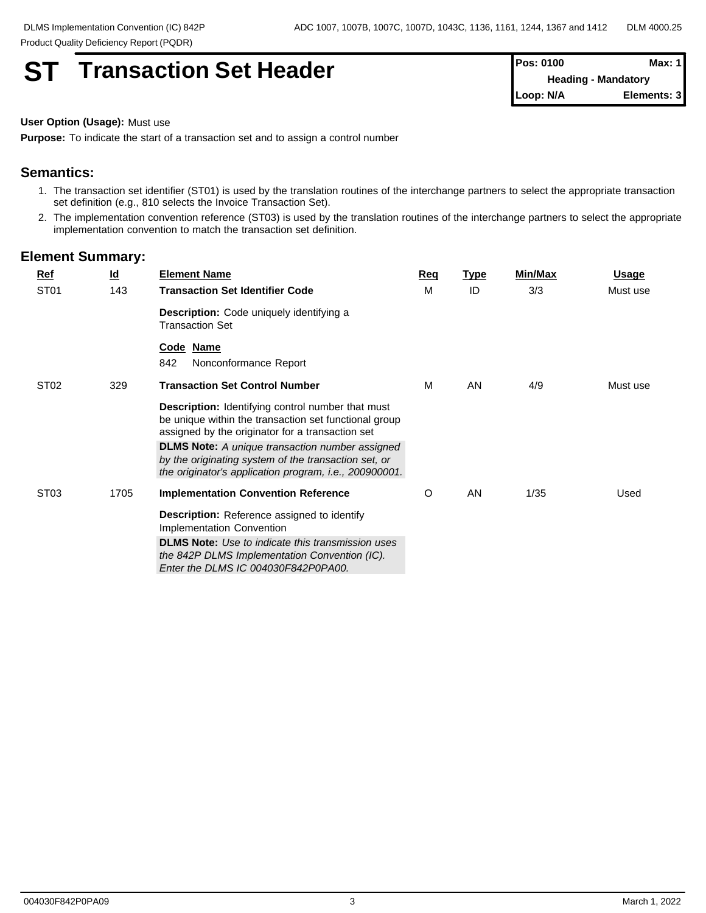# **ST** Transaction Set Header

| <b>Pos: 0100</b> | Max: 1                     |
|------------------|----------------------------|
|                  | <b>Heading - Mandatory</b> |
| Loop: N/A        | Elements: 3                |

## **User Option (Usage):** Must use

**Purpose:** To indicate the start of a transaction set and to assign a control number

# **Semantics:**

- 1. The transaction set identifier (ST01) is used by the translation routines of the interchange partners to select the appropriate transaction set definition (e.g., 810 selects the Invoice Transaction Set).
- 2. The implementation convention reference (ST03) is used by the translation routines of the interchange partners to select the appropriate implementation convention to match the transaction set definition.

| $Ref$            | $\underline{\mathsf{Id}}$ | <b>Element Name</b>                                                                                                                                                      | Req | <b>Type</b> | Min/Max | <u>Usage</u> |
|------------------|---------------------------|--------------------------------------------------------------------------------------------------------------------------------------------------------------------------|-----|-------------|---------|--------------|
| ST <sub>01</sub> | 143                       | <b>Transaction Set Identifier Code</b>                                                                                                                                   | M   | ID          | 3/3     | Must use     |
|                  |                           | <b>Description:</b> Code uniquely identifying a<br><b>Transaction Set</b>                                                                                                |     |             |         |              |
|                  |                           | Code Name<br>Nonconformance Report<br>842                                                                                                                                |     |             |         |              |
| ST <sub>02</sub> | 329                       | <b>Transaction Set Control Number</b>                                                                                                                                    | M   | AN          | 4/9     | Must use     |
|                  |                           | Description: Identifying control number that must<br>be unique within the transaction set functional group<br>assigned by the originator for a transaction set           |     |             |         |              |
|                  |                           | <b>DLMS Note:</b> A unique transaction number assigned<br>by the originating system of the transaction set, or<br>the originator's application program, i.e., 200900001. |     |             |         |              |
| ST <sub>03</sub> | 1705                      | <b>Implementation Convention Reference</b>                                                                                                                               | O   | <b>AN</b>   | 1/35    | Used         |
|                  |                           | <b>Description:</b> Reference assigned to identify<br>Implementation Convention                                                                                          |     |             |         |              |
|                  |                           | <b>DLMS Note:</b> Use to indicate this transmission uses<br>the 842P DLMS Implementation Convention (IC).<br>Enter the DLMS IC 004030F842P0PA00.                         |     |             |         |              |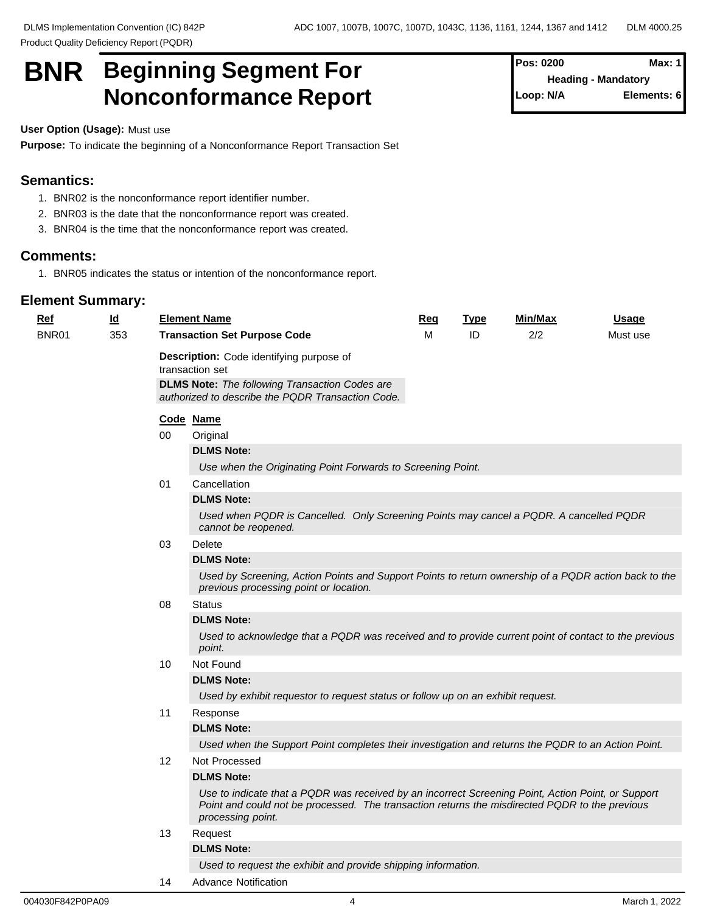# **BNR Beginning Segment For Nonconformance Report**

| Pos: 0200 |                            | Max: 1      |
|-----------|----------------------------|-------------|
|           | <b>Heading - Mandatory</b> |             |
| Loop: N/A |                            | Elements: 6 |

**User Option (Usage):** Must use

**Purpose:** To indicate the beginning of a Nonconformance Report Transaction Set

# **Semantics:**

- 1. BNR02 is the nonconformance report identifier number.
- 2. BNR03 is the date that the nonconformance report was created.
- 3. BNR04 is the time that the nonconformance report was created.

# **Comments:**

1. BNR05 indicates the status or intention of the nonconformance report.

| <b>Ref</b> | $\underline{\mathsf{Id}}$ |    | <b>Element Name</b>                                                                                                                                                                                                       | Req | <b>Type</b> | Min/Max | Usage    |  |  |  |  |  |  |
|------------|---------------------------|----|---------------------------------------------------------------------------------------------------------------------------------------------------------------------------------------------------------------------------|-----|-------------|---------|----------|--|--|--|--|--|--|
| BNR01      | 353                       |    | <b>Transaction Set Purpose Code</b>                                                                                                                                                                                       | M   | ID          | 2/2     | Must use |  |  |  |  |  |  |
|            |                           |    | Description: Code identifying purpose of<br>transaction set                                                                                                                                                               |     |             |         |          |  |  |  |  |  |  |
|            |                           |    | <b>DLMS Note:</b> The following Transaction Codes are<br>authorized to describe the PQDR Transaction Code.                                                                                                                |     |             |         |          |  |  |  |  |  |  |
|            |                           |    | Code Name                                                                                                                                                                                                                 |     |             |         |          |  |  |  |  |  |  |
|            |                           | 00 | Original                                                                                                                                                                                                                  |     |             |         |          |  |  |  |  |  |  |
|            |                           |    | <b>DLMS Note:</b>                                                                                                                                                                                                         |     |             |         |          |  |  |  |  |  |  |
|            |                           |    | Use when the Originating Point Forwards to Screening Point.                                                                                                                                                               |     |             |         |          |  |  |  |  |  |  |
|            |                           | 01 | Cancellation                                                                                                                                                                                                              |     |             |         |          |  |  |  |  |  |  |
|            |                           |    | <b>DLMS Note:</b>                                                                                                                                                                                                         |     |             |         |          |  |  |  |  |  |  |
|            |                           |    | Used when PQDR is Cancelled. Only Screening Points may cancel a PQDR. A cancelled PQDR<br>cannot be reopened.                                                                                                             |     |             |         |          |  |  |  |  |  |  |
|            |                           | 03 | Delete                                                                                                                                                                                                                    |     |             |         |          |  |  |  |  |  |  |
|            |                           |    | <b>DLMS Note:</b>                                                                                                                                                                                                         |     |             |         |          |  |  |  |  |  |  |
|            |                           |    | Used by Screening, Action Points and Support Points to return ownership of a PQDR action back to the<br>previous processing point or location.                                                                            |     |             |         |          |  |  |  |  |  |  |
|            |                           | 08 | <b>Status</b>                                                                                                                                                                                                             |     |             |         |          |  |  |  |  |  |  |
|            |                           |    | <b>DLMS Note:</b>                                                                                                                                                                                                         |     |             |         |          |  |  |  |  |  |  |
|            |                           |    | Used to acknowledge that a PQDR was received and to provide current point of contact to the previous<br>point.                                                                                                            |     |             |         |          |  |  |  |  |  |  |
|            |                           | 10 | Not Found                                                                                                                                                                                                                 |     |             |         |          |  |  |  |  |  |  |
|            |                           |    | <b>DLMS Note:</b>                                                                                                                                                                                                         |     |             |         |          |  |  |  |  |  |  |
|            |                           |    | Used by exhibit requestor to request status or follow up on an exhibit request.                                                                                                                                           |     |             |         |          |  |  |  |  |  |  |
|            |                           | 11 | Response                                                                                                                                                                                                                  |     |             |         |          |  |  |  |  |  |  |
|            |                           |    | <b>DLMS Note:</b>                                                                                                                                                                                                         |     |             |         |          |  |  |  |  |  |  |
|            |                           |    | Used when the Support Point completes their investigation and returns the PQDR to an Action Point.                                                                                                                        |     |             |         |          |  |  |  |  |  |  |
|            |                           | 12 | Not Processed                                                                                                                                                                                                             |     |             |         |          |  |  |  |  |  |  |
|            |                           |    | <b>DLMS Note:</b>                                                                                                                                                                                                         |     |             |         |          |  |  |  |  |  |  |
|            |                           |    | Use to indicate that a PQDR was received by an incorrect Screening Point, Action Point, or Support<br>Point and could not be processed. The transaction returns the misdirected PQDR to the previous<br>processing point. |     |             |         |          |  |  |  |  |  |  |
|            |                           | 13 | Request                                                                                                                                                                                                                   |     |             |         |          |  |  |  |  |  |  |
|            |                           |    | <b>DLMS Note:</b>                                                                                                                                                                                                         |     |             |         |          |  |  |  |  |  |  |
|            |                           |    | Used to request the exhibit and provide shipping information.                                                                                                                                                             |     |             |         |          |  |  |  |  |  |  |
|            |                           | 14 | <b>Advance Notification</b>                                                                                                                                                                                               |     |             |         |          |  |  |  |  |  |  |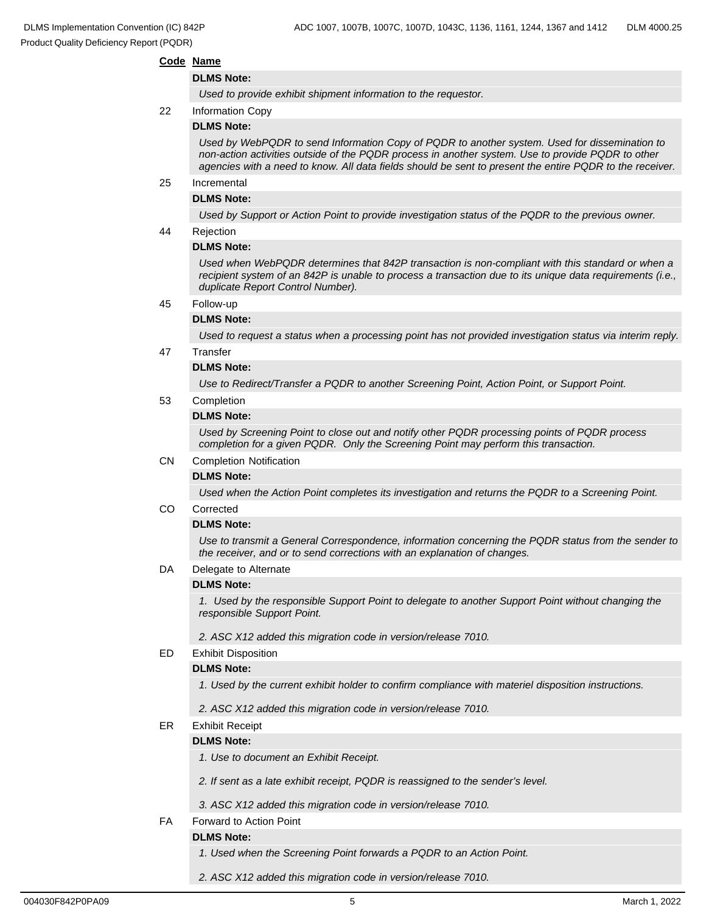### **DLMS Note:**

*Used to provide exhibit shipment information to the requestor.*

# 22 Information Copy

## **DLMS Note:**

*Used by WebPQDR to send Information Copy of PQDR to another system. Used for dissemination to non-action activities outside of the PQDR process in another system. Use to provide PQDR to other agencies with a need to know. All data fields should be sent to present the entire PQDR to the receiver.*

### 25 Incremental

## **DLMS Note:**

*Used by Support or Action Point to provide investigation status of the PQDR to the previous owner.*

#### 44 Rejection

#### **DLMS Note:**

*Used when WebPQDR determines that 842P transaction is non-compliant with this standard or when a recipient system of an 842P is unable to process a transaction due to its unique data requirements (i.e., duplicate Report Control Number).* 

## 45 Follow-up

## **DLMS Note:**

*Used to request a status when a processing point has not provided investigation status via interim reply.*

#### 47 Transfer

## **DLMS Note:**

*Use to Redirect/Transfer a PQDR to another Screening Point, Action Point, or Support Point.*

#### 53 Completion

## **DLMS Note:**

*Used by Screening Point to close out and notify other PQDR processing points of PQDR process completion for a given PQDR. Only the Screening Point may perform this transaction.*

#### CN Completion Notification

## **DLMS Note:**

Used when the Action Point completes its investigation and returns the PQDR to a Screening Point.

#### CO Corrected

## **DLMS Note:**

*Use to transmit a General Correspondence, information concerning the PQDR status from the sender to the receiver, and or to send corrections with an explanation of changes.*

### DA Delegate to Alternate

## **DLMS Note:**

*1. Used by the responsible Support Point to delegate to another Support Point without changing the responsible Support Point.*

*2. ASC X12 added this migration code in version/release 7010.*

#### ED Exhibit Disposition

#### **DLMS Note:**

*1. Used by the current exhibit holder to confirm compliance with materiel disposition instructions.*

*2. ASC X12 added this migration code in version/release 7010.*

#### ER Exhibit Receipt

## **DLMS Note:**

*1. Use to document an Exhibit Receipt.*

*2. If sent as a late exhibit receipt, PQDR is reassigned to the sender's level.* 

#### *3. ASC X12 added this migration code in version/release 7010.*

FA Forward to Action Point

## **DLMS Note:**

*1. Used when the Screening Point forwards a PQDR to an Action Point.*

*2. ASC X12 added this migration code in version/release 7010.*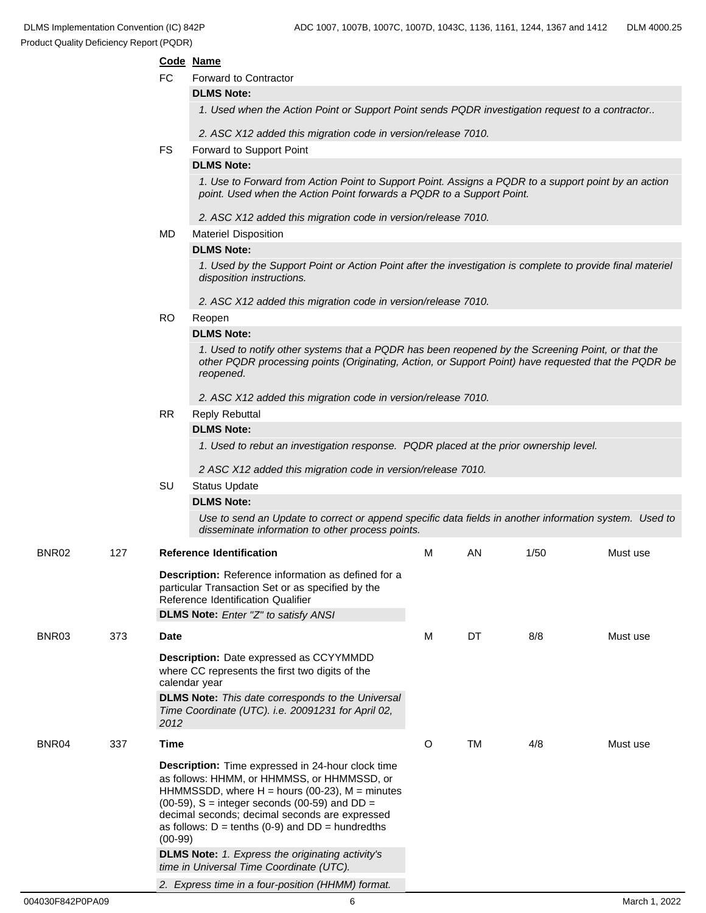| Code Name |  |  |
|-----------|--|--|
|           |  |  |

| FC | Forward to Contractor |  |
|----|-----------------------|--|
|    |                       |  |

## **DLMS Note:**

*1. Used when the Action Point or Support Point sends PQDR investigation request to a contractor..*

*2. ASC X12 added this migration code in version/release 7010.* 

FS Forward to Support Point

## **DLMS Note:**

*1. Use to Forward from Action Point to Support Point. Assigns a PQDR to a support point by an action point. Used when the Action Point forwards a PQDR to a Support Point.*

| 2. ASC X12 added this migration code in version/release 7010. |  |
|---------------------------------------------------------------|--|
|---------------------------------------------------------------|--|

MD Materiel Disposition

### **DLMS Note:**

*1. Used by the Support Point or Action Point after the investigation is complete to provide final materiel disposition instructions.* 

*2. ASC X12 added this migration code in version/release 7010.* 

RO Reopen

#### **DLMS Note:**

*1. Used to notify other systems that a PQDR has been reopened by the Screening Point, or that the other PQDR processing points (Originating, Action, or Support Point) have requested that the PQDR be reopened.*

*2. ASC X12 added this migration code in version/release 7010.* 

#### RR Reply Rebuttal

### **DLMS Note:**

*1. Used to rebut an investigation response. PQDR placed at the prior ownership level.* 

*2 ASC X12 added this migration code in version/release 7010.* 

SU Status Update **DLMS Note:**

> *Use to send an Update to correct or append specific data fields in another information system. Used to disseminate information to other process points.*

| BNR02 | 127 | <b>Reference Identification</b>                                                                                                                                                                                                                                                                                                                                                                                                                                 | M | AN        | 1/50 | Must use |
|-------|-----|-----------------------------------------------------------------------------------------------------------------------------------------------------------------------------------------------------------------------------------------------------------------------------------------------------------------------------------------------------------------------------------------------------------------------------------------------------------------|---|-----------|------|----------|
|       |     | Description: Reference information as defined for a<br>particular Transaction Set or as specified by the<br>Reference Identification Qualifier                                                                                                                                                                                                                                                                                                                  |   |           |      |          |
|       |     | <b>DLMS Note:</b> Enter "Z" to satisfy ANSI                                                                                                                                                                                                                                                                                                                                                                                                                     |   |           |      |          |
| BNR03 | 373 | <b>Date</b>                                                                                                                                                                                                                                                                                                                                                                                                                                                     | M | DT        | 8/8  | Must use |
|       |     | <b>Description:</b> Date expressed as CCYYMMDD<br>where CC represents the first two digits of the<br>calendar year<br><b>DLMS Note:</b> This date corresponds to the Universal<br>Time Coordinate (UTC). i.e. 20091231 for April 02,<br>2012                                                                                                                                                                                                                    |   |           |      |          |
| BNR04 | 337 | Time                                                                                                                                                                                                                                                                                                                                                                                                                                                            | O | <b>TM</b> | 4/8  | Must use |
|       |     | <b>Description:</b> Time expressed in 24-hour clock time<br>as follows: HHMM, or HHMMSS, or HHMMSSD, or<br>HHMMSSDD, where $H =$ hours (00-23), $M =$ minutes<br>$(00-59)$ , S = integer seconds $(00-59)$ and DD =<br>decimal seconds; decimal seconds are expressed<br>as follows: $D = \text{tenths} (0-9)$ and $DD = \text{hundredths}$<br>$(00-99)$<br><b>DLMS Note:</b> 1. Express the originating activity's<br>time in Universal Time Coordinate (UTC). |   |           |      |          |
|       |     | 2. Express time in a four-position (HHMM) format.                                                                                                                                                                                                                                                                                                                                                                                                               |   |           |      |          |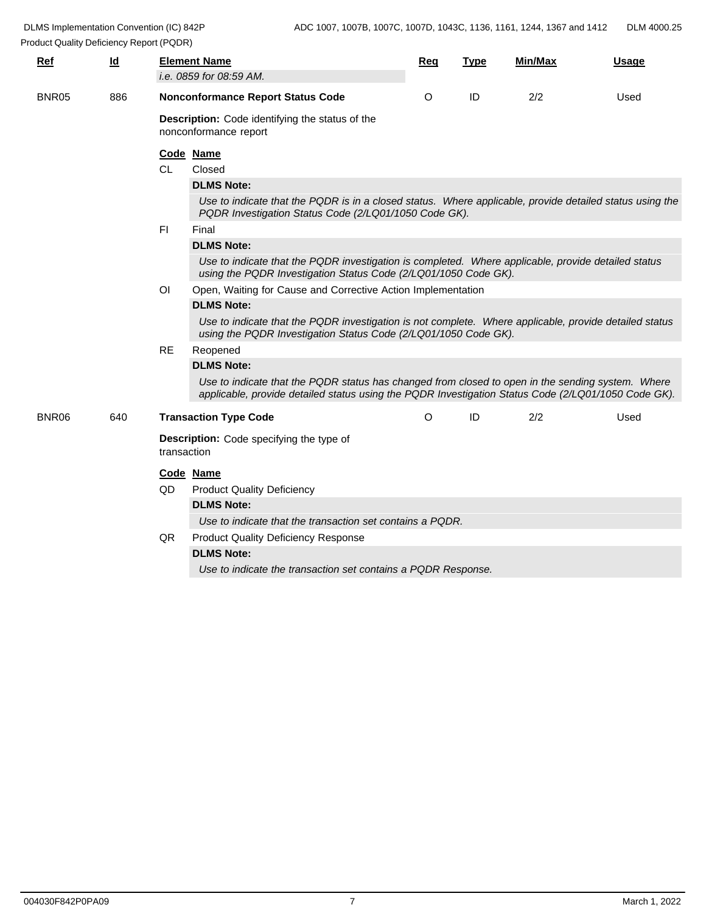| $\underline{\mathsf{Id}}$<br>Min/Max<br>$Ref$<br><b>Element Name</b><br><b>Usage</b><br>Req<br><u>Type</u><br>i.e. 0859 for 08:59 AM.<br>BNR05<br>2/2<br>886<br>ID<br>Used<br><b>Nonconformance Report Status Code</b><br>O<br><b>Description:</b> Code identifying the status of the<br>nonconformance report<br>Code Name<br>Closed<br>СL | Product Quality Deficiency Report (PQDR) |                   |  |  |
|---------------------------------------------------------------------------------------------------------------------------------------------------------------------------------------------------------------------------------------------------------------------------------------------------------------------------------------------|------------------------------------------|-------------------|--|--|
|                                                                                                                                                                                                                                                                                                                                             |                                          |                   |  |  |
|                                                                                                                                                                                                                                                                                                                                             |                                          |                   |  |  |
|                                                                                                                                                                                                                                                                                                                                             |                                          |                   |  |  |
|                                                                                                                                                                                                                                                                                                                                             |                                          |                   |  |  |
|                                                                                                                                                                                                                                                                                                                                             |                                          | <b>DLMS Note:</b> |  |  |

*Use to indicate that the PQDR is in a closed status. Where applicable, provide detailed status using the PQDR Investigation Status Code (2/LQ01/1050 Code GK).*

# **DLMS Note:**

FI Final

*Use to indicate that the PQDR investigation is completed. Where applicable, provide detailed status using the PQDR Investigation Status Code (2/LQ01/1050 Code GK).*

OI Open, Waiting for Cause and Corrective Action Implementation

## **DLMS Note:**

*Use to indicate that the PQDR investigation is not complete. Where applicable, provide detailed status using the PQDR Investigation Status Code (2/LQ01/1050 Code GK).*

## RE Reopened

## **DLMS Note:**

*Use to indicate that the PQDR status has changed from closed to open in the sending system. Where applicable, provide detailed status using the PQDR Investigation Status Code (2/LQ01/1050 Code GK).*

BNR06 640 **Transaction Type Code**

## **Description:** Code specifying the type of transaction

## **Code Name**

QD Product Quality Deficiency **DLMS Note:** *Use to indicate that the transaction set contains a PQDR.* QR Product Quality Deficiency Response

### **DLMS Note:**

*Use to indicate the transaction set contains a PQDR Response.*

O ID 2/2 Used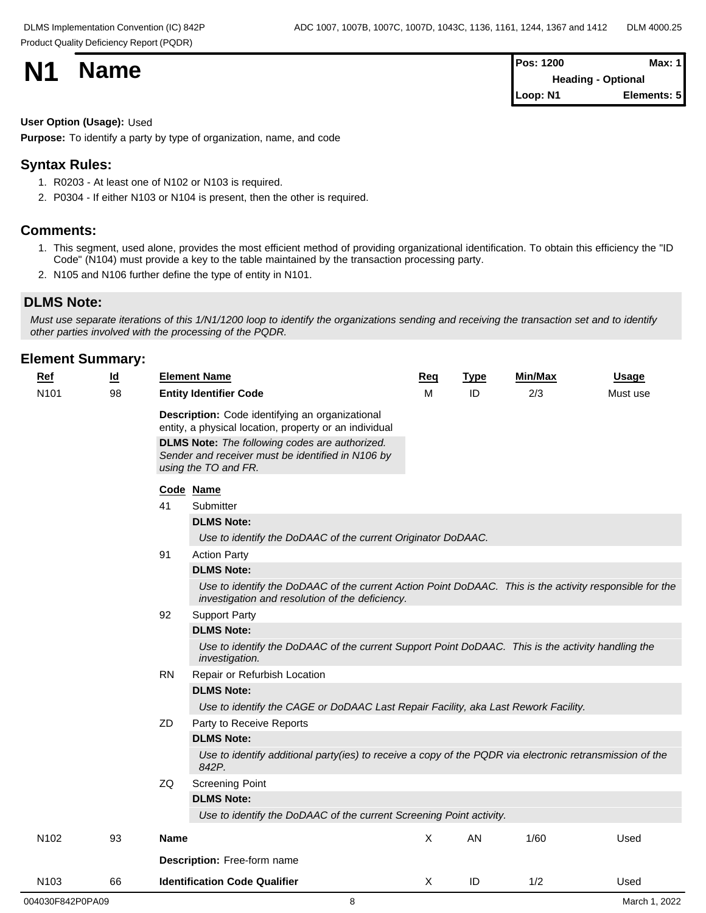**N1 Name Magnetic Max:** 1 **Pos:** 1200 **Max:** 1 **Heading - Optional Loop: N1 Elements: 5**

## **User Option (Usage):** Used

**Purpose:** To identify a party by type of organization, name, and code

## **Syntax Rules:**

- 1. R0203 At least one of N102 or N103 is required.
- 2. P0304 If either N103 or N104 is present, then the other is required.

# **Comments:**

- 1. This segment, used alone, provides the most efficient method of providing organizational identification. To obtain this efficiency the "ID Code" (N104) must provide a key to the table maintained by the transaction processing party.
- 2. N105 and N106 further define the type of entity in N101.

# **DLMS Note:**

*Must use separate iterations of this 1/N1/1200 loop to identify the organizations sending and receiving the transaction set and to identify other parties involved with the processing of the PQDR.*

| $Ref$<br>N <sub>101</sub> | <u>ld</u><br>98 |           | <b>Element Name</b><br><b>Entity Identifier Code</b>                                                                                                                                                                                            | Req<br>M | <b>Type</b><br>ID | <b>Min/Max</b><br>2/3 | <b>Usage</b><br>Must use |
|---------------------------|-----------------|-----------|-------------------------------------------------------------------------------------------------------------------------------------------------------------------------------------------------------------------------------------------------|----------|-------------------|-----------------------|--------------------------|
|                           |                 |           | Description: Code identifying an organizational<br>entity, a physical location, property or an individual<br><b>DLMS Note:</b> The following codes are authorized.<br>Sender and receiver must be identified in N106 by<br>using the TO and FR. |          |                   |                       |                          |
|                           |                 |           |                                                                                                                                                                                                                                                 |          |                   |                       |                          |
|                           |                 |           | Code Name                                                                                                                                                                                                                                       |          |                   |                       |                          |
|                           |                 | 41        | Submitter<br><b>DLMS Note:</b>                                                                                                                                                                                                                  |          |                   |                       |                          |
|                           |                 |           |                                                                                                                                                                                                                                                 |          |                   |                       |                          |
|                           |                 |           | Use to identify the DoDAAC of the current Originator DoDAAC.                                                                                                                                                                                    |          |                   |                       |                          |
|                           |                 | 91        | <b>Action Party</b><br><b>DLMS Note:</b>                                                                                                                                                                                                        |          |                   |                       |                          |
|                           |                 |           | Use to identify the DoDAAC of the current Action Point DoDAAC. This is the activity responsible for the                                                                                                                                         |          |                   |                       |                          |
|                           |                 |           | investigation and resolution of the deficiency.                                                                                                                                                                                                 |          |                   |                       |                          |
|                           |                 | 92        | <b>Support Party</b>                                                                                                                                                                                                                            |          |                   |                       |                          |
|                           |                 |           | <b>DLMS Note:</b>                                                                                                                                                                                                                               |          |                   |                       |                          |
|                           |                 |           | Use to identify the DoDAAC of the current Support Point DoDAAC. This is the activity handling the<br><i>investigation.</i>                                                                                                                      |          |                   |                       |                          |
|                           |                 | <b>RN</b> | Repair or Refurbish Location                                                                                                                                                                                                                    |          |                   |                       |                          |
|                           |                 |           | <b>DLMS Note:</b>                                                                                                                                                                                                                               |          |                   |                       |                          |
|                           |                 |           | Use to identify the CAGE or DoDAAC Last Repair Facility, aka Last Rework Facility.                                                                                                                                                              |          |                   |                       |                          |
|                           |                 | ZD        | Party to Receive Reports                                                                                                                                                                                                                        |          |                   |                       |                          |
|                           |                 |           | <b>DLMS Note:</b>                                                                                                                                                                                                                               |          |                   |                       |                          |
|                           |                 |           | Use to identify additional party(ies) to receive a copy of the PQDR via electronic retransmission of the<br>842P.                                                                                                                               |          |                   |                       |                          |
|                           |                 | ZQ        | <b>Screening Point</b>                                                                                                                                                                                                                          |          |                   |                       |                          |
|                           |                 |           | <b>DLMS Note:</b>                                                                                                                                                                                                                               |          |                   |                       |                          |
|                           |                 |           | Use to identify the DoDAAC of the current Screening Point activity.                                                                                                                                                                             |          |                   |                       |                          |
| N <sub>102</sub>          | 93              | Name      |                                                                                                                                                                                                                                                 | X        | AN                | 1/60                  | Used                     |
|                           |                 |           | Description: Free-form name                                                                                                                                                                                                                     |          |                   |                       |                          |
| N <sub>103</sub>          | 66              |           | <b>Identification Code Qualifier</b>                                                                                                                                                                                                            | Χ        | ID                | 1/2                   | Used                     |
|                           |                 |           |                                                                                                                                                                                                                                                 |          |                   |                       |                          |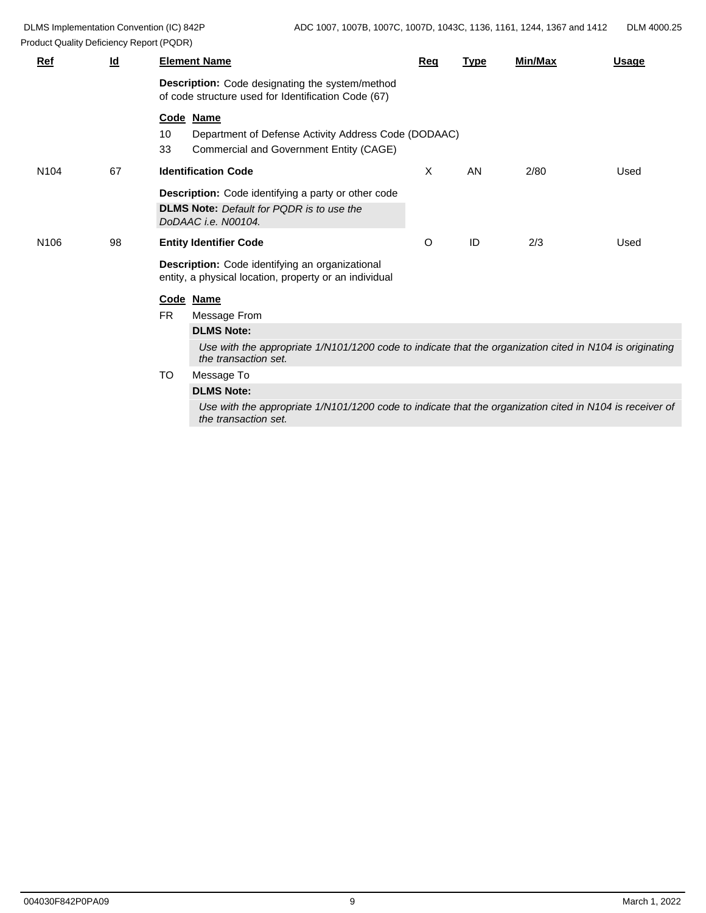| Ref              | $\underline{\mathsf{Id}}$ |           | <b>Element Name</b>                                                                                                                   | <u>Req</u> | <b>Type</b> | <b>Min/Max</b> | <u>Usage</u> |
|------------------|---------------------------|-----------|---------------------------------------------------------------------------------------------------------------------------------------|------------|-------------|----------------|--------------|
|                  |                           |           | Description: Code designating the system/method<br>of code structure used for Identification Code (67)                                |            |             |                |              |
|                  |                           | 10<br>33  | Code Name<br>Department of Defense Activity Address Code (DODAAC)<br>Commercial and Government Entity (CAGE)                          |            |             |                |              |
| N <sub>104</sub> | 67                        |           | <b>Identification Code</b>                                                                                                            | X          | <b>AN</b>   | 2/80           | Used         |
|                  |                           |           | <b>Description:</b> Code identifying a party or other code<br><b>DLMS Note:</b> Default for PQDR is to use the<br>DoDAAC i.e. N00104. |            |             |                |              |
| N <sub>106</sub> | 98                        |           | <b>Entity Identifier Code</b>                                                                                                         | O          | ID          | 2/3            | Used         |
|                  |                           |           | Description: Code identifying an organizational<br>entity, a physical location, property or an individual                             |            |             |                |              |
|                  |                           |           | Code Name                                                                                                                             |            |             |                |              |
|                  |                           | <b>FR</b> | Message From                                                                                                                          |            |             |                |              |
|                  |                           |           | <b>DLMS Note:</b>                                                                                                                     |            |             |                |              |
|                  |                           |           | Use with the appropriate 1/N101/1200 code to indicate that the organization cited in N104 is originating<br>the transaction set.      |            |             |                |              |
|                  |                           | TO        | Message To                                                                                                                            |            |             |                |              |
|                  |                           |           | <b>DLMS Note:</b>                                                                                                                     |            |             |                |              |
|                  |                           |           | Use with the appropriate 1/N101/1200 code to indicate that the organization cited in N104 is receiver of<br>the transaction set.      |            |             |                |              |
|                  |                           |           |                                                                                                                                       |            |             |                |              |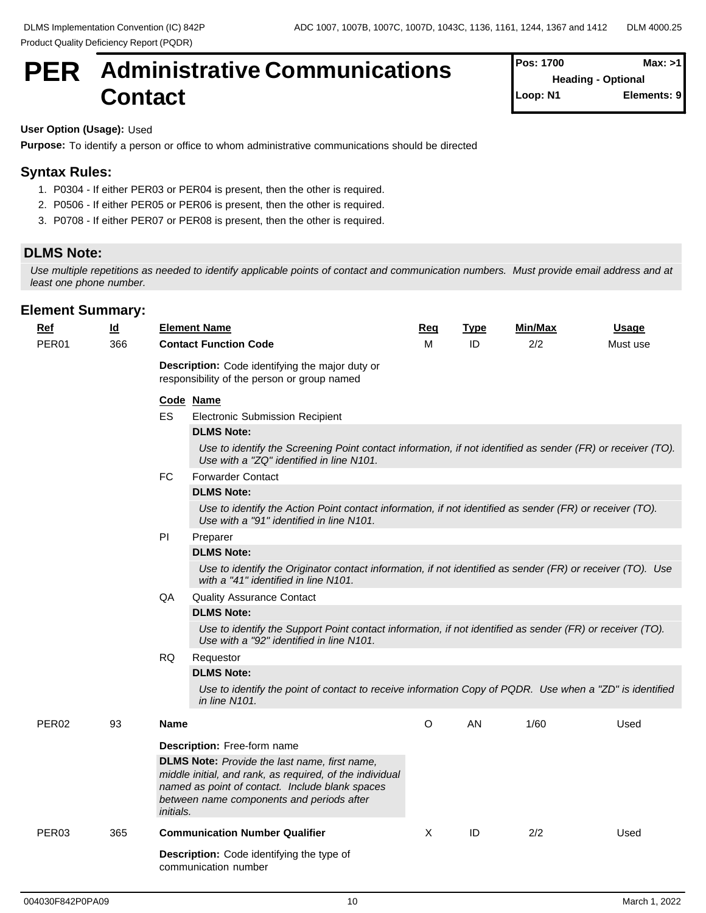# **PER Administrative Communications Contact**

| <b>IPos: 1700</b> | Max: >1                   |
|-------------------|---------------------------|
|                   | <b>Heading - Optional</b> |
| Loop: N1          | Elements: 9               |

## **User Option (Usage):** Used

**Purpose:** To identify a person or office to whom administrative communications should be directed

# **Syntax Rules:**

- 1. P0304 If either PER03 or PER04 is present, then the other is required.
- 2. P0506 If either PER05 or PER06 is present, then the other is required.
- 3. P0708 If either PER07 or PER08 is present, then the other is required.

# **DLMS Note:**

*Use multiple repetitions as needed to identify applicable points of contact and communication numbers. Must provide email address and at least one phone number.*

| <u>Ref</u><br>PER <sub>01</sub> | <u>ld</u><br>366 |                  | <b>Element Name</b><br><b>Contact Function Code</b>                                                                                                                                                              | Req<br>М | <b>Type</b><br>ID | Min/Max<br>2/2 | <u>Usage</u><br>Must use |
|---------------------------------|------------------|------------------|------------------------------------------------------------------------------------------------------------------------------------------------------------------------------------------------------------------|----------|-------------------|----------------|--------------------------|
|                                 |                  |                  | Description: Code identifying the major duty or<br>responsibility of the person or group named                                                                                                                   |          |                   |                |                          |
|                                 |                  |                  | Code Name                                                                                                                                                                                                        |          |                   |                |                          |
|                                 |                  | ES               | <b>Electronic Submission Recipient</b>                                                                                                                                                                           |          |                   |                |                          |
|                                 |                  |                  | <b>DLMS Note:</b>                                                                                                                                                                                                |          |                   |                |                          |
|                                 |                  |                  | Use to identify the Screening Point contact information, if not identified as sender (FR) or receiver (TO).<br>Use with a "ZQ" identified in line N101.                                                          |          |                   |                |                          |
|                                 |                  | <b>FC</b>        | <b>Forwarder Contact</b>                                                                                                                                                                                         |          |                   |                |                          |
|                                 |                  |                  | <b>DLMS Note:</b>                                                                                                                                                                                                |          |                   |                |                          |
|                                 |                  |                  | Use to identify the Action Point contact information, if not identified as sender (FR) or receiver (TO).<br>Use with a "91" identified in line N101.                                                             |          |                   |                |                          |
|                                 |                  | PI               | Preparer                                                                                                                                                                                                         |          |                   |                |                          |
|                                 |                  |                  | <b>DLMS Note:</b>                                                                                                                                                                                                |          |                   |                |                          |
|                                 |                  |                  | Use to identify the Originator contact information, if not identified as sender (FR) or receiver (TO). Use<br>with a "41" identified in line N101.                                                               |          |                   |                |                          |
|                                 |                  | QA               | <b>Quality Assurance Contact</b>                                                                                                                                                                                 |          |                   |                |                          |
|                                 |                  |                  | <b>DLMS Note:</b>                                                                                                                                                                                                |          |                   |                |                          |
|                                 |                  |                  | Use to identify the Support Point contact information, if not identified as sender (FR) or receiver (TO).<br>Use with a "92" identified in line N101.                                                            |          |                   |                |                          |
|                                 |                  | <b>RQ</b>        | Requestor                                                                                                                                                                                                        |          |                   |                |                          |
|                                 |                  |                  | <b>DLMS Note:</b>                                                                                                                                                                                                |          |                   |                |                          |
|                                 |                  |                  | Use to identify the point of contact to receive information Copy of PQDR. Use when a "ZD" is identified<br>in line N101.                                                                                         |          |                   |                |                          |
| PER <sub>02</sub>               | 93               | Name             |                                                                                                                                                                                                                  | O        | AN                | 1/60           | Used                     |
|                                 |                  |                  | Description: Free-form name                                                                                                                                                                                      |          |                   |                |                          |
|                                 |                  | <i>initials.</i> | <b>DLMS Note:</b> Provide the last name, first name,<br>middle initial, and rank, as required, of the individual<br>named as point of contact. Include blank spaces<br>between name components and periods after |          |                   |                |                          |
| PER <sub>03</sub>               | 365              |                  | <b>Communication Number Qualifier</b>                                                                                                                                                                            | X        | ID                | 2/2            | Used                     |
|                                 |                  |                  | Description: Code identifying the type of<br>communication number                                                                                                                                                |          |                   |                |                          |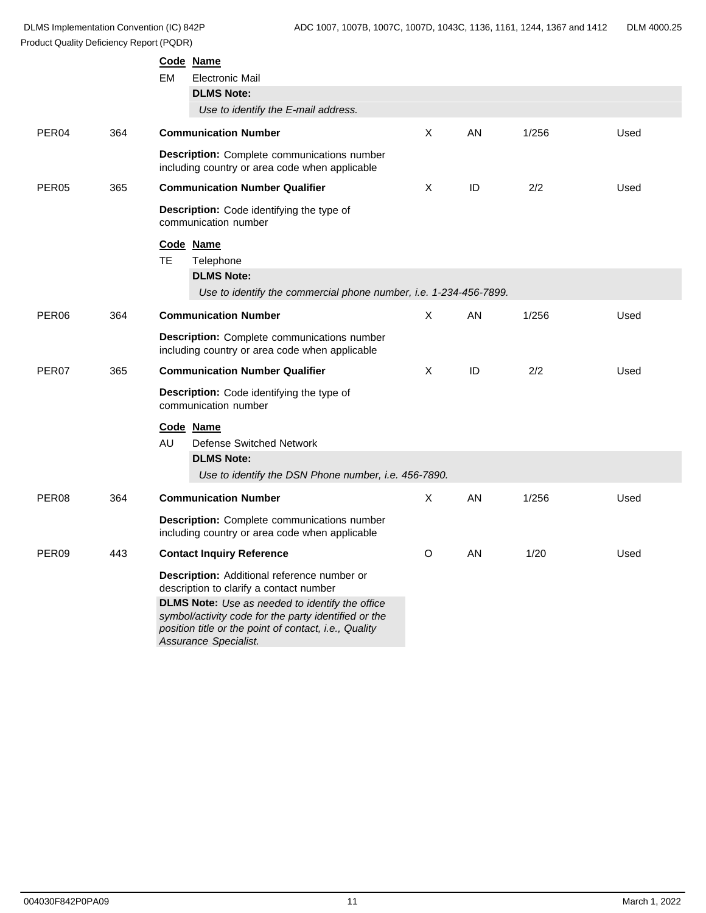|                   |     | EM        | Code Name<br><b>Electronic Mail</b>                                                                                                                                                       |          |           |       |      |
|-------------------|-----|-----------|-------------------------------------------------------------------------------------------------------------------------------------------------------------------------------------------|----------|-----------|-------|------|
|                   |     |           | <b>DLMS Note:</b>                                                                                                                                                                         |          |           |       |      |
|                   |     |           | Use to identify the E-mail address.                                                                                                                                                       |          |           |       |      |
| PER <sub>04</sub> | 364 |           | <b>Communication Number</b>                                                                                                                                                               | X        | AN        | 1/256 | Used |
|                   |     |           | <b>Description:</b> Complete communications number<br>including country or area code when applicable                                                                                      |          |           |       |      |
| PER <sub>05</sub> | 365 |           | <b>Communication Number Qualifier</b>                                                                                                                                                     | X        | ID        | 2/2   | Used |
|                   |     |           | <b>Description:</b> Code identifying the type of<br>communication number                                                                                                                  |          |           |       |      |
|                   |     | <b>TE</b> | Code Name<br>Telephone                                                                                                                                                                    |          |           |       |      |
|                   |     |           | <b>DLMS Note:</b>                                                                                                                                                                         |          |           |       |      |
|                   |     |           | Use to identify the commercial phone number, i.e. 1-234-456-7899.                                                                                                                         |          |           |       |      |
| PER <sub>06</sub> | 364 |           | <b>Communication Number</b>                                                                                                                                                               | $\times$ | AN        | 1/256 | Used |
|                   |     |           | <b>Description:</b> Complete communications number<br>including country or area code when applicable                                                                                      |          |           |       |      |
| PER <sub>07</sub> | 365 |           | <b>Communication Number Qualifier</b>                                                                                                                                                     | X        | ID        | 2/2   | Used |
|                   |     |           | Description: Code identifying the type of<br>communication number                                                                                                                         |          |           |       |      |
|                   |     | AU        | Code Name<br>Defense Switched Network                                                                                                                                                     |          |           |       |      |
|                   |     |           | <b>DLMS Note:</b><br>Use to identify the DSN Phone number, i.e. 456-7890.                                                                                                                 |          |           |       |      |
| PER08             | 364 |           | <b>Communication Number</b>                                                                                                                                                               | X        | AN        | 1/256 | Used |
|                   |     |           | Description: Complete communications number<br>including country or area code when applicable                                                                                             |          |           |       |      |
| PER09             | 443 |           | <b>Contact Inquiry Reference</b>                                                                                                                                                          | O        | <b>AN</b> | 1/20  | Used |
|                   |     |           | Description: Additional reference number or<br>description to clarify a contact number                                                                                                    |          |           |       |      |
|                   |     |           | DLMS Note: Use as needed to identify the office<br>symbol/activity code for the party identified or the<br>position title or the point of contact, i.e., Quality<br>Assurance Specialist. |          |           |       |      |
|                   |     |           |                                                                                                                                                                                           |          |           |       |      |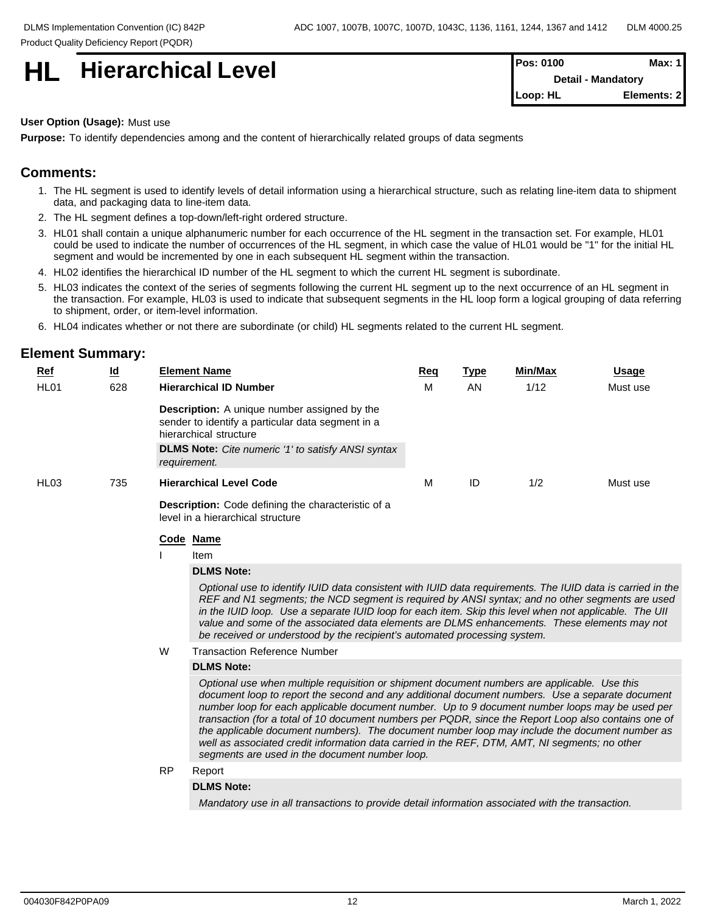# **HL** Hierarchical Level

| <b>IPos: 0100</b> | Max: 1                    |
|-------------------|---------------------------|
|                   | <b>Detail - Mandatory</b> |
| Loop: HL          | Elements: 2               |

## **User Option (Usage):** Must use

**Purpose:** To identify dependencies among and the content of hierarchically related groups of data segments

# **Comments:**

- 1. The HL segment is used to identify levels of detail information using a hierarchical structure, such as relating line-item data to shipment data, and packaging data to line-item data.
- 2. The HL segment defines a top-down/left-right ordered structure.
- 3. HL01 shall contain a unique alphanumeric number for each occurrence of the HL segment in the transaction set. For example, HL01 could be used to indicate the number of occurrences of the HL segment, in which case the value of HL01 would be "1" for the initial HL segment and would be incremented by one in each subsequent HL segment within the transaction.
- 4. HL02 identifies the hierarchical ID number of the HL segment to which the current HL segment is subordinate.
- 5. HL03 indicates the context of the series of segments following the current HL segment up to the next occurrence of an HL segment in the transaction. For example, HL03 is used to indicate that subsequent segments in the HL loop form a logical grouping of data referring to shipment, order, or item-level information.
- 6. HL04 indicates whether or not there are subordinate (or child) HL segments related to the current HL segment.

## **Element Summary:**

| <b>Ref</b>       | $\underline{\mathsf{Id}}$ | <b>Element Name</b>                                                                                                                | <u>Req</u> | <b>Type</b> | <b>Min/Max</b> | <b>Usage</b> |
|------------------|---------------------------|------------------------------------------------------------------------------------------------------------------------------------|------------|-------------|----------------|--------------|
| HL <sub>01</sub> | 628                       | <b>Hierarchical ID Number</b>                                                                                                      | M          | AN          | 1/12           | Must use     |
|                  |                           | <b>Description:</b> A unique number assigned by the<br>sender to identify a particular data segment in a<br>hierarchical structure |            |             |                |              |
|                  |                           | <b>DLMS Note:</b> Cite numeric '1' to satisfy ANSI syntax<br>requirement.                                                          |            |             |                |              |
| HL <sub>03</sub> | 735                       | <b>Hierarchical Level Code</b>                                                                                                     | М          | ID          | 1/2            | Must use     |
|                  |                           | <b>Description:</b> Code defining the characteristic of a<br>level in a hierarchical structure                                     |            |             |                |              |
|                  |                           | Code Name                                                                                                                          |            |             |                |              |

I item the state of the state of the state of the state of the state of the state of the state of the state of the state of the state of the state of the state of the state of the state of the state of the state of the sta

## **DLMS Note:**

*Optional use to identify IUID data consistent with IUID data requirements. The IUID data is carried in the REF and N1 segments; the NCD segment is required by ANSI syntax; and no other segments are used in the IUID loop. Use a separate IUID loop for each item. Skip this level when not applicable. The UII value and some of the associated data elements are DLMS enhancements. These elements may not be received or understood by the recipient's automated processing system.*

W Transaction Reference Number

## **DLMS Note:**

*Optional use when multiple requisition or shipment document numbers are applicable. Use this document loop to report the second and any additional document numbers. Use a separate document number loop for each applicable document number. Up to 9 document number loops may be used per transaction (for a total of 10 document numbers per PQDR, since the Report Loop also contains one of the applicable document numbers). The document number loop may include the document number as well as associated credit information data carried in the REF, DTM, AMT, NI segments; no other segments are used in the document number loop.*

## RP Report

## **DLMS Note:**

*Mandatory use in all transactions to provide detail information associated with the transaction.*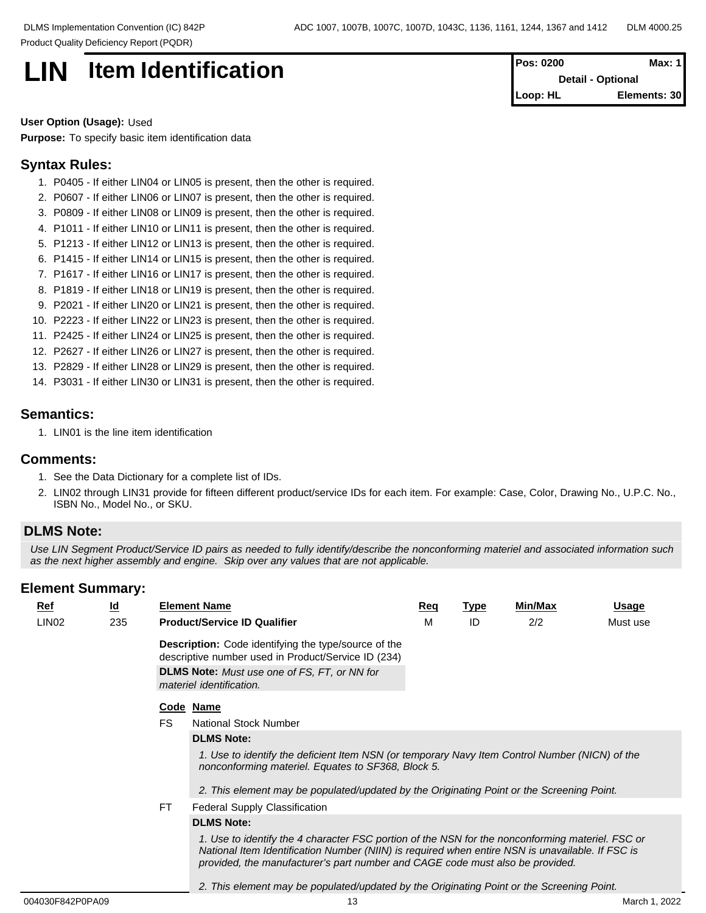# **LIN** Item Identification **Pos: 0200 Max: 1**

**Detail - Optional Loop: HL Elements: 30**

## **User Option (Usage):** Used

**Purpose:** To specify basic item identification data

## **Syntax Rules:**

- 1. P0405 If either LIN04 or LIN05 is present, then the other is required.
- 2. P0607 If either LIN06 or LIN07 is present, then the other is required.
- 3. P0809 If either LIN08 or LIN09 is present, then the other is required.
- 4. P1011 If either LIN10 or LIN11 is present, then the other is required.
- 5. P1213 If either LIN12 or LIN13 is present, then the other is required.
- 6. P1415 If either LIN14 or LIN15 is present, then the other is required.
- 7. P1617 If either LIN16 or LIN17 is present, then the other is required.
- 8. P1819 If either LIN18 or LIN19 is present, then the other is required.
- 9. P2021 If either LIN20 or LIN21 is present, then the other is required.
- 10. P2223 If either LIN22 or LIN23 is present, then the other is required.
- 11. P2425 If either LIN24 or LIN25 is present, then the other is required.
- 12. P2627 If either LIN26 or LIN27 is present, then the other is required.
- 13. P2829 If either LIN28 or LIN29 is present, then the other is required.
- 14. P3031 If either LIN30 or LIN31 is present, then the other is required.

## **Semantics:**

1. LIN01 is the line item identification

## **Comments:**

- 1. See the Data Dictionary for a complete list of IDs.
- 2. LIN02 through LIN31 provide for fifteen different product/service IDs for each item. For example: Case, Color, Drawing No., U.P.C. No., ISBN No., Model No., or SKU.

# **DLMS Note:**

*Use LIN Segment Product/Service ID pairs as needed to fully identify/describe the nonconforming materiel and associated information such as the next higher assembly and engine. Skip over any values that are not applicable.*

| <u>Ref</u>        | $\underline{\mathsf{Id}}$ |           | <b>Element Name</b>                                                                                                                                                                                                                                                                   | Req | <b>Type</b> | Min/Max | Usage    |  |
|-------------------|---------------------------|-----------|---------------------------------------------------------------------------------------------------------------------------------------------------------------------------------------------------------------------------------------------------------------------------------------|-----|-------------|---------|----------|--|
| LIN <sub>02</sub> | 235                       |           | <b>Product/Service ID Qualifier</b>                                                                                                                                                                                                                                                   | M   | ID          | 2/2     | Must use |  |
|                   |                           |           | <b>Description:</b> Code identifying the type/source of the<br>descriptive number used in Product/Service ID (234)                                                                                                                                                                    |     |             |         |          |  |
|                   |                           |           | <b>DLMS Note:</b> Must use one of FS, FT, or NN for<br>materiel identification.                                                                                                                                                                                                       |     |             |         |          |  |
|                   |                           |           | Code Name                                                                                                                                                                                                                                                                             |     |             |         |          |  |
|                   |                           | FS.       | National Stock Number                                                                                                                                                                                                                                                                 |     |             |         |          |  |
|                   |                           |           | <b>DLMS Note:</b>                                                                                                                                                                                                                                                                     |     |             |         |          |  |
|                   |                           |           | 1. Use to identify the deficient Item NSN (or temporary Navy Item Control Number (NICN) of the<br>nonconforming materiel. Equates to SF368, Block 5.                                                                                                                                  |     |             |         |          |  |
|                   |                           |           | 2. This element may be populated/updated by the Originating Point or the Screening Point.                                                                                                                                                                                             |     |             |         |          |  |
|                   |                           | <b>FT</b> | Federal Supply Classification                                                                                                                                                                                                                                                         |     |             |         |          |  |
|                   |                           |           | <b>DLMS Note:</b>                                                                                                                                                                                                                                                                     |     |             |         |          |  |
|                   |                           |           | 1. Use to identify the 4 character FSC portion of the NSN for the nonconforming materiel. FSC or<br>National Item Identification Number (NIIN) is required when entire NSN is unavailable. If FSC is<br>provided, the manufacturer's part number and CAGE code must also be provided. |     |             |         |          |  |
|                   |                           |           | 2. This element may be populated/updated by the Originating Point or the Screening Point.                                                                                                                                                                                             |     |             |         |          |  |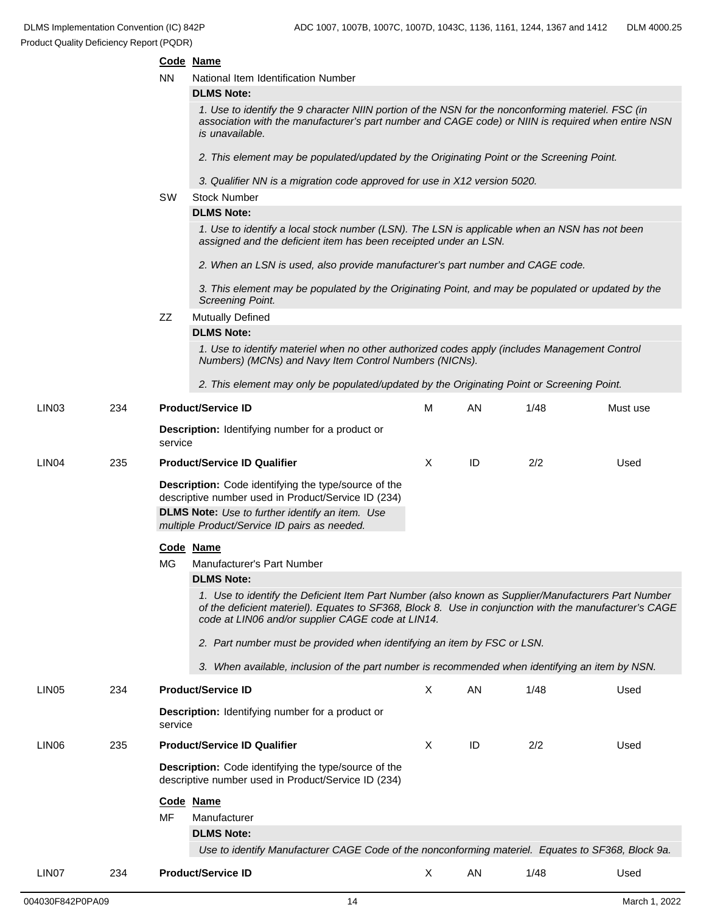NN National Item Identification Number

#### **DLMS Note:**

*1. Use to identify the 9 character NIIN portion of the NSN for the nonconforming materiel. FSC (in association with the manufacturer's part number and CAGE code) or NIIN is required when entire NSN is unavailable.*

- *2. This element may be populated/updated by the Originating Point or the Screening Point.*
- *3. Qualifier NN is a migration code approved for use in X12 version 5020.*
- SW Stock Number

## **DLMS Note:**

*1. Use to identify a local stock number (LSN). The LSN is applicable when an NSN has not been assigned and the deficient item has been receipted under an LSN.*

*2. When an LSN is used, also provide manufacturer's part number and CAGE code.*

*3. This element may be populated by the Originating Point, and may be populated or updated by the Screening Point.*

ZZ Mutually Defined

## **DLMS Note:**

*1. Use to identify materiel when no other authorized codes apply (includes Management Control Numbers) (MCNs) and Navy Item Control Numbers (NICNs).*

*2. This element may only be populated/updated by the Originating Point or Screening Point.*

|                   |     | 2. This element may only be populated/updated by the Originating Point or Screening Point.                                                                                                                                                                                                                                                    |   |    |      |          |  |  |  |  |  |
|-------------------|-----|-----------------------------------------------------------------------------------------------------------------------------------------------------------------------------------------------------------------------------------------------------------------------------------------------------------------------------------------------|---|----|------|----------|--|--|--|--|--|
| LIN <sub>03</sub> | 234 | <b>Product/Service ID</b>                                                                                                                                                                                                                                                                                                                     | м | AN | 1/48 | Must use |  |  |  |  |  |
|                   |     | <b>Description:</b> Identifying number for a product or<br>service                                                                                                                                                                                                                                                                            |   |    |      |          |  |  |  |  |  |
| LIN04             | 235 | <b>Product/Service ID Qualifier</b>                                                                                                                                                                                                                                                                                                           | X | ID | 2/2  | Used     |  |  |  |  |  |
|                   |     | <b>Description:</b> Code identifying the type/source of the<br>descriptive number used in Product/Service ID (234)                                                                                                                                                                                                                            |   |    |      |          |  |  |  |  |  |
|                   |     | <b>DLMS Note:</b> Use to further identify an item. Use<br>multiple Product/Service ID pairs as needed.                                                                                                                                                                                                                                        |   |    |      |          |  |  |  |  |  |
|                   |     | Code Name                                                                                                                                                                                                                                                                                                                                     |   |    |      |          |  |  |  |  |  |
|                   |     | MG<br><b>Manufacturer's Part Number</b>                                                                                                                                                                                                                                                                                                       |   |    |      |          |  |  |  |  |  |
|                   |     | <b>DLMS Note:</b>                                                                                                                                                                                                                                                                                                                             |   |    |      |          |  |  |  |  |  |
|                   |     | 1. Use to identify the Deficient Item Part Number (also known as Supplier/Manufacturers Part Number<br>of the deficient materiel). Equates to SF368, Block 8. Use in conjunction with the manufacturer's CAGE<br>code at LIN06 and/or supplier CAGE code at LIN14.<br>2. Part number must be provided when identifying an item by FSC or LSN. |   |    |      |          |  |  |  |  |  |
|                   |     | 3. When available, inclusion of the part number is recommended when identifying an item by NSN.                                                                                                                                                                                                                                               |   |    |      |          |  |  |  |  |  |
| LIN <sub>05</sub> | 234 | <b>Product/Service ID</b>                                                                                                                                                                                                                                                                                                                     | X | AN | 1/48 | Used     |  |  |  |  |  |
|                   |     | <b>Description:</b> Identifying number for a product or<br>service                                                                                                                                                                                                                                                                            |   |    |      |          |  |  |  |  |  |
| LIN06             | 235 | <b>Product/Service ID Qualifier</b>                                                                                                                                                                                                                                                                                                           | X | ID | 2/2  | Used     |  |  |  |  |  |
|                   |     | <b>Description:</b> Code identifying the type/source of the<br>descriptive number used in Product/Service ID (234)                                                                                                                                                                                                                            |   |    |      |          |  |  |  |  |  |
|                   |     | Code Name                                                                                                                                                                                                                                                                                                                                     |   |    |      |          |  |  |  |  |  |
|                   |     | Manufacturer<br>MF                                                                                                                                                                                                                                                                                                                            |   |    |      |          |  |  |  |  |  |
|                   |     | <b>DLMS Note:</b>                                                                                                                                                                                                                                                                                                                             |   |    |      |          |  |  |  |  |  |
|                   |     | Use to identify Manufacturer CAGE Code of the nonconforming materiel. Equates to SF368, Block 9a.                                                                                                                                                                                                                                             |   |    |      |          |  |  |  |  |  |
| LIN07             | 234 | <b>Product/Service ID</b>                                                                                                                                                                                                                                                                                                                     | Χ | AN | 1/48 | Used     |  |  |  |  |  |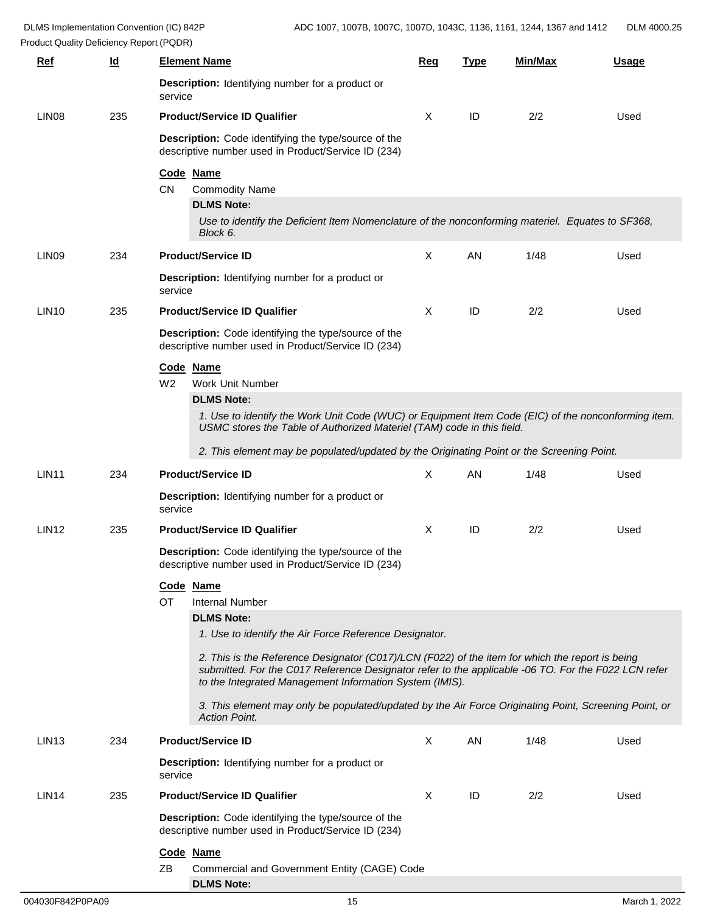| $Ref$             | <u>ld</u> |                | <b>Element Name</b>                                                                                                                                            | Req          | <b>Type</b> | <b>Min/Max</b> | Usage |
|-------------------|-----------|----------------|----------------------------------------------------------------------------------------------------------------------------------------------------------------|--------------|-------------|----------------|-------|
|                   |           | service        | <b>Description:</b> Identifying number for a product or                                                                                                        |              |             |                |       |
| LIN <sub>08</sub> | 235       |                | <b>Product/Service ID Qualifier</b>                                                                                                                            | X            | ID          | 2/2            | Used  |
|                   |           |                | Description: Code identifying the type/source of the<br>descriptive number used in Product/Service ID (234)                                                    |              |             |                |       |
|                   |           |                | Code Name                                                                                                                                                      |              |             |                |       |
|                   |           | <b>CN</b>      | <b>Commodity Name</b>                                                                                                                                          |              |             |                |       |
|                   |           |                | <b>DLMS Note:</b>                                                                                                                                              |              |             |                |       |
|                   |           |                | Use to identify the Deficient Item Nomenclature of the nonconforming materiel. Equates to SF368,<br>Block 6.                                                   |              |             |                |       |
| LIN <sub>09</sub> | 234       |                | <b>Product/Service ID</b>                                                                                                                                      | $\times$     | AN          | 1/48           | Used  |
|                   |           | service        | <b>Description:</b> Identifying number for a product or                                                                                                        |              |             |                |       |
| LIN <sub>10</sub> | 235       |                | <b>Product/Service ID Qualifier</b>                                                                                                                            | X            | ID          | 2/2            | Used  |
|                   |           |                | Description: Code identifying the type/source of the<br>descriptive number used in Product/Service ID (234)                                                    |              |             |                |       |
|                   |           |                | Code Name                                                                                                                                                      |              |             |                |       |
|                   |           | W <sub>2</sub> | Work Unit Number<br><b>DLMS Note:</b>                                                                                                                          |              |             |                |       |
|                   |           |                | 1. Use to identify the Work Unit Code (WUC) or Equipment Item Code (EIC) of the nonconforming item.                                                            |              |             |                |       |
|                   |           |                | USMC stores the Table of Authorized Materiel (TAM) code in this field.                                                                                         |              |             |                |       |
|                   |           |                | 2. This element may be populated/updated by the Originating Point or the Screening Point.                                                                      |              |             |                |       |
| <b>LIN11</b>      | 234       |                | <b>Product/Service ID</b>                                                                                                                                      | X            | AN          | 1/48           | Used  |
|                   |           | service        | <b>Description:</b> Identifying number for a product or                                                                                                        |              |             |                |       |
| <b>LIN12</b>      | 235       |                | <b>Product/Service ID Qualifier</b>                                                                                                                            | X            | ID          | 2/2            | Used  |
|                   |           |                | Description: Code identifying the type/source of the<br>descriptive number used in Product/Service ID (234)                                                    |              |             |                |       |
|                   |           |                | Code Name                                                                                                                                                      |              |             |                |       |
|                   |           | <b>OT</b>      | Internal Number                                                                                                                                                |              |             |                |       |
|                   |           |                | <b>DLMS Note:</b>                                                                                                                                              |              |             |                |       |
|                   |           |                | 1. Use to identify the Air Force Reference Designator.                                                                                                         |              |             |                |       |
|                   |           |                | 2. This is the Reference Designator (C017)/LCN (F022) of the item for which the report is being                                                                |              |             |                |       |
|                   |           |                | submitted. For the C017 Reference Designator refer to the applicable -06 TO. For the F022 LCN refer<br>to the Integrated Management Information System (IMIS). |              |             |                |       |
|                   |           |                | 3. This element may only be populated/updated by the Air Force Originating Point, Screening Point, or<br><b>Action Point.</b>                                  |              |             |                |       |
| LIN <sub>13</sub> | 234       |                | <b>Product/Service ID</b>                                                                                                                                      | $\mathsf{X}$ | AN          | 1/48           | Used  |
|                   |           | service        | <b>Description:</b> Identifying number for a product or                                                                                                        |              |             |                |       |
| LIN <sub>14</sub> | 235       |                | <b>Product/Service ID Qualifier</b>                                                                                                                            | $\times$     | ID          | 2/2            | Used  |
|                   |           |                | Description: Code identifying the type/source of the<br>descriptive number used in Product/Service ID (234)                                                    |              |             |                |       |
|                   |           |                |                                                                                                                                                                |              |             |                |       |
|                   |           |                | Code Name                                                                                                                                                      |              |             |                |       |
|                   |           | ZB             | Commercial and Government Entity (CAGE) Code<br><b>DLMS Note:</b>                                                                                              |              |             |                |       |
|                   |           |                |                                                                                                                                                                |              |             |                |       |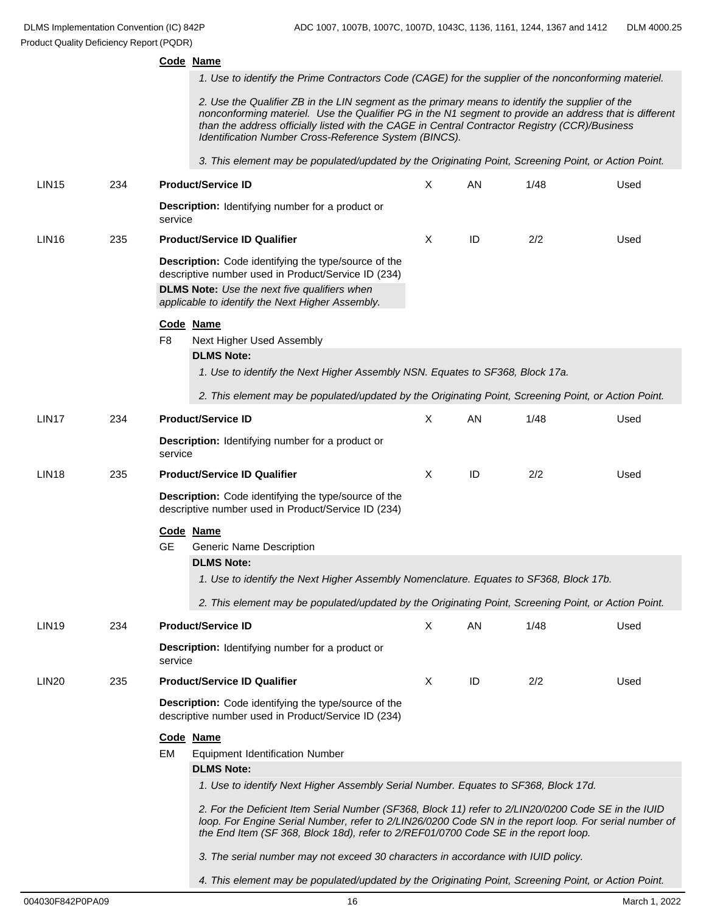|                   |                                                                                                      | Code Name                                                                                                                                                                                                                                                                                            |                                                                                                                                                                                                                                                                                                                                                                      |    |      |      |  |  |  |  |  |  |
|-------------------|------------------------------------------------------------------------------------------------------|------------------------------------------------------------------------------------------------------------------------------------------------------------------------------------------------------------------------------------------------------------------------------------------------------|----------------------------------------------------------------------------------------------------------------------------------------------------------------------------------------------------------------------------------------------------------------------------------------------------------------------------------------------------------------------|----|------|------|--|--|--|--|--|--|
|                   |                                                                                                      | 1. Use to identify the Prime Contractors Code (CAGE) for the supplier of the nonconforming materiel.                                                                                                                                                                                                 |                                                                                                                                                                                                                                                                                                                                                                      |    |      |      |  |  |  |  |  |  |
|                   |                                                                                                      |                                                                                                                                                                                                                                                                                                      | 2. Use the Qualifier ZB in the LIN segment as the primary means to identify the supplier of the<br>nonconforming materiel. Use the Qualifier PG in the N1 segment to provide an address that is different<br>than the address officially listed with the CAGE in Central Contractor Registry (CCR)/Business<br>Identification Number Cross-Reference System (BINCS). |    |      |      |  |  |  |  |  |  |
|                   |                                                                                                      | 3. This element may be populated/updated by the Originating Point, Screening Point, or Action Point.                                                                                                                                                                                                 |                                                                                                                                                                                                                                                                                                                                                                      |    |      |      |  |  |  |  |  |  |
| <b>LIN15</b>      | 234                                                                                                  | <b>Product/Service ID</b>                                                                                                                                                                                                                                                                            | X                                                                                                                                                                                                                                                                                                                                                                    | AN | 1/48 | Used |  |  |  |  |  |  |
|                   |                                                                                                      | <b>Description:</b> Identifying number for a product or<br>service                                                                                                                                                                                                                                   |                                                                                                                                                                                                                                                                                                                                                                      |    |      |      |  |  |  |  |  |  |
| <b>LIN16</b>      | 235                                                                                                  | <b>Product/Service ID Qualifier</b>                                                                                                                                                                                                                                                                  | X                                                                                                                                                                                                                                                                                                                                                                    | ID | 2/2  | Used |  |  |  |  |  |  |
|                   |                                                                                                      | Description: Code identifying the type/source of the<br>descriptive number used in Product/Service ID (234)<br><b>DLMS Note:</b> Use the next five qualifiers when<br>applicable to identify the Next Higher Assembly.                                                                               |                                                                                                                                                                                                                                                                                                                                                                      |    |      |      |  |  |  |  |  |  |
|                   |                                                                                                      | Code Name                                                                                                                                                                                                                                                                                            |                                                                                                                                                                                                                                                                                                                                                                      |    |      |      |  |  |  |  |  |  |
|                   |                                                                                                      | F8<br>Next Higher Used Assembly                                                                                                                                                                                                                                                                      |                                                                                                                                                                                                                                                                                                                                                                      |    |      |      |  |  |  |  |  |  |
|                   |                                                                                                      | <b>DLMS Note:</b>                                                                                                                                                                                                                                                                                    |                                                                                                                                                                                                                                                                                                                                                                      |    |      |      |  |  |  |  |  |  |
|                   |                                                                                                      | 1. Use to identify the Next Higher Assembly NSN. Equates to SF368, Block 17a.<br>2. This element may be populated/updated by the Originating Point, Screening Point, or Action Point.                                                                                                                |                                                                                                                                                                                                                                                                                                                                                                      |    |      |      |  |  |  |  |  |  |
|                   |                                                                                                      |                                                                                                                                                                                                                                                                                                      |                                                                                                                                                                                                                                                                                                                                                                      |    |      |      |  |  |  |  |  |  |
| LIN <sub>17</sub> | 234                                                                                                  | <b>Product/Service ID</b>                                                                                                                                                                                                                                                                            | Χ                                                                                                                                                                                                                                                                                                                                                                    | AN | 1/48 | Used |  |  |  |  |  |  |
|                   |                                                                                                      | <b>Description:</b> Identifying number for a product or<br>service                                                                                                                                                                                                                                   |                                                                                                                                                                                                                                                                                                                                                                      |    |      |      |  |  |  |  |  |  |
| LIN <sub>18</sub> | 235                                                                                                  | <b>Product/Service ID Qualifier</b>                                                                                                                                                                                                                                                                  | X                                                                                                                                                                                                                                                                                                                                                                    | ID | 2/2  | Used |  |  |  |  |  |  |
|                   |                                                                                                      | Description: Code identifying the type/source of the<br>descriptive number used in Product/Service ID (234)                                                                                                                                                                                          |                                                                                                                                                                                                                                                                                                                                                                      |    |      |      |  |  |  |  |  |  |
|                   |                                                                                                      | Code Name                                                                                                                                                                                                                                                                                            |                                                                                                                                                                                                                                                                                                                                                                      |    |      |      |  |  |  |  |  |  |
|                   |                                                                                                      | GE.<br><b>Generic Name Description</b>                                                                                                                                                                                                                                                               |                                                                                                                                                                                                                                                                                                                                                                      |    |      |      |  |  |  |  |  |  |
|                   |                                                                                                      | <b>DLMS Note:</b>                                                                                                                                                                                                                                                                                    |                                                                                                                                                                                                                                                                                                                                                                      |    |      |      |  |  |  |  |  |  |
|                   |                                                                                                      | 1. Use to identify the Next Higher Assembly Nomenclature. Equates to SF368, Block 17b.                                                                                                                                                                                                               |                                                                                                                                                                                                                                                                                                                                                                      |    |      |      |  |  |  |  |  |  |
|                   |                                                                                                      | 2. This element may be populated/updated by the Originating Point, Screening Point, or Action Point.                                                                                                                                                                                                 |                                                                                                                                                                                                                                                                                                                                                                      |    |      |      |  |  |  |  |  |  |
| <b>LIN19</b>      | 234                                                                                                  | <b>Product/Service ID</b>                                                                                                                                                                                                                                                                            | X                                                                                                                                                                                                                                                                                                                                                                    | AN | 1/48 | Used |  |  |  |  |  |  |
|                   |                                                                                                      | <b>Description:</b> Identifying number for a product or<br>service                                                                                                                                                                                                                                   |                                                                                                                                                                                                                                                                                                                                                                      |    |      |      |  |  |  |  |  |  |
| <b>LIN20</b>      | 235                                                                                                  | <b>Product/Service ID Qualifier</b>                                                                                                                                                                                                                                                                  | Χ                                                                                                                                                                                                                                                                                                                                                                    | ID | 2/2  | Used |  |  |  |  |  |  |
|                   |                                                                                                      | <b>Description:</b> Code identifying the type/source of the<br>descriptive number used in Product/Service ID (234)                                                                                                                                                                                   |                                                                                                                                                                                                                                                                                                                                                                      |    |      |      |  |  |  |  |  |  |
|                   |                                                                                                      | Code Name                                                                                                                                                                                                                                                                                            |                                                                                                                                                                                                                                                                                                                                                                      |    |      |      |  |  |  |  |  |  |
|                   |                                                                                                      | EM<br><b>Equipment Identification Number</b>                                                                                                                                                                                                                                                         |                                                                                                                                                                                                                                                                                                                                                                      |    |      |      |  |  |  |  |  |  |
|                   |                                                                                                      | <b>DLMS Note:</b>                                                                                                                                                                                                                                                                                    |                                                                                                                                                                                                                                                                                                                                                                      |    |      |      |  |  |  |  |  |  |
|                   |                                                                                                      | 1. Use to identify Next Higher Assembly Serial Number. Equates to SF368, Block 17d.                                                                                                                                                                                                                  |                                                                                                                                                                                                                                                                                                                                                                      |    |      |      |  |  |  |  |  |  |
|                   |                                                                                                      | 2. For the Deficient Item Serial Number (SF368, Block 11) refer to 2/LIN20/0200 Code SE in the IUID<br>loop. For Engine Serial Number, refer to 2/LIN26/0200 Code SN in the report loop. For serial number of<br>the End Item (SF 368, Block 18d), refer to 2/REF01/0700 Code SE in the report loop. |                                                                                                                                                                                                                                                                                                                                                                      |    |      |      |  |  |  |  |  |  |
|                   |                                                                                                      | 3. The serial number may not exceed 30 characters in accordance with IUID policy.                                                                                                                                                                                                                    |                                                                                                                                                                                                                                                                                                                                                                      |    |      |      |  |  |  |  |  |  |
|                   | 4. This element may be populated/updated by the Originating Point, Screening Point, or Action Point. |                                                                                                                                                                                                                                                                                                      |                                                                                                                                                                                                                                                                                                                                                                      |    |      |      |  |  |  |  |  |  |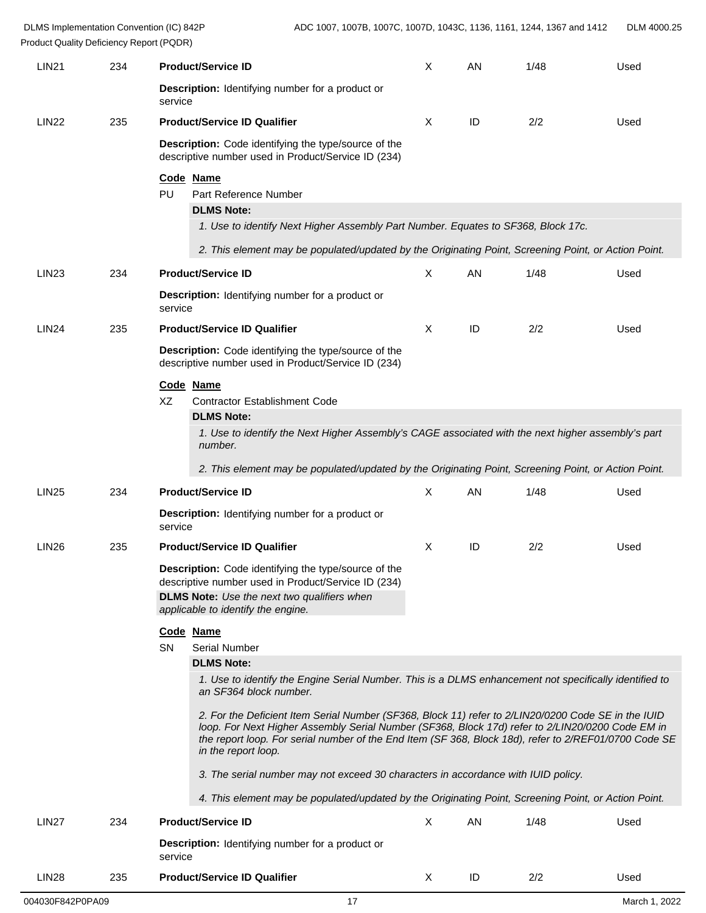| 004030F842P0PA09  |     | 17                                                                                                                                                                                                                                                                                                                                      |   |    |      | March 1, 2022 |
|-------------------|-----|-----------------------------------------------------------------------------------------------------------------------------------------------------------------------------------------------------------------------------------------------------------------------------------------------------------------------------------------|---|----|------|---------------|
| LIN <sub>28</sub> | 235 | <b>Product/Service ID Qualifier</b>                                                                                                                                                                                                                                                                                                     | X | ID | 2/2  | Used          |
|                   |     | <b>Description:</b> Identifying number for a product or<br>service                                                                                                                                                                                                                                                                      |   |    |      |               |
| <b>LIN27</b>      | 234 | 4. This element may be populated/updated by the Originating Point, Screening Point, or Action Point.<br><b>Product/Service ID</b>                                                                                                                                                                                                       | X | AN | 1/48 | Used          |
|                   |     | 3. The serial number may not exceed 30 characters in accordance with IUID policy.                                                                                                                                                                                                                                                       |   |    |      |               |
|                   |     | 2. For the Deficient Item Serial Number (SF368, Block 11) refer to 2/LIN20/0200 Code SE in the IUID<br>loop. For Next Higher Assembly Serial Number (SF368, Block 17d) refer to 2/LIN20/0200 Code EM in<br>the report loop. For serial number of the End Item (SF 368, Block 18d), refer to 2/REF01/0700 Code SE<br>in the report loop. |   |    |      |               |
|                   |     | 1. Use to identify the Engine Serial Number. This is a DLMS enhancement not specifically identified to<br>an SF364 block number.                                                                                                                                                                                                        |   |    |      |               |
|                   |     | SN<br><b>Serial Number</b><br><b>DLMS Note:</b>                                                                                                                                                                                                                                                                                         |   |    |      |               |
|                   |     | applicable to identify the engine.<br>Code Name                                                                                                                                                                                                                                                                                         |   |    |      |               |
|                   |     | Description: Code identifying the type/source of the<br>descriptive number used in Product/Service ID (234)<br><b>DLMS Note:</b> Use the next two qualifiers when                                                                                                                                                                       |   |    |      |               |
| <b>LIN26</b>      | 235 | <b>Product/Service ID Qualifier</b>                                                                                                                                                                                                                                                                                                     | X | ID | 2/2  | Used          |
|                   |     | <b>Description:</b> Identifying number for a product or<br>service                                                                                                                                                                                                                                                                      |   |    |      |               |
| <b>LIN25</b>      | 234 | <b>Product/Service ID</b>                                                                                                                                                                                                                                                                                                               | Х | AN | 1/48 | Used          |
|                   |     | 2. This element may be populated/updated by the Originating Point, Screening Point, or Action Point.                                                                                                                                                                                                                                    |   |    |      |               |
|                   |     | XZ<br><b>Contractor Establishment Code</b><br><b>DLMS Note:</b><br>1. Use to identify the Next Higher Assembly's CAGE associated with the next higher assembly's part<br>number.                                                                                                                                                        |   |    |      |               |
|                   |     | Code Name                                                                                                                                                                                                                                                                                                                               |   |    |      |               |
|                   |     | Description: Code identifying the type/source of the<br>descriptive number used in Product/Service ID (234)                                                                                                                                                                                                                             |   |    |      |               |
| <b>LIN24</b>      | 235 | <b>Product/Service ID Qualifier</b>                                                                                                                                                                                                                                                                                                     | X | ID | 2/2  | Used          |
|                   |     | <b>Description:</b> Identifying number for a product or<br>service                                                                                                                                                                                                                                                                      |   |    |      |               |
| <b>LIN23</b>      | 234 | <b>Product/Service ID</b>                                                                                                                                                                                                                                                                                                               | X | AN | 1/48 | Used          |
|                   |     | 2. This element may be populated/updated by the Originating Point, Screening Point, or Action Point.                                                                                                                                                                                                                                    |   |    |      |               |
|                   |     | <b>DLMS Note:</b><br>1. Use to identify Next Higher Assembly Part Number. Equates to SF368, Block 17c.                                                                                                                                                                                                                                  |   |    |      |               |
|                   |     | Code Name<br><b>PU</b><br>Part Reference Number                                                                                                                                                                                                                                                                                         |   |    |      |               |
|                   |     | descriptive number used in Product/Service ID (234)                                                                                                                                                                                                                                                                                     |   |    |      |               |
| <b>LIN22</b>      | 235 | <b>Product/Service ID Qualifier</b><br>Description: Code identifying the type/source of the                                                                                                                                                                                                                                             | X | ID | 2/2  | Used          |
|                   |     | service                                                                                                                                                                                                                                                                                                                                 |   |    |      |               |
| <b>LIN21</b>      | 234 | <b>Product/Service ID</b><br>Description: Identifying number for a product or                                                                                                                                                                                                                                                           | X | AN | 1/48 | Used          |
|                   |     |                                                                                                                                                                                                                                                                                                                                         |   |    |      |               |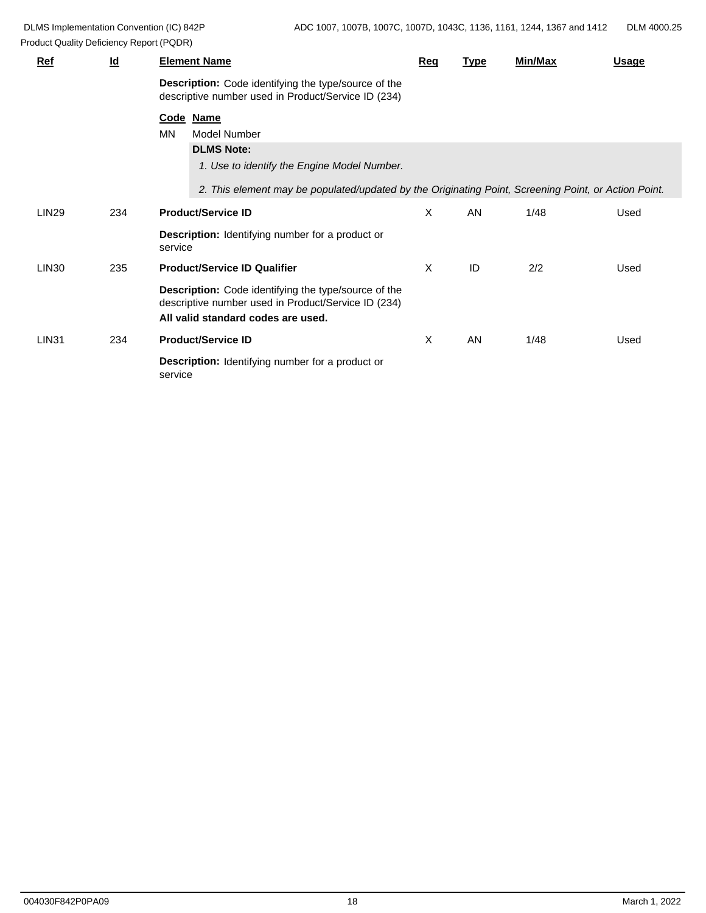| <u>Ref</u>        | $\underline{\mathsf{Id}}$ | <b>Element Name</b>                                                                                                                                      | <b>Req</b> | Type | Min/Max | Usage |
|-------------------|---------------------------|----------------------------------------------------------------------------------------------------------------------------------------------------------|------------|------|---------|-------|
|                   |                           | Description: Code identifying the type/source of the<br>descriptive number used in Product/Service ID (234)                                              |            |      |         |       |
|                   |                           | Code Name<br>Model Number<br>MN<br><b>DLMS Note:</b><br>1. Use to identify the Engine Model Number.                                                      |            |      |         |       |
|                   |                           | 2. This element may be populated/updated by the Originating Point, Screening Point, or Action Point.                                                     |            |      |         |       |
| <b>LIN29</b>      | 234                       | <b>Product/Service ID</b>                                                                                                                                | X          | AN   | 1/48    | Used  |
|                   |                           | <b>Description:</b> Identifying number for a product or<br>service                                                                                       |            |      |         |       |
| LIN <sub>30</sub> | 235                       | <b>Product/Service ID Qualifier</b>                                                                                                                      | X          | ID   | 2/2     | Used  |
|                   |                           | <b>Description:</b> Code identifying the type/source of the<br>descriptive number used in Product/Service ID (234)<br>All valid standard codes are used. |            |      |         |       |
| <b>LIN31</b>      | 234                       | <b>Product/Service ID</b>                                                                                                                                | X          | AN   | 1/48    | Used  |
|                   |                           | Description: Identifying number for a product or<br>service                                                                                              |            |      |         |       |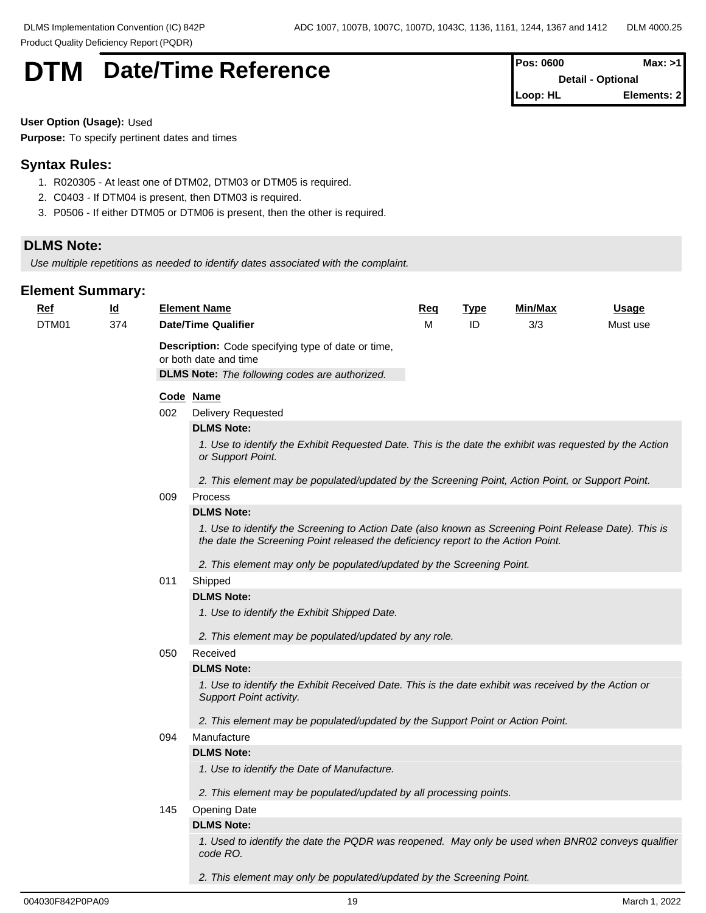# **DTM** Date/Time Reference

| <b>Pos: 0600</b> | Max: >11                 |
|------------------|--------------------------|
|                  | <b>Detail - Optional</b> |
| Loop: HL         | Elements: 2              |

**User Option (Usage):** Used

**Purpose:** To specify pertinent dates and times

# **Syntax Rules:**

- 1. R020305 At least one of DTM02, DTM03 or DTM05 is required.
- 2. C0403 If DTM04 is present, then DTM03 is required.
- 3. P0506 If either DTM05 or DTM06 is present, then the other is required.

## **DLMS Note:**

*Use multiple repetitions as needed to identify dates associated with the complaint.* 

| <b>Ref</b> | <u>ld</u> |     | <b>Element Name</b>                                                                                                                                                                       | Req | <b>Type</b> | Min/Max | <b>Usage</b> |
|------------|-----------|-----|-------------------------------------------------------------------------------------------------------------------------------------------------------------------------------------------|-----|-------------|---------|--------------|
| DTM01      | 374       |     | <b>Date/Time Qualifier</b>                                                                                                                                                                | M   | ID          | 3/3     | Must use     |
|            |           |     | Description: Code specifying type of date or time,<br>or both date and time                                                                                                               |     |             |         |              |
|            |           |     | <b>DLMS Note:</b> The following codes are authorized.                                                                                                                                     |     |             |         |              |
|            |           |     | Code Name                                                                                                                                                                                 |     |             |         |              |
|            |           | 002 | <b>Delivery Requested</b>                                                                                                                                                                 |     |             |         |              |
|            |           |     | <b>DLMS Note:</b>                                                                                                                                                                         |     |             |         |              |
|            |           |     | 1. Use to identify the Exhibit Requested Date. This is the date the exhibit was requested by the Action<br>or Support Point.                                                              |     |             |         |              |
|            |           |     | 2. This element may be populated/updated by the Screening Point, Action Point, or Support Point.                                                                                          |     |             |         |              |
|            |           | 009 | Process                                                                                                                                                                                   |     |             |         |              |
|            |           |     | <b>DLMS Note:</b>                                                                                                                                                                         |     |             |         |              |
|            |           |     | 1. Use to identify the Screening to Action Date (also known as Screening Point Release Date). This is<br>the date the Screening Point released the deficiency report to the Action Point. |     |             |         |              |
|            |           |     | 2. This element may only be populated/updated by the Screening Point.                                                                                                                     |     |             |         |              |
|            |           | 011 | Shipped                                                                                                                                                                                   |     |             |         |              |
|            |           |     | <b>DLMS Note:</b>                                                                                                                                                                         |     |             |         |              |
|            |           |     | 1. Use to identify the Exhibit Shipped Date.                                                                                                                                              |     |             |         |              |
|            |           |     | 2. This element may be populated/updated by any role.                                                                                                                                     |     |             |         |              |
|            |           | 050 | Received                                                                                                                                                                                  |     |             |         |              |
|            |           |     | <b>DLMS Note:</b>                                                                                                                                                                         |     |             |         |              |
|            |           |     | 1. Use to identify the Exhibit Received Date. This is the date exhibit was received by the Action or<br>Support Point activity.                                                           |     |             |         |              |
|            |           |     | 2. This element may be populated/updated by the Support Point or Action Point.                                                                                                            |     |             |         |              |
|            |           | 094 | Manufacture                                                                                                                                                                               |     |             |         |              |
|            |           |     | <b>DLMS Note:</b>                                                                                                                                                                         |     |             |         |              |
|            |           |     | 1. Use to identify the Date of Manufacture.                                                                                                                                               |     |             |         |              |
|            |           |     | 2. This element may be populated/updated by all processing points.                                                                                                                        |     |             |         |              |
|            |           | 145 | <b>Opening Date</b>                                                                                                                                                                       |     |             |         |              |
|            |           |     | <b>DLMS Note:</b>                                                                                                                                                                         |     |             |         |              |
|            |           |     | 1. Used to identify the date the PQDR was reopened. May only be used when BNR02 conveys qualifier<br>code RO.                                                                             |     |             |         |              |
|            |           |     | 2. This element may only be populated/updated by the Screening Point.                                                                                                                     |     |             |         |              |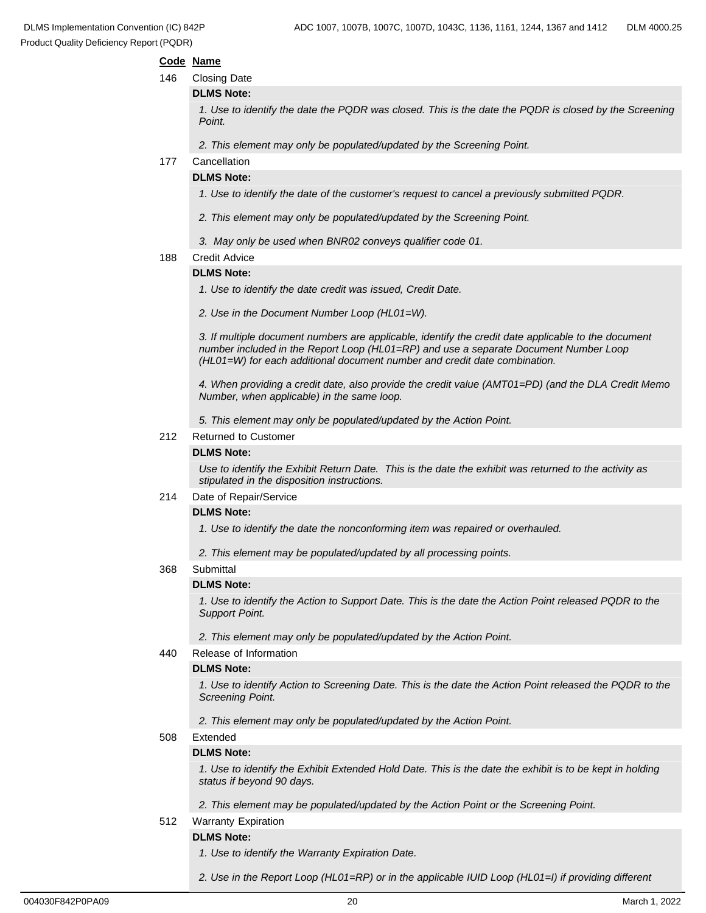#### 146 Closing Date

#### **DLMS Note:**

*1. Use to identify the date the PQDR was closed. This is the date the PQDR is closed by the Screening Point.*

*2. This element may only be populated/updated by the Screening Point.*

#### 177 Cancellation

## **DLMS Note:**

*1. Use to identify the date of the customer's request to cancel a previously submitted PQDR.*

- *2. This element may only be populated/updated by the Screening Point.*
- *3. May only be used when BNR02 conveys qualifier code 01.*

#### 188 Credit Advice

## **DLMS Note:**

*1. Use to identify the date credit was issued, Credit Date.*

*2. Use in the Document Number Loop (HL01=W).*

*3. If multiple document numbers are applicable, identify the credit date applicable to the document number included in the Report Loop (HL01=RP) and use a separate Document Number Loop (HL01=W) for each additional document number and credit date combination.*

*4. When providing a credit date, also provide the credit value (AMT01=PD) (and the DLA Credit Memo Number, when applicable) in the same loop.*

*5. This element may only be populated/updated by the Action Point.*

#### 212 Returned to Customer

### **DLMS Note:**

*Use to identify the Exhibit Return Date. This is the date the exhibit was returned to the activity as stipulated in the disposition instructions.*

#### 214 Date of Repair/Service

#### **DLMS Note:**

*1. Use to identify the date the nonconforming item was repaired or overhauled.*

*2. This element may be populated/updated by all processing points.*

#### 368 Submittal

#### **DLMS Note:**

*1. Use to identify the Action to Support Date. This is the date the Action Point released PQDR to the Support Point.*

*2. This element may only be populated/updated by the Action Point.*

440 Release of Information

#### **DLMS Note:**

*1. Use to identify Action to Screening Date. This is the date the Action Point released the PQDR to the Screening Point.*

*2. This element may only be populated/updated by the Action Point.*

#### 508 Extended

### **DLMS Note:**

*1. Use to identify the Exhibit Extended Hold Date. This is the date the exhibit is to be kept in holding status if beyond 90 days.*

*2. This element may be populated/updated by the Action Point or the Screening Point.*

#### 512 Warranty Expiration

### **DLMS Note:**

*1. Use to identify the Warranty Expiration Date.*

*2. Use in the Report Loop (HL01=RP) or in the applicable IUID Loop (HL01=I) if providing different*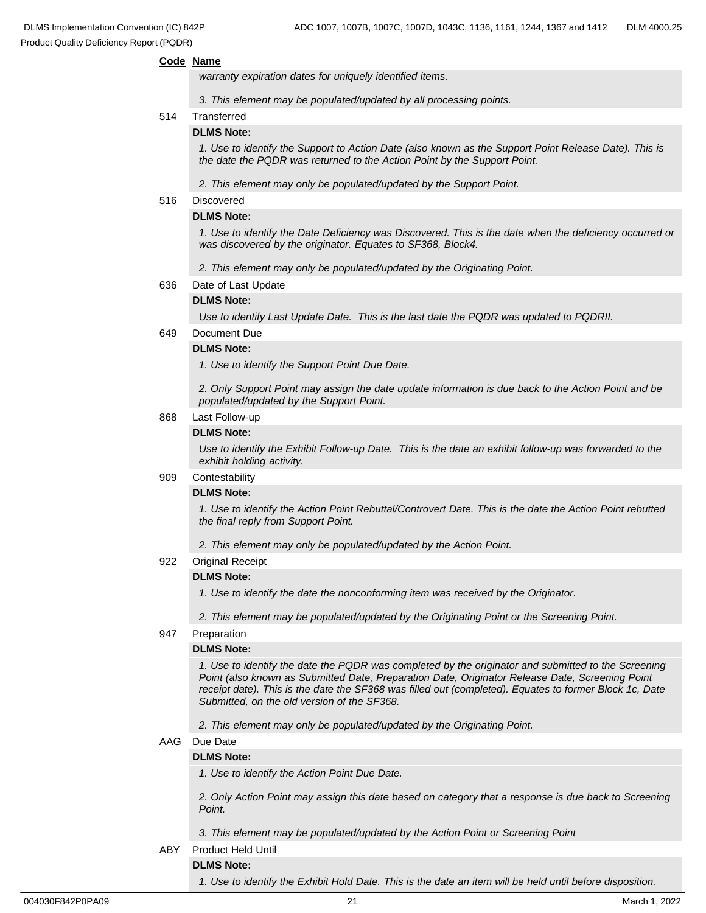*warranty expiration dates for uniquely identified items.*

*3. This element may be populated/updated by all processing points.*

## 514 Transferred

## **DLMS Note:**

*1. Use to identify the Support to Action Date (also known as the Support Point Release Date). This is the date the PQDR was returned to the Action Point by the Support Point.*

*2. This element may only be populated/updated by the Support Point.*

#### 516 Discovered

#### **DLMS Note:**

*1. Use to identify the Date Deficiency was Discovered. This is the date when the deficiency occurred or was discovered by the originator. Equates to SF368, Block4.*

*2. This element may only be populated/updated by the Originating Point.*

#### 636 Date of Last Update

#### **DLMS Note:**

*Use to identify Last Update Date. This is the last date the PQDR was updated to PQDRII.*

#### 649 Document Due

## **DLMS Note:**

*1. Use to identify the Support Point Due Date.*

*2. Only Support Point may assign the date update information is due back to the Action Point and be populated/updated by the Support Point.*

## 868 Last Follow-up

## **DLMS Note:**

*Use to identify the Exhibit Follow-up Date. This is the date an exhibit follow-up was forwarded to the exhibit holding activity.*

#### 909 Contestability

### **DLMS Note:**

*1. Use to identify the Action Point Rebuttal/Controvert Date. This is the date the Action Point rebutted the final reply from Support Point.*

*2. This element may only be populated/updated by the Action Point.*

#### 922 Original Receipt

## **DLMS Note:**

*1. Use to identify the date the nonconforming item was received by the Originator.*

*2. This element may be populated/updated by the Originating Point or the Screening Point.*

#### 947 Preparation

#### **DLMS Note:**

*1. Use to identify the date the PQDR was completed by the originator and submitted to the Screening Point (also known as Submitted Date, Preparation Date, Originator Release Date, Screening Point receipt date). This is the date the SF368 was filled out (completed). Equates to former Block 1c, Date Submitted, on the old version of the SF368.*

*2. This element may only be populated/updated by the Originating Point.*

#### AAG Due Date

#### **DLMS Note:**

*1. Use to identify the Action Point Due Date.*

*2. Only Action Point may assign this date based on category that a response is due back to Screening Point.*

*3. This element may be populated/updated by the Action Point or Screening Point*

ABY Product Held Until

#### **DLMS Note:**

*1. Use to identify the Exhibit Hold Date. This is the date an item will be held until before disposition.*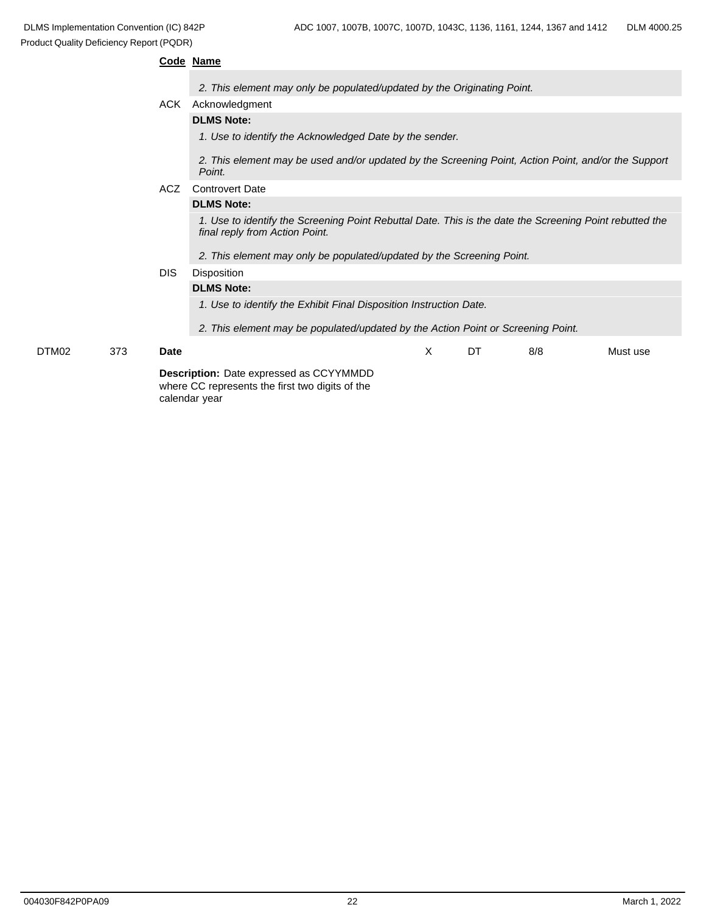| 2. This element may only be populated/updated by the Originating Point.<br>Acknowledgment<br>ACK<br><b>DLMS Note:</b>                     |
|-------------------------------------------------------------------------------------------------------------------------------------------|
|                                                                                                                                           |
|                                                                                                                                           |
|                                                                                                                                           |
| 1. Use to identify the Acknowledged Date by the sender.                                                                                   |
| 2. This element may be used and/or updated by the Screening Point, Action Point, and/or the Support<br>Point.                             |
| <b>ACZ</b><br><b>Controvert Date</b>                                                                                                      |
| <b>DLMS Note:</b>                                                                                                                         |
| 1. Use to identify the Screening Point Rebuttal Date. This is the date the Screening Point rebutted the<br>final reply from Action Point. |
| 2. This element may only be populated/updated by the Screening Point.                                                                     |
| <b>DIS</b><br>Disposition                                                                                                                 |
| <b>DLMS Note:</b>                                                                                                                         |
| 1. Use to identify the Exhibit Final Disposition Instruction Date.                                                                        |
| 2. This element may be populated/updated by the Action Point or Screening Point.                                                          |
| DTM02<br>X<br>8/8<br>373<br><b>Date</b><br>DT<br>Must use                                                                                 |
| Description: Date expressed as CCYYMMDD<br>where CC represents the first two digits of the<br>calendar year                               |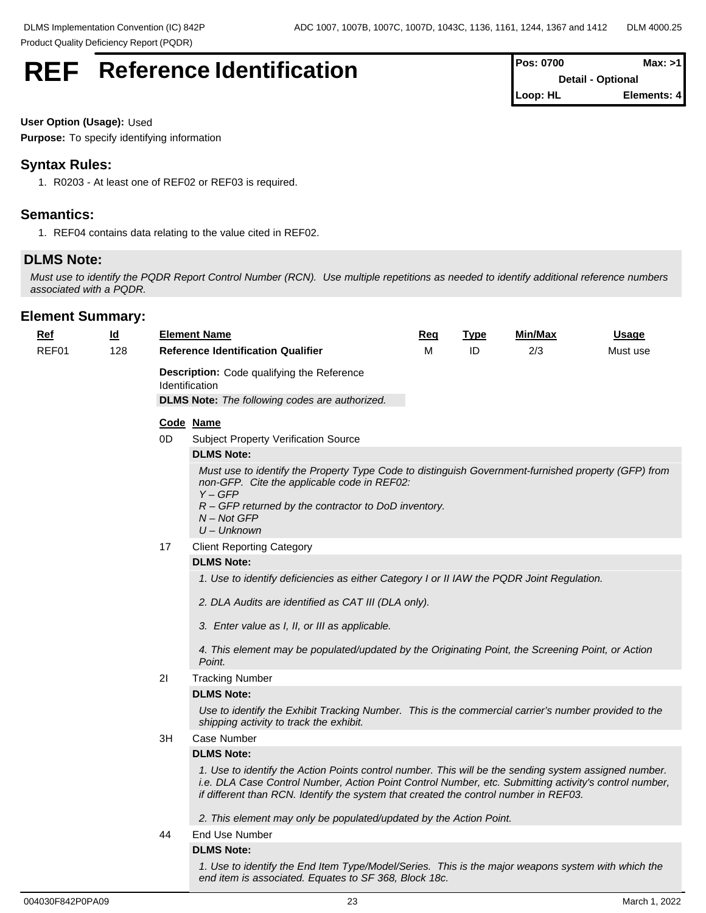# **REF** Reference Identification

| <b>IPos: 0700</b>         | Max: >1                  |
|---------------------------|--------------------------|
|                           | <b>Detail - Optional</b> |
| $\blacksquare$ Loop: $HL$ | Elements: 4              |

**User Option (Usage):** Used

**Purpose:** To specify identifying information

# **Syntax Rules:**

1. R0203 - At least one of REF02 or REF03 is required.

# **Semantics:**

1. REF04 contains data relating to the value cited in REF02.

# **DLMS Note:**

*Must use to identify the PQDR Report Control Number (RCN). Use multiple repetitions as needed to identify additional reference numbers associated with a PQDR.*

# **Element Summary:**

| <b>Ref</b> | $\underline{\mathsf{Id}}$ |                                                                                           | <b>Element Name</b>                                                                                                                                                                                                                                                                                    | Req | <b>Type</b> | <b>Min/Max</b> | <b>Usage</b> |
|------------|---------------------------|-------------------------------------------------------------------------------------------|--------------------------------------------------------------------------------------------------------------------------------------------------------------------------------------------------------------------------------------------------------------------------------------------------------|-----|-------------|----------------|--------------|
| REF01      | 128                       |                                                                                           | <b>Reference Identification Qualifier</b>                                                                                                                                                                                                                                                              | M   | ID          | 2/3            | Must use     |
|            |                           |                                                                                           | <b>Description:</b> Code qualifying the Reference<br><b>Identification</b>                                                                                                                                                                                                                             |     |             |                |              |
|            |                           |                                                                                           | <b>DLMS Note:</b> The following codes are authorized.                                                                                                                                                                                                                                                  |     |             |                |              |
|            |                           |                                                                                           | Code Name                                                                                                                                                                                                                                                                                              |     |             |                |              |
|            |                           | 0D                                                                                        | <b>Subject Property Verification Source</b>                                                                                                                                                                                                                                                            |     |             |                |              |
|            |                           |                                                                                           | <b>DLMS Note:</b>                                                                                                                                                                                                                                                                                      |     |             |                |              |
|            |                           |                                                                                           | Must use to identify the Property Type Code to distinguish Government-furnished property (GFP) from<br>non-GFP. Cite the applicable code in REF02:<br>$Y - GFP$<br>R - GFP returned by the contractor to DoD inventory.<br>$N - Not GFP$<br>$U - Unknown$                                              |     |             |                |              |
|            |                           | 17                                                                                        | <b>Client Reporting Category</b>                                                                                                                                                                                                                                                                       |     |             |                |              |
|            |                           | <b>DLMS Note:</b>                                                                         |                                                                                                                                                                                                                                                                                                        |     |             |                |              |
|            |                           | 1. Use to identify deficiencies as either Category I or II IAW the PQDR Joint Regulation. |                                                                                                                                                                                                                                                                                                        |     |             |                |              |
|            |                           |                                                                                           | 2. DLA Audits are identified as CAT III (DLA only).                                                                                                                                                                                                                                                    |     |             |                |              |
|            |                           | 3. Enter value as I, II, or III as applicable.                                            |                                                                                                                                                                                                                                                                                                        |     |             |                |              |
|            |                           |                                                                                           | 4. This element may be populated/updated by the Originating Point, the Screening Point, or Action<br>Point.                                                                                                                                                                                            |     |             |                |              |
|            |                           | 21                                                                                        | <b>Tracking Number</b>                                                                                                                                                                                                                                                                                 |     |             |                |              |
|            |                           |                                                                                           | <b>DLMS Note:</b>                                                                                                                                                                                                                                                                                      |     |             |                |              |
|            |                           |                                                                                           | Use to identify the Exhibit Tracking Number. This is the commercial carrier's number provided to the<br>shipping activity to track the exhibit.                                                                                                                                                        |     |             |                |              |
|            |                           | 3H                                                                                        | Case Number                                                                                                                                                                                                                                                                                            |     |             |                |              |
|            |                           |                                                                                           | <b>DLMS Note:</b>                                                                                                                                                                                                                                                                                      |     |             |                |              |
|            |                           |                                                                                           | 1. Use to identify the Action Points control number. This will be the sending system assigned number.<br>i.e. DLA Case Control Number, Action Point Control Number, etc. Submitting activity's control number,<br>if different than RCN. Identify the system that created the control number in REF03. |     |             |                |              |
|            |                           |                                                                                           | 2. This element may only be populated/updated by the Action Point.                                                                                                                                                                                                                                     |     |             |                |              |
|            |                           | 44                                                                                        | End Use Number                                                                                                                                                                                                                                                                                         |     |             |                |              |
|            |                           |                                                                                           | <b>DLMS Note:</b>                                                                                                                                                                                                                                                                                      |     |             |                |              |
|            |                           |                                                                                           | 1. Use to identify the End Item Type/Model/Series. This is the major weapons system with which the                                                                                                                                                                                                     |     |             |                |              |

*end item is associated. Equates to SF 368, Block 18c.*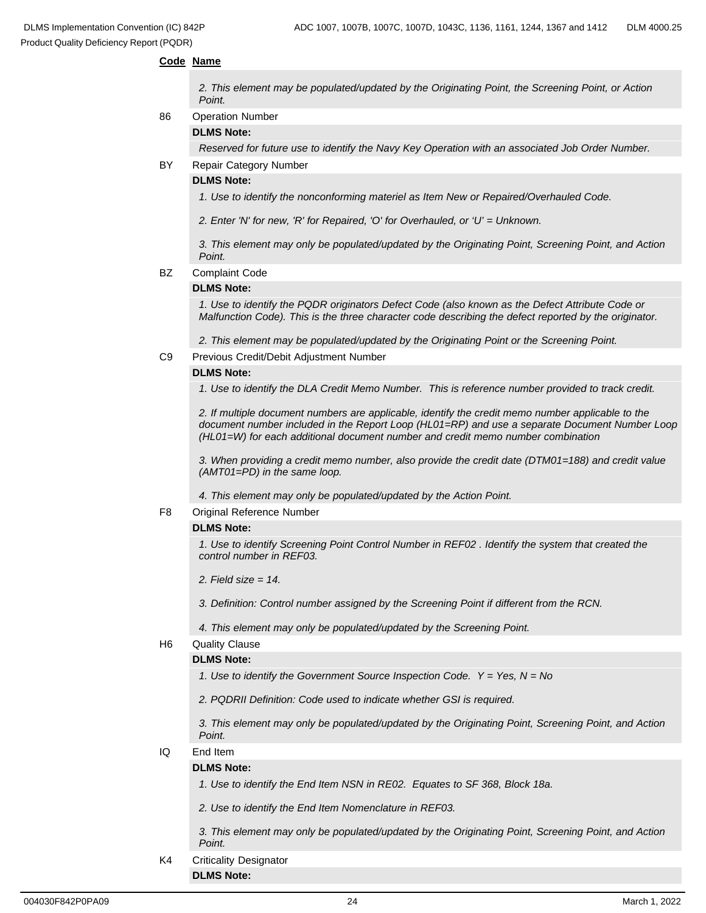*2. This element may be populated/updated by the Originating Point, the Screening Point, or Action Point.*

86 Operation Number

# **DLMS Note:**

*Reserved for future use to identify the Navy Key Operation with an associated Job Order Number.*

BY Repair Category Number

## **DLMS Note:**

*1. Use to identify the nonconforming materiel as Item New or Repaired/Overhauled Code.*

*2. Enter 'N' for new, 'R' for Repaired, 'O' for Overhauled, or 'U' = Unknown.*

*3. This element may only be populated/updated by the Originating Point, Screening Point, and Action Point.*

#### BZ Complaint Code

#### **DLMS Note:**

*1. Use to identify the PQDR originators Defect Code (also known as the Defect Attribute Code or Malfunction Code). This is the three character code describing the defect reported by the originator.*

*2. This element may be populated/updated by the Originating Point or the Screening Point.*

C9 Previous Credit/Debit Adjustment Number

## **DLMS Note:**

*1. Use to identify the DLA Credit Memo Number. This is reference number provided to track credit.*

*2. If multiple document numbers are applicable, identify the credit memo number applicable to the document number included in the Report Loop (HL01=RP) and use a separate Document Number Loop (HL01=W) for each additional document number and credit memo number combination*

*3. When providing a credit memo number, also provide the credit date (DTM01=188) and credit value (AMT01=PD) in the same loop.*

*4. This element may only be populated/updated by the Action Point.*

F8 Original Reference Number

#### **DLMS Note:**

*1. Use to identify Screening Point Control Number in REF02 . Identify the system that created the control number in REF03.*

- *2. Field size = 14.*
- *3. Definition: Control number assigned by the Screening Point if different from the RCN.*
- *4. This element may only be populated/updated by the Screening Point.*

#### H6 Quality Clause

#### **DLMS Note:**

- *1. Use to identify the Government Source Inspection Code. Y = Yes, N = No*
- *2. PQDRII Definition: Code used to indicate whether GSI is required.*

*3. This element may only be populated/updated by the Originating Point, Screening Point, and Action Point.*

#### IQ End Item

#### **DLMS Note:**

*1. Use to identify the End Item NSN in RE02. Equates to SF 368, Block 18a.*

*2. Use to identify the End Item Nomenclature in REF03.*

*3. This element may only be populated/updated by the Originating Point, Screening Point, and Action Point.*

K4 Criticality Designator **DLMS Note:**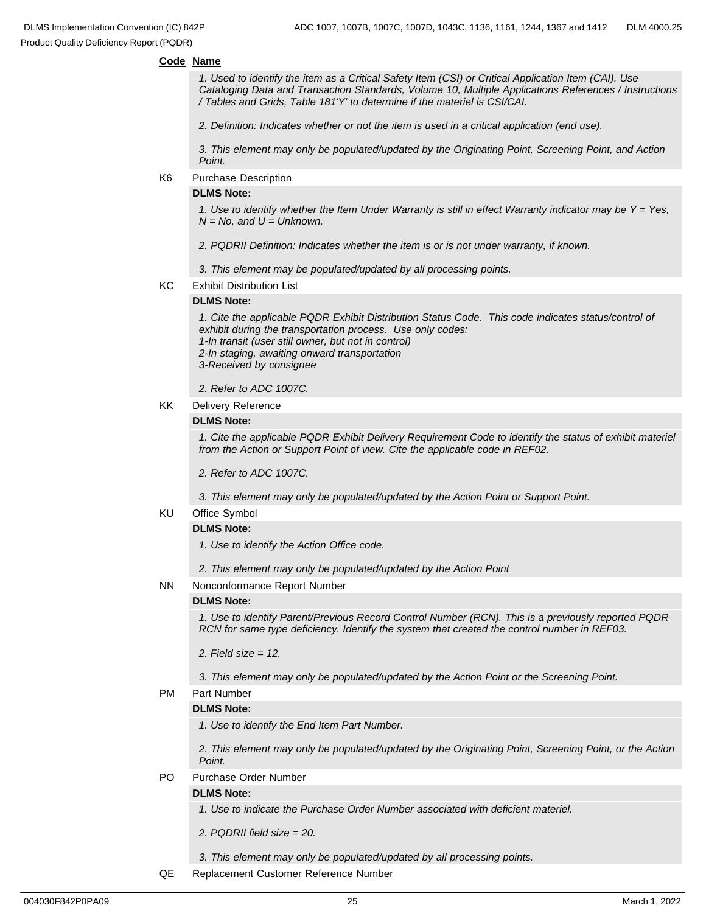*1. Used to identify the item as a Critical Safety Item (CSI) or Critical Application Item (CAI). Use Cataloging Data and Transaction Standards, Volume 10, Multiple Applications References / Instructions / Tables and Grids, Table 181'Y' to determine if the materiel is CSI/CAI.* 

*2. Definition: Indicates whether or not the item is used in a critical application (end use).*

*3. This element may only be populated/updated by the Originating Point, Screening Point, and Action Point.*

K6 Purchase Description

#### **DLMS Note:**

*1. Use to identify whether the Item Under Warranty is still in effect Warranty indicator may be Y = Yes, N = No, and U = Unknown.*

*2. PQDRII Definition: Indicates whether the item is or is not under warranty, if known.*

*3. This element may be populated/updated by all processing points.*

KC Exhibit Distribution List

#### **DLMS Note:**

*1. Cite the applicable PQDR Exhibit Distribution Status Code. This code indicates status/control of exhibit during the transportation process. Use only codes: 1-In transit (user still owner, but not in control) 2-In staging, awaiting onward transportation 3-Received by consignee*

*2. Refer to ADC 1007C.*

KK Delivery Reference

### **DLMS Note:**

*1. Cite the applicable PQDR Exhibit Delivery Requirement Code to identify the status of exhibit materiel from the Action or Support Point of view. Cite the applicable code in REF02.* 

*2. Refer to ADC 1007C.*

*3. This element may only be populated/updated by the Action Point or Support Point.*

## KU Office Symbol

#### **DLMS Note:**

*1. Use to identify the Action Office code.*

- *2. This element may only be populated/updated by the Action Point*
- NN Nonconformance Report Number

#### **DLMS Note:**

*1. Use to identify Parent/Previous Record Control Number (RCN). This is a previously reported PQDR RCN for same type deficiency. Identify the system that created the control number in REF03.*

- *2. Field size = 12.*
- *3. This element may only be populated/updated by the Action Point or the Screening Point.*

### PM Part Number

### **DLMS Note:**

*1. Use to identify the End Item Part Number.*

*2. This element may only be populated/updated by the Originating Point, Screening Point, or the Action Point.*

PO Purchase Order Number

#### **DLMS Note:**

*1. Use to indicate the Purchase Order Number associated with deficient materiel.*

- *2. PQDRII field size = 20.*
- *3. This element may only be populated/updated by all processing points.*
- QE Replacement Customer Reference Number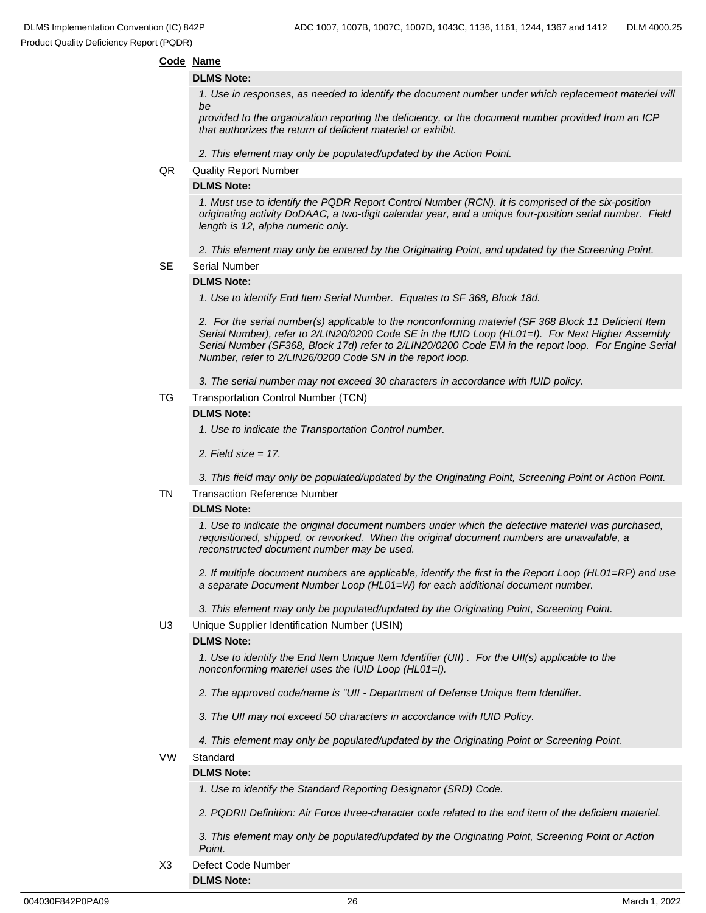## **DLMS Note:**

*1. Use in responses, as needed to identify the document number under which replacement materiel will be*

*provided to the organization reporting the deficiency, or the document number provided from an ICP that authorizes the return of deficient materiel or exhibit.*

*2. This element may only be populated/updated by the Action Point.*

QR Quality Report Number

#### **DLMS Note:**

*1. Must use to identify the PQDR Report Control Number (RCN). It is comprised of the six-position originating activity DoDAAC, a two-digit calendar year, and a unique four-position serial number. Field length is 12, alpha numeric only.*

*2. This element may only be entered by the Originating Point, and updated by the Screening Point.*

```
SE Serial Number
```
#### **DLMS Note:**

*1. Use to identify End Item Serial Number. Equates to SF 368, Block 18d.*

*2. For the serial number(s) applicable to the nonconforming materiel (SF 368 Block 11 Deficient Item Serial Number), refer to 2/LIN20/0200 Code SE in the IUID Loop (HL01=I). For Next Higher Assembly Serial Number (SF368, Block 17d) refer to 2/LIN20/0200 Code EM in the report loop. For Engine Serial Number, refer to 2/LIN26/0200 Code SN in the report loop.*

 *3. The serial number may not exceed 30 characters in accordance with IUID policy.*

#### TG Transportation Control Number (TCN)

#### **DLMS Note:**

*1. Use to indicate the Transportation Control number.*

*2. Field size = 17.*

*3. This field may only be populated/updated by the Originating Point, Screening Point or Action Point.*

TN Transaction Reference Number

### **DLMS Note:**

*1. Use to indicate the original document numbers under which the defective materiel was purchased, requisitioned, shipped, or reworked. When the original document numbers are unavailable, a reconstructed document number may be used.*

*2. If multiple document numbers are applicable, identify the first in the Report Loop (HL01=RP) and use a separate Document Number Loop (HL01=W) for each additional document number.*

*3. This element may only be populated/updated by the Originating Point, Screening Point.*

U3 Unique Supplier Identification Number (USIN)

#### **DLMS Note:**

*1. Use to identify the End Item Unique Item Identifier (UII) . For the UII(s) applicable to the nonconforming materiel uses the IUID Loop (HL01=I).*

- *2. The approved code/name is "UII Department of Defense Unique Item Identifier.*
- *3. The UII may not exceed 50 characters in accordance with IUID Policy.*
- *4. This element may only be populated/updated by the Originating Point or Screening Point.*

VW Standard

#### **DLMS Note:**

*1. Use to identify the Standard Reporting Designator (SRD) Code.*

*2. PQDRII Definition: Air Force three-character code related to the end item of the deficient materiel.*

*3. This element may only be populated/updated by the Originating Point, Screening Point or Action Point.*

X3 Defect Code Number

**DLMS Note:**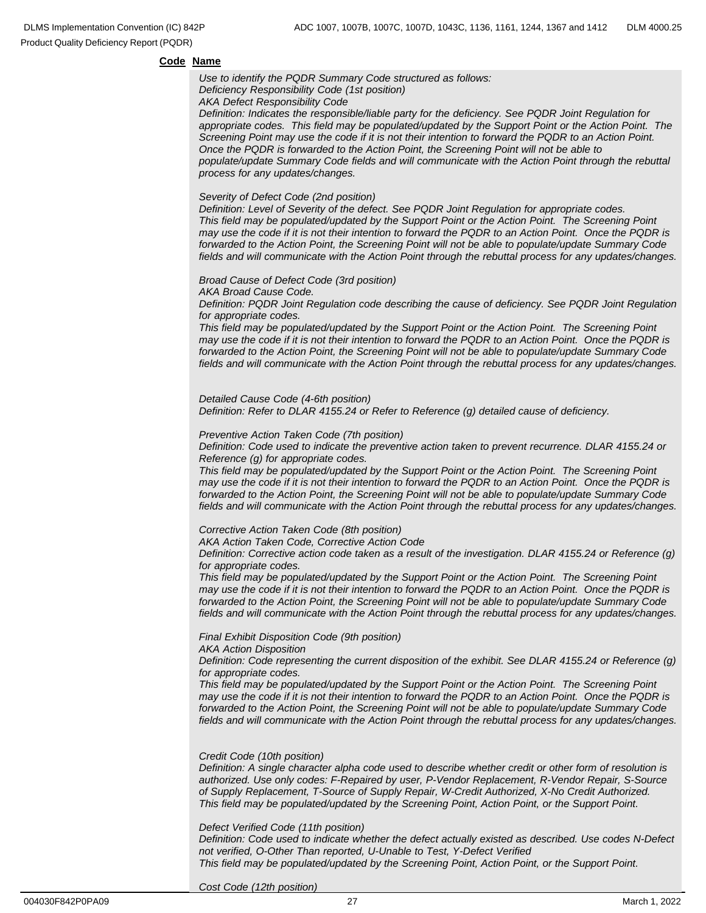*Use to identify the PQDR Summary Code structured as follows: Deficiency Responsibility Code (1st position)*

*AKA Defect Responsibility Code*

*Definition: Indicates the responsible/liable party for the deficiency. See PQDR Joint Regulation for appropriate codes. This field may be populated/updated by the Support Point or the Action Point. The Screening Point may use the code if it is not their intention to forward the PQDR to an Action Point. Once the PQDR is forwarded to the Action Point, the Screening Point will not be able to populate/update Summary Code fields and will communicate with the Action Point through the rebuttal process for any updates/changes.* 

#### *Severity of Defect Code (2nd position)*

*Definition: Level of Severity of the defect. See PQDR Joint Regulation for appropriate codes. This field may be populated/updated by the Support Point or the Action Point. The Screening Point may use the code if it is not their intention to forward the PQDR to an Action Point. Once the PQDR is forwarded to the Action Point, the Screening Point will not be able to populate/update Summary Code fields and will communicate with the Action Point through the rebuttal process for any updates/changes.*

# *Broad Cause of Defect Code (3rd position)*

*AKA Broad Cause Code.*

*Definition: PQDR Joint Regulation code describing the cause of deficiency. See PQDR Joint Regulation for appropriate codes.*

*This field may be populated/updated by the Support Point or the Action Point. The Screening Point may use the code if it is not their intention to forward the PQDR to an Action Point. Once the PQDR is forwarded to the Action Point, the Screening Point will not be able to populate/update Summary Code fields and will communicate with the Action Point through the rebuttal process for any updates/changes.*

 *Detailed Cause Code (4-6th position) Definition: Refer to DLAR 4155.24 or Refer to Reference (g) detailed cause of deficiency.*

#### *Preventive Action Taken Code (7th position)*

*Definition: Code used to indicate the preventive action taken to prevent recurrence. DLAR 4155.24 or Reference (g) for appropriate codes.*

*This field may be populated/updated by the Support Point or the Action Point. The Screening Point may use the code if it is not their intention to forward the PQDR to an Action Point. Once the PQDR is forwarded to the Action Point, the Screening Point will not be able to populate/update Summary Code fields and will communicate with the Action Point through the rebuttal process for any updates/changes.*

## *Corrective Action Taken Code (8th position)*

*AKA Action Taken Code, Corrective Action Code*

*Definition: Corrective action code taken as a result of the investigation. DLAR 4155.24 or Reference (g) for appropriate codes.*

*This field may be populated/updated by the Support Point or the Action Point. The Screening Point may use the code if it is not their intention to forward the PQDR to an Action Point. Once the PQDR is forwarded to the Action Point, the Screening Point will not be able to populate/update Summary Code fields and will communicate with the Action Point through the rebuttal process for any updates/changes.*

## *Final Exhibit Disposition Code (9th position)*

*AKA Action Disposition*

*Definition: Code representing the current disposition of the exhibit. See DLAR 4155.24 or Reference (g) for appropriate codes.*

*This field may be populated/updated by the Support Point or the Action Point. The Screening Point may use the code if it is not their intention to forward the PQDR to an Action Point. Once the PQDR is forwarded to the Action Point, the Screening Point will not be able to populate/update Summary Code fields and will communicate with the Action Point through the rebuttal process for any updates/changes.*

#### *Credit Code (10th position)*

*Definition: A single character alpha code used to describe whether credit or other form of resolution is authorized. Use only codes: F-Repaired by user, P-Vendor Replacement, R-Vendor Repair, S-Source of Supply Replacement, T-Source of Supply Repair, W-Credit Authorized, X-No Credit Authorized. This field may be populated/updated by the Screening Point, Action Point, or the Support Point.*

*Defect Verified Code (11th position)*

*Definition: Code used to indicate whether the defect actually existed as described. Use codes N-Defect not verified, O-Other Than reported, U-Unable to Test, Y-Defect Verified This field may be populated/updated by the Screening Point, Action Point, or the Support Point.*

*Cost Code (12th position)*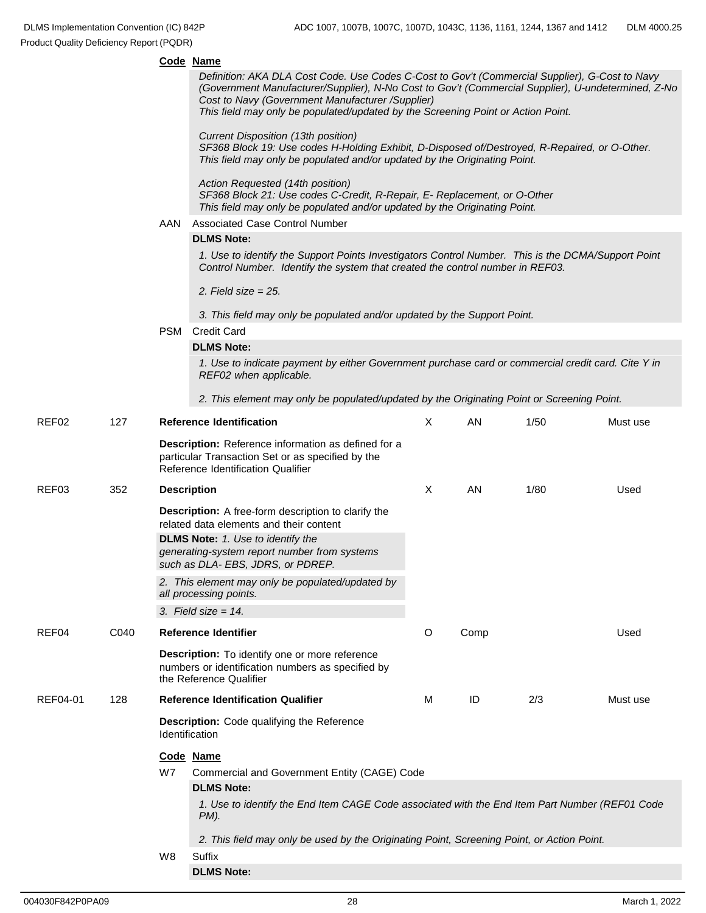|          |      |            | Code Name<br>Definition: AKA DLA Cost Code. Use Codes C-Cost to Gov't (Commercial Supplier), G-Cost to Navy<br>(Government Manufacturer/Supplier), N-No Cost to Gov't (Commercial Supplier), U-undetermined, Z-No<br>Cost to Navy (Government Manufacturer / Supplier)<br>This field may only be populated/updated by the Screening Point or Action Point. |                                                                          |      |      |          |  |  |  |  |  |  |
|----------|------|------------|------------------------------------------------------------------------------------------------------------------------------------------------------------------------------------------------------------------------------------------------------------------------------------------------------------------------------------------------------------|--------------------------------------------------------------------------|------|------|----------|--|--|--|--|--|--|
|          |      |            | Current Disposition (13th position)<br>SF368 Block 19: Use codes H-Holding Exhibit, D-Disposed of/Destroyed, R-Repaired, or O-Other.<br>This field may only be populated and/or updated by the Originating Point.                                                                                                                                          |                                                                          |      |      |          |  |  |  |  |  |  |
|          |      |            | Action Requested (14th position)<br>SF368 Block 21: Use codes C-Credit, R-Repair, E- Replacement, or O-Other<br>This field may only be populated and/or updated by the Originating Point.                                                                                                                                                                  |                                                                          |      |      |          |  |  |  |  |  |  |
|          |      | AAN        | <b>Associated Case Control Number</b>                                                                                                                                                                                                                                                                                                                      |                                                                          |      |      |          |  |  |  |  |  |  |
|          |      |            | <b>DLMS Note:</b>                                                                                                                                                                                                                                                                                                                                          |                                                                          |      |      |          |  |  |  |  |  |  |
|          |      |            | 1. Use to identify the Support Points Investigators Control Number. This is the DCMA/Support Point<br>Control Number. Identify the system that created the control number in REF03.<br>2. Field size $= 25$ .                                                                                                                                              |                                                                          |      |      |          |  |  |  |  |  |  |
|          |      |            |                                                                                                                                                                                                                                                                                                                                                            | 3. This field may only be populated and/or updated by the Support Point. |      |      |          |  |  |  |  |  |  |
|          |      | <b>PSM</b> | <b>Credit Card</b>                                                                                                                                                                                                                                                                                                                                         |                                                                          |      |      |          |  |  |  |  |  |  |
|          |      |            | <b>DLMS Note:</b>                                                                                                                                                                                                                                                                                                                                          |                                                                          |      |      |          |  |  |  |  |  |  |
|          |      |            | 1. Use to indicate payment by either Government purchase card or commercial credit card. Cite Y in<br>REF02 when applicable.                                                                                                                                                                                                                               |                                                                          |      |      |          |  |  |  |  |  |  |
|          |      |            | 2. This element may only be populated/updated by the Originating Point or Screening Point.                                                                                                                                                                                                                                                                 |                                                                          |      |      |          |  |  |  |  |  |  |
| REF02    | 127  |            | <b>Reference Identification</b>                                                                                                                                                                                                                                                                                                                            | $\times$                                                                 | AN   | 1/50 | Must use |  |  |  |  |  |  |
|          |      |            | Description: Reference information as defined for a<br>particular Transaction Set or as specified by the<br>Reference Identification Qualifier                                                                                                                                                                                                             |                                                                          |      |      |          |  |  |  |  |  |  |
| REF03    | 352  |            | <b>Description</b>                                                                                                                                                                                                                                                                                                                                         | X                                                                        | AN.  | 1/80 | Used     |  |  |  |  |  |  |
|          |      |            | <b>Description:</b> A free-form description to clarify the<br>related data elements and their content                                                                                                                                                                                                                                                      |                                                                          |      |      |          |  |  |  |  |  |  |
|          |      |            | <b>DLMS Note:</b> 1. Use to identify the<br>generating-system report number from systems<br>such as DLA- EBS, JDRS, or PDREP.                                                                                                                                                                                                                              |                                                                          |      |      |          |  |  |  |  |  |  |
|          |      |            | 2. This element may only be populated/updated by<br>all processing points.                                                                                                                                                                                                                                                                                 |                                                                          |      |      |          |  |  |  |  |  |  |
|          |      |            | 3. Field size $= 14$ .                                                                                                                                                                                                                                                                                                                                     |                                                                          |      |      |          |  |  |  |  |  |  |
| REF04    | C040 |            | <b>Reference Identifier</b>                                                                                                                                                                                                                                                                                                                                | $\circ$                                                                  | Comp |      | Used     |  |  |  |  |  |  |
|          |      |            | Description: To identify one or more reference<br>numbers or identification numbers as specified by<br>the Reference Qualifier                                                                                                                                                                                                                             |                                                                          |      |      |          |  |  |  |  |  |  |
| REF04-01 | 128  |            | <b>Reference Identification Qualifier</b>                                                                                                                                                                                                                                                                                                                  | М                                                                        | ID   | 2/3  | Must use |  |  |  |  |  |  |
|          |      |            | <b>Description:</b> Code qualifying the Reference<br>Identification                                                                                                                                                                                                                                                                                        |                                                                          |      |      |          |  |  |  |  |  |  |
|          |      |            | Code Name                                                                                                                                                                                                                                                                                                                                                  |                                                                          |      |      |          |  |  |  |  |  |  |
|          |      | W7         | Commercial and Government Entity (CAGE) Code                                                                                                                                                                                                                                                                                                               |                                                                          |      |      |          |  |  |  |  |  |  |
|          |      |            | <b>DLMS Note:</b>                                                                                                                                                                                                                                                                                                                                          |                                                                          |      |      |          |  |  |  |  |  |  |
|          |      |            | 1. Use to identify the End Item CAGE Code associated with the End Item Part Number (REF01 Code<br>PM).                                                                                                                                                                                                                                                     |                                                                          |      |      |          |  |  |  |  |  |  |
|          |      |            | 2. This field may only be used by the Originating Point, Screening Point, or Action Point.                                                                                                                                                                                                                                                                 |                                                                          |      |      |          |  |  |  |  |  |  |
|          |      | W8         | Suffix                                                                                                                                                                                                                                                                                                                                                     |                                                                          |      |      |          |  |  |  |  |  |  |

**DLMS Note:**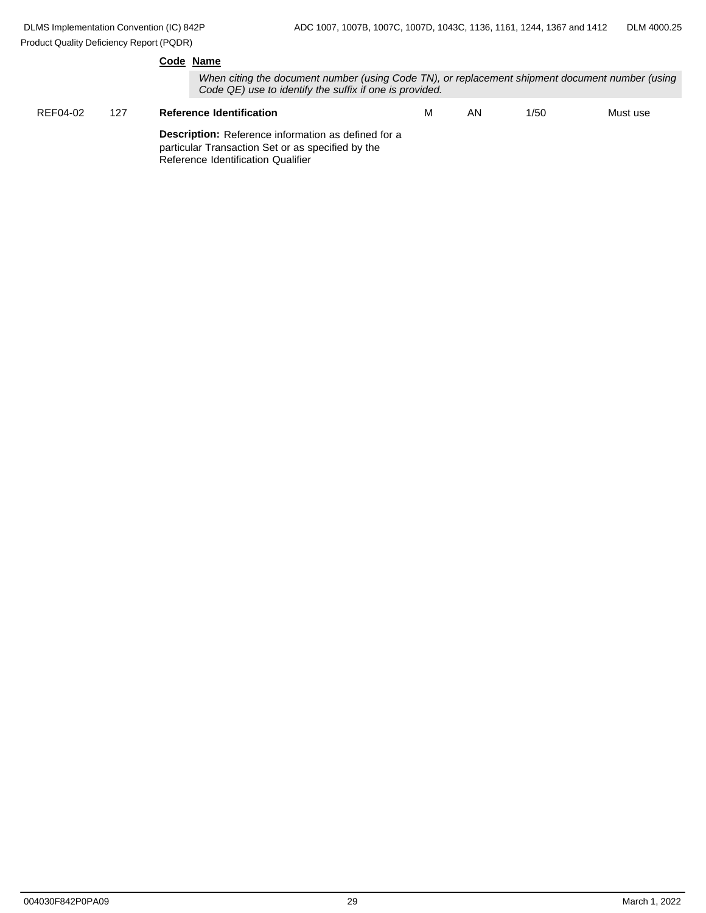|          |     | Code Name                                                                                                                                                  |    |      |          |
|----------|-----|------------------------------------------------------------------------------------------------------------------------------------------------------------|----|------|----------|
|          |     | When citing the document number (using Code TN), or replacement shipment document number (using<br>Code QE) use to identify the suffix if one is provided. |    |      |          |
| REF04-02 | 127 | <b>Reference Identification</b>                                                                                                                            | AN | 1/50 | Must use |
|          |     | Description: Reference information as defined for a<br>particular Transaction Set or as specified by the                                                   |    |      |          |

Reference Identification Qualifier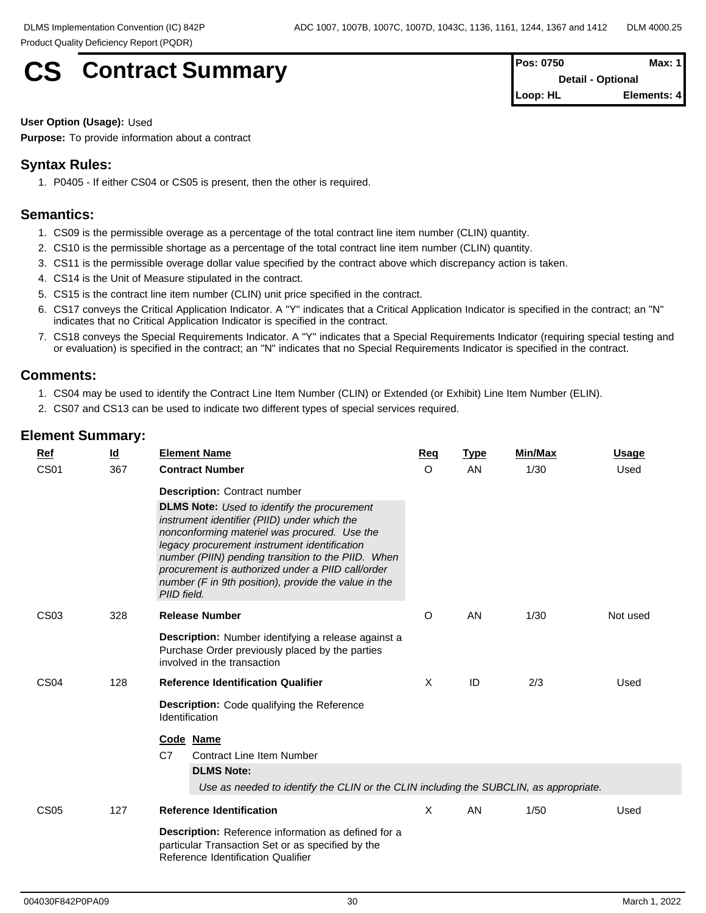# **CS** Contract Summary

| lPos: 0750 | Max: $11$                |
|------------|--------------------------|
|            | <b>Detail - Optional</b> |
| Loop: HL   | Elements: 4              |

## **User Option (Usage):** Used

**Purpose:** To provide information about a contract

# **Syntax Rules:**

1. P0405 - If either CS04 or CS05 is present, then the other is required.

# **Semantics:**

- 1. CS09 is the permissible overage as a percentage of the total contract line item number (CLIN) quantity.
- 2. CS10 is the permissible shortage as a percentage of the total contract line item number (CLIN) quantity.
- 3. CS11 is the permissible overage dollar value specified by the contract above which discrepancy action is taken.
- 4. CS14 is the Unit of Measure stipulated in the contract.
- 5. CS15 is the contract line item number (CLIN) unit price specified in the contract.
- 6. CS17 conveys the Critical Application Indicator. A "Y" indicates that a Critical Application Indicator is specified in the contract; an "N" indicates that no Critical Application Indicator is specified in the contract.
- 7. CS18 conveys the Special Requirements Indicator. A "Y" indicates that a Special Requirements Indicator (requiring special testing and or evaluation) is specified in the contract; an "N" indicates that no Special Requirements Indicator is specified in the contract.

# **Comments:**

- 1. CS04 may be used to identify the Contract Line Item Number (CLIN) or Extended (or Exhibit) Line Item Number (ELIN).
- 2. CS07 and CS13 can be used to indicate two different types of special services required.

| Ref              | $\underline{\mathsf{Id}}$ | <b>Element Name</b>                                                                                                                                                                                                                                                                                                                                                                  | Req | <b>Type</b> | Min/Max | <b>Usage</b> |
|------------------|---------------------------|--------------------------------------------------------------------------------------------------------------------------------------------------------------------------------------------------------------------------------------------------------------------------------------------------------------------------------------------------------------------------------------|-----|-------------|---------|--------------|
| CS <sub>01</sub> | 367                       | <b>Contract Number</b>                                                                                                                                                                                                                                                                                                                                                               | O   | AN          | 1/30    | Used         |
|                  |                           | <b>Description: Contract number</b>                                                                                                                                                                                                                                                                                                                                                  |     |             |         |              |
|                  |                           | <b>DLMS Note:</b> Used to identify the procurement<br>instrument identifier (PIID) under which the<br>nonconforming materiel was procured. Use the<br>legacy procurement instrument identification<br>number (PIIN) pending transition to the PIID. When<br>procurement is authorized under a PIID call/order<br>number (F in 9th position), provide the value in the<br>PIID field. |     |             |         |              |
| CS <sub>03</sub> | 328                       | <b>Release Number</b>                                                                                                                                                                                                                                                                                                                                                                | O   | <b>AN</b>   | 1/30    | Not used     |
|                  |                           | Description: Number identifying a release against a<br>Purchase Order previously placed by the parties<br>involved in the transaction                                                                                                                                                                                                                                                |     |             |         |              |
| CS <sub>04</sub> | 128                       | <b>Reference Identification Qualifier</b>                                                                                                                                                                                                                                                                                                                                            | X   | ID          | 2/3     | Used         |
|                  |                           | Description: Code qualifying the Reference<br>Identification                                                                                                                                                                                                                                                                                                                         |     |             |         |              |
|                  |                           | Code Name<br>C7<br><b>Contract Line Item Number</b>                                                                                                                                                                                                                                                                                                                                  |     |             |         |              |
|                  |                           | <b>DLMS Note:</b><br>Use as needed to identify the CLIN or the CLIN including the SUBCLIN, as appropriate.                                                                                                                                                                                                                                                                           |     |             |         |              |
| CS <sub>05</sub> | 127                       | <b>Reference Identification</b>                                                                                                                                                                                                                                                                                                                                                      | X   | AN          | 1/50    | Used         |
|                  |                           | Description: Reference information as defined for a<br>particular Transaction Set or as specified by the<br>Reference Identification Qualifier                                                                                                                                                                                                                                       |     |             |         |              |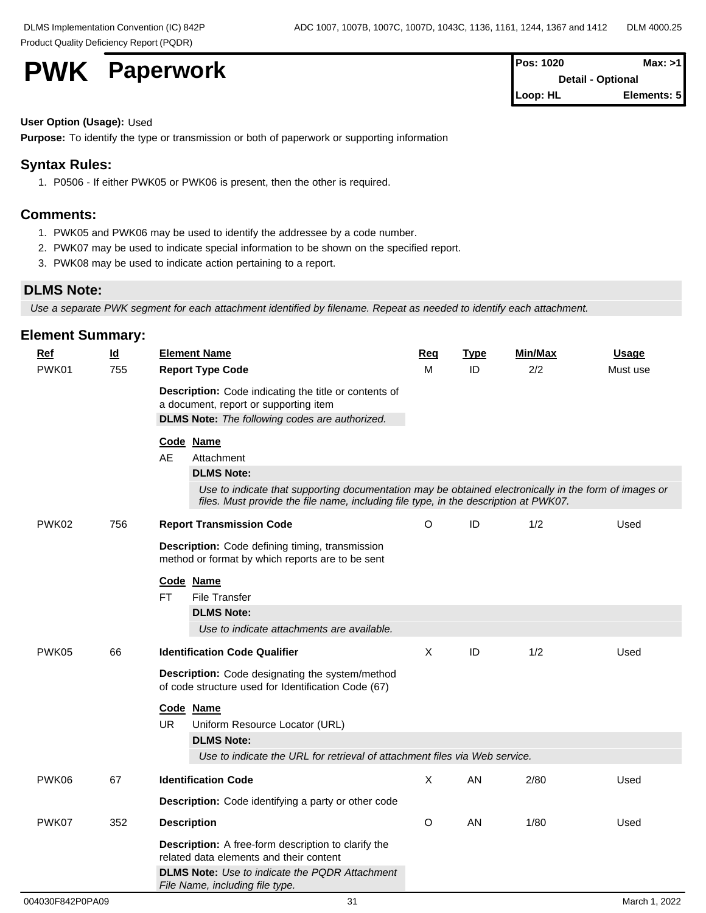# **PWK** Paperwork

| Pos: 1020 | Max: >11                 |
|-----------|--------------------------|
|           | <b>Detail - Optional</b> |
| Loop: HL  | Elements: 5              |

## **User Option (Usage):** Used

**Purpose:** To identify the type or transmission or both of paperwork or supporting information

# **Syntax Rules:**

1. P0506 - If either PWK05 or PWK06 is present, then the other is required.

# **Comments:**

- 1. PWK05 and PWK06 may be used to identify the addressee by a code number.
- 2. PWK07 may be used to indicate special information to be shown on the specified report.
- 3. PWK08 may be used to indicate action pertaining to a report.

# **DLMS Note:**

*Use a separate PWK segment for each attachment identified by filename. Repeat as needed to identify each attachment.* 

| <b>Ref</b><br>PWK01 | $\underline{\mathsf{Id}}$<br>755 | <b>Element Name</b><br><b>Report Type Code</b>                                                                                                                                                                                                      | Req<br>M     | <b>Type</b><br>ID | Min/Max<br>2/2 | Usage<br>Must use |  |  |  |
|---------------------|----------------------------------|-----------------------------------------------------------------------------------------------------------------------------------------------------------------------------------------------------------------------------------------------------|--------------|-------------------|----------------|-------------------|--|--|--|
|                     |                                  | Description: Code indicating the title or contents of<br>a document, report or supporting item<br><b>DLMS Note:</b> The following codes are authorized.                                                                                             |              |                   |                |                   |  |  |  |
|                     |                                  | Code Name<br>AE<br>Attachment<br><b>DLMS Note:</b><br>Use to indicate that supporting documentation may be obtained electronically in the form of images or<br>files. Must provide the file name, including file type, in the description at PWK07. |              |                   |                |                   |  |  |  |
| PWK02               | 756                              | <b>Report Transmission Code</b>                                                                                                                                                                                                                     | O            | ID                | 1/2            | Used              |  |  |  |
|                     |                                  | Description: Code defining timing, transmission<br>method or format by which reports are to be sent                                                                                                                                                 |              |                   |                |                   |  |  |  |
|                     |                                  | Code Name<br><b>FT</b><br>File Transfer<br><b>DLMS Note:</b>                                                                                                                                                                                        |              |                   |                |                   |  |  |  |
|                     |                                  | Use to indicate attachments are available.                                                                                                                                                                                                          |              |                   |                |                   |  |  |  |
| PWK05               | 66                               | <b>Identification Code Qualifier</b>                                                                                                                                                                                                                | X            | ID                | 1/2            | Used              |  |  |  |
|                     |                                  | Description: Code designating the system/method<br>of code structure used for Identification Code (67)                                                                                                                                              |              |                   |                |                   |  |  |  |
|                     |                                  | Code Name<br><b>UR</b><br>Uniform Resource Locator (URL)                                                                                                                                                                                            |              |                   |                |                   |  |  |  |
|                     |                                  | <b>DLMS Note:</b><br>Use to indicate the URL for retrieval of attachment files via Web service.                                                                                                                                                     |              |                   |                |                   |  |  |  |
| PWK06               | 67                               | <b>Identification Code</b>                                                                                                                                                                                                                          | $\mathsf{X}$ | AN                | 2/80           | Used              |  |  |  |
|                     |                                  | <b>Description:</b> Code identifying a party or other code                                                                                                                                                                                          |              |                   |                |                   |  |  |  |
| PWK07               | 352                              | <b>Description</b>                                                                                                                                                                                                                                  | O            | AN                | 1/80           | Used              |  |  |  |
|                     |                                  | Description: A free-form description to clarify the<br>related data elements and their content                                                                                                                                                      |              |                   |                |                   |  |  |  |
|                     |                                  | <b>DLMS Note:</b> Use to indicate the PQDR Attachment<br>File Name, including file type.                                                                                                                                                            |              |                   |                |                   |  |  |  |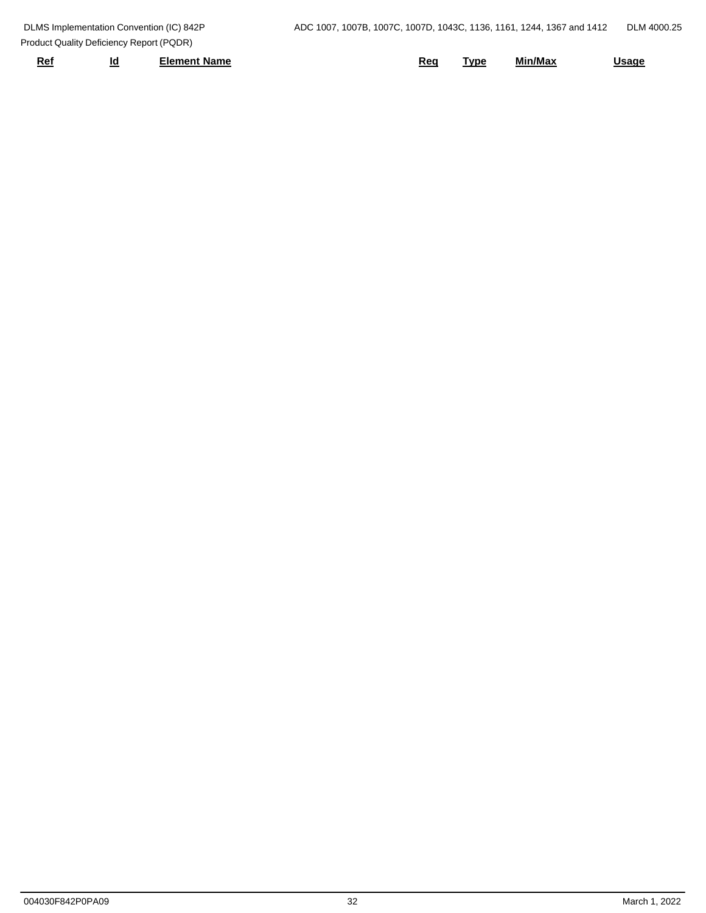DLMS Implementation Convention (IC) 842P ADC 1007, 1007B, 1007C, 1007D, 1043C, 1136, 1161, 1244, 1367 and 1412 DLM 4000.25 Product Quality Deficiency Report (PQDR)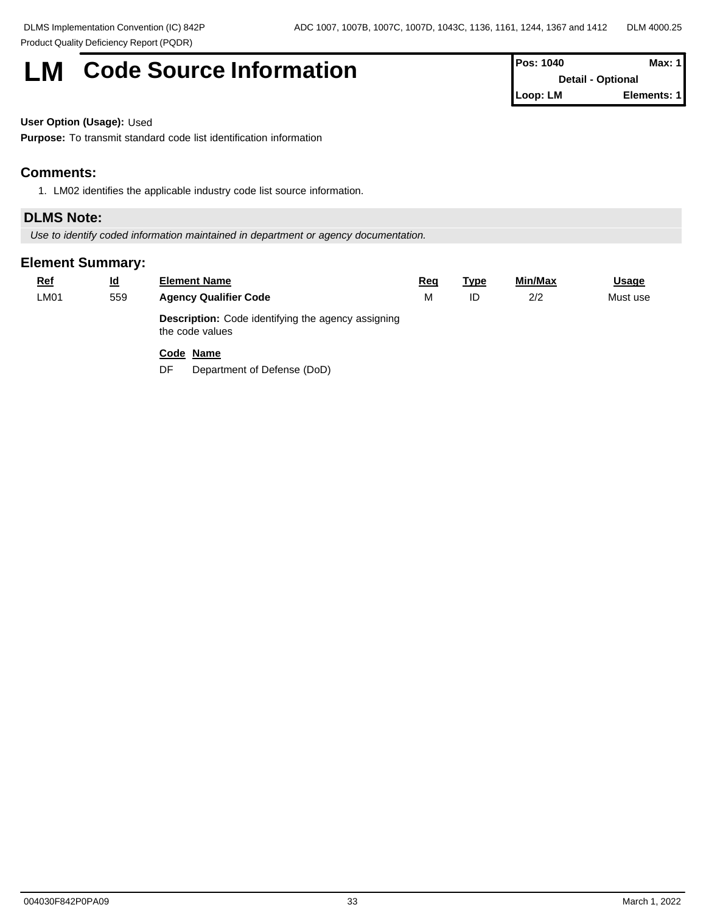# **LM** Code Source Information

| <b>Pos: 1040</b> | Max: 1                   |
|------------------|--------------------------|
|                  | <b>Detail - Optional</b> |
| Loop: LM         | Elements: 1              |

## **User Option (Usage):** Used

**Purpose:** To transmit standard code list identification information

# **Comments:**

1. LM02 identifies the applicable industry code list source information.

# **DLMS Note:**

*Use to identify coded information maintained in department or agency documentation.*

# **Element Summary:**

| <u>Ref</u> | <u>ld</u> | <b>Element Name</b>                                                          | Reg | <b>Type</b> | Min/Max | <u>Usage</u> |
|------------|-----------|------------------------------------------------------------------------------|-----|-------------|---------|--------------|
| LM01       | 559       | <b>Agency Qualifier Code</b>                                                 | M   | ID          | 2/2     | Must use     |
|            |           | <b>Description:</b> Code identifying the agency assigning<br>the code values |     |             |         |              |

## **Code Name**

DF Department of Defense (DoD)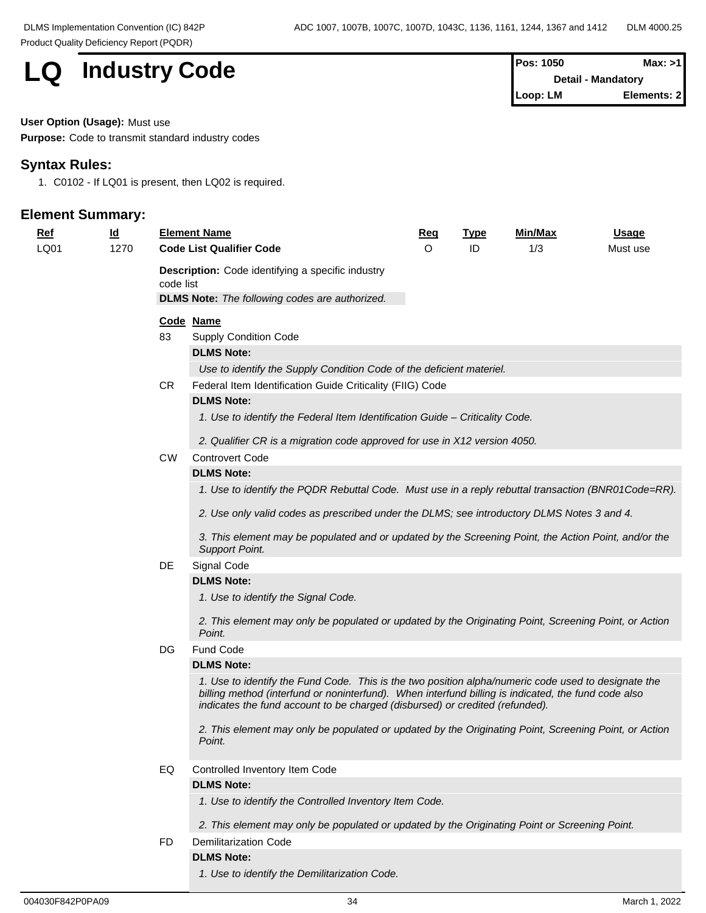

| Pos: 1050 | Max: >1            |
|-----------|--------------------|
|           | Detail - Mandatory |
| Loop: LM  | Elements: 2        |

## **User Option (Usage):** Must use

**Purpose:** Code to transmit standard industry codes

# **Syntax Rules:**

1. C0102 - If LQ01 is present, then LQ02 is required.

# **Element Summary:**

| <u>Ref</u> | $\underline{\mathsf{Id}}$ |                                                       | <b>Element Name</b>                                                                                                                                                                                                                                                                        | Reg     | <b>Type</b> | Min/Max | <b>Usage</b> |  |
|------------|---------------------------|-------------------------------------------------------|--------------------------------------------------------------------------------------------------------------------------------------------------------------------------------------------------------------------------------------------------------------------------------------------|---------|-------------|---------|--------------|--|
| LQ01       | 1270                      |                                                       | <b>Code List Qualifier Code</b>                                                                                                                                                                                                                                                            | $\circ$ | ID          | 1/3     | Must use     |  |
|            |                           | code list                                             | <b>Description:</b> Code identifying a specific industry                                                                                                                                                                                                                                   |         |             |         |              |  |
|            |                           | <b>DLMS Note:</b> The following codes are authorized. |                                                                                                                                                                                                                                                                                            |         |             |         |              |  |
|            |                           |                                                       | Code Name                                                                                                                                                                                                                                                                                  |         |             |         |              |  |
|            |                           | 83                                                    | <b>Supply Condition Code</b>                                                                                                                                                                                                                                                               |         |             |         |              |  |
|            |                           |                                                       | <b>DLMS Note:</b>                                                                                                                                                                                                                                                                          |         |             |         |              |  |
|            |                           |                                                       | Use to identify the Supply Condition Code of the deficient materiel.                                                                                                                                                                                                                       |         |             |         |              |  |
|            |                           | CR                                                    | Federal Item Identification Guide Criticality (FIIG) Code                                                                                                                                                                                                                                  |         |             |         |              |  |
|            |                           |                                                       | <b>DLMS Note:</b>                                                                                                                                                                                                                                                                          |         |             |         |              |  |
|            |                           |                                                       | 1. Use to identify the Federal Item Identification Guide - Criticality Code.                                                                                                                                                                                                               |         |             |         |              |  |
|            |                           |                                                       | 2. Qualifier CR is a migration code approved for use in X12 version 4050.                                                                                                                                                                                                                  |         |             |         |              |  |
|            |                           | <b>CW</b>                                             | <b>Controvert Code</b>                                                                                                                                                                                                                                                                     |         |             |         |              |  |
|            |                           |                                                       | <b>DLMS Note:</b>                                                                                                                                                                                                                                                                          |         |             |         |              |  |
|            |                           |                                                       | 1. Use to identify the PQDR Rebuttal Code. Must use in a reply rebuttal transaction (BNR01Code=RR).                                                                                                                                                                                        |         |             |         |              |  |
|            |                           |                                                       | 2. Use only valid codes as prescribed under the DLMS; see introductory DLMS Notes 3 and 4.                                                                                                                                                                                                 |         |             |         |              |  |
|            |                           |                                                       | 3. This element may be populated and or updated by the Screening Point, the Action Point, and/or the<br>Support Point.                                                                                                                                                                     |         |             |         |              |  |
|            |                           | DE                                                    | Signal Code                                                                                                                                                                                                                                                                                |         |             |         |              |  |
|            |                           |                                                       | <b>DLMS Note:</b>                                                                                                                                                                                                                                                                          |         |             |         |              |  |
|            |                           |                                                       | 1. Use to identify the Signal Code.                                                                                                                                                                                                                                                        |         |             |         |              |  |
|            |                           |                                                       | 2. This element may only be populated or updated by the Originating Point, Screening Point, or Action<br>Point.                                                                                                                                                                            |         |             |         |              |  |
|            |                           | DG                                                    | <b>Fund Code</b>                                                                                                                                                                                                                                                                           |         |             |         |              |  |
|            |                           |                                                       | <b>DLMS Note:</b>                                                                                                                                                                                                                                                                          |         |             |         |              |  |
|            |                           |                                                       | 1. Use to identify the Fund Code. This is the two position alpha/numeric code used to designate the<br>billing method (interfund or noninterfund). When interfund billing is indicated, the fund code also<br>indicates the fund account to be charged (disbursed) or credited (refunded). |         |             |         |              |  |
|            |                           |                                                       | 2. This element may only be populated or updated by the Originating Point, Screening Point, or Action<br>Point.                                                                                                                                                                            |         |             |         |              |  |
|            |                           | EQ                                                    | Controlled Inventory Item Code                                                                                                                                                                                                                                                             |         |             |         |              |  |
|            |                           |                                                       | <b>DLMS Note:</b>                                                                                                                                                                                                                                                                          |         |             |         |              |  |
|            |                           |                                                       | 1. Use to identify the Controlled Inventory Item Code.                                                                                                                                                                                                                                     |         |             |         |              |  |
|            |                           |                                                       | 2. This element may only be populated or updated by the Originating Point or Screening Point.                                                                                                                                                                                              |         |             |         |              |  |
|            |                           | <b>FD</b>                                             | <b>Demilitarization Code</b>                                                                                                                                                                                                                                                               |         |             |         |              |  |
|            |                           |                                                       | <b>DLMS Note:</b>                                                                                                                                                                                                                                                                          |         |             |         |              |  |

*1. Use to identify the Demilitarization Code.*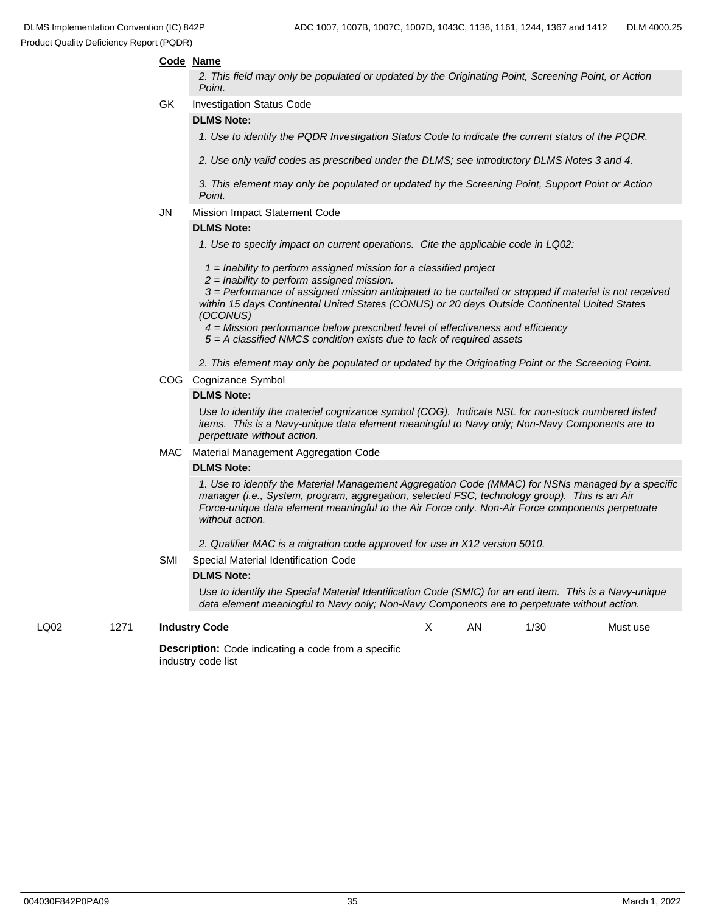*2. This field may only be populated or updated by the Originating Point, Screening Point, or Action Point.*

GK Investigation Status Code

#### **DLMS Note:**

*1. Use to identify the PQDR Investigation Status Code to indicate the current status of the PQDR.*

*2. Use only valid codes as prescribed under the DLMS; see introductory DLMS Notes 3 and 4.*

*3. This element may only be populated or updated by the Screening Point, Support Point or Action Point.*

#### JN Mission Impact Statement Code

#### **DLMS Note:**

*1. Use to specify impact on current operations. Cite the applicable code in LQ02:*

 *1 = Inability to perform assigned mission for a classified project* 

 *2 = Inability to perform assigned mission.* 

 *3 = Performance of assigned mission anticipated to be curtailed or stopped if materiel is not received within 15 days Continental United States (CONUS) or 20 days Outside Continental United States (OCONUS)* 

 *4 = Mission performance below prescribed level of effectiveness and efficiency* 

 *5 = A classified NMCS condition exists due to lack of required assets*

*2. This element may only be populated or updated by the Originating Point or the Screening Point.*

#### COG Cognizance Symbol

#### **DLMS Note:**

*Use to identify the materiel cognizance symbol (COG). Indicate NSL for non-stock numbered listed items. This is a Navy-unique data element meaningful to Navy only; Non-Navy Components are to perpetuate without action.*

MAC Material Management Aggregation Code

#### **DLMS Note:**

*1. Use to identify the Material Management Aggregation Code (MMAC) for NSNs managed by a specific manager (i.e., System, program, aggregation, selected FSC, technology group). This is an Air Force-unique data element meaningful to the Air Force only. Non-Air Force components perpetuate without action.*

*2. Qualifier MAC is a migration code approved for use in X12 version 5010.*

SMI Special Material Identification Code

## **DLMS Note:**

*Use to identify the Special Material Identification Code (SMIC) for an end item. This is a Navy-unique data element meaningful to Navy only; Non-Navy Components are to perpetuate without action.*

#### LQ02 1271 **Industry Code**

X AN 1/30 Must use

**Description:** Code indicating a code from a specific industry code list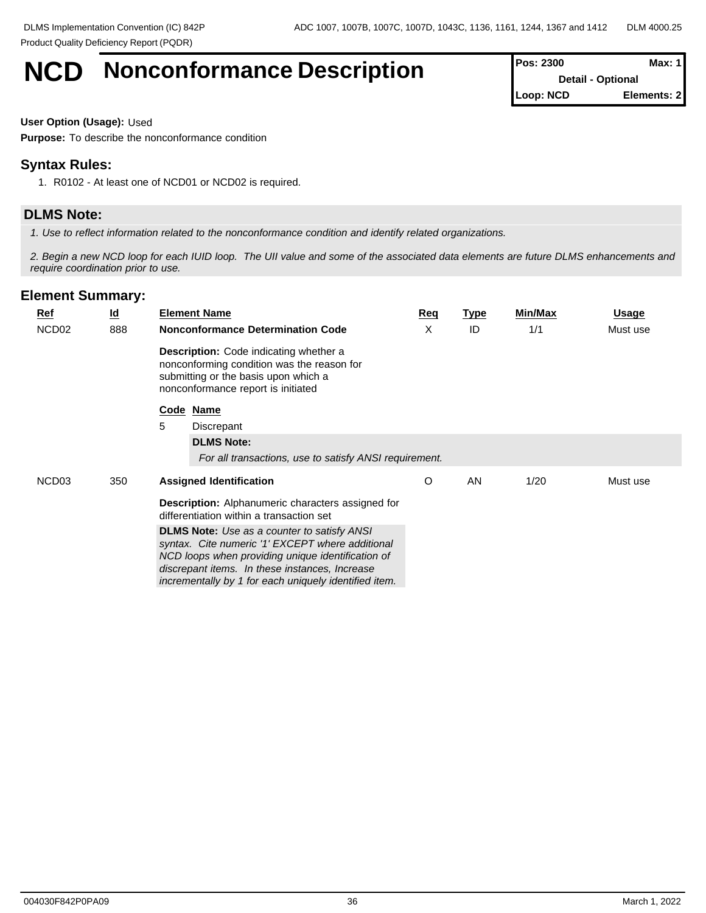# **NCD** Nonconformance Description

| $Pos: 2300$              | Max: $11$   |
|--------------------------|-------------|
| <b>Detail - Optional</b> |             |
| $\blacksquare$ Loop: NCD | Elements: 2 |

**User Option (Usage):** Used

**Purpose:** To describe the nonconformance condition

# **Syntax Rules:**

1. R0102 - At least one of NCD01 or NCD02 is required.

# **DLMS Note:**

*1. Use to reflect information related to the nonconformance condition and identify related organizations.*

*2. Begin a new NCD loop for each IUID loop. The UII value and some of the associated data elements are future DLMS enhancements and require coordination prior to use.*

| $Ref$             | $\underline{\mathsf{Id}}$ | <b>Element Name</b>                                                                                                                                                                                                                                                    | Req | <u>Type</u> | Min/Max | <u>Usage</u> |
|-------------------|---------------------------|------------------------------------------------------------------------------------------------------------------------------------------------------------------------------------------------------------------------------------------------------------------------|-----|-------------|---------|--------------|
| NCD <sub>02</sub> | 888                       | <b>Nonconformance Determination Code</b>                                                                                                                                                                                                                               | X   | ID          | 1/1     | Must use     |
|                   |                           | <b>Description:</b> Code indicating whether a<br>nonconforming condition was the reason for<br>submitting or the basis upon which a<br>nonconformance report is initiated                                                                                              |     |             |         |              |
|                   |                           | Code Name                                                                                                                                                                                                                                                              |     |             |         |              |
|                   |                           | 5<br>Discrepant                                                                                                                                                                                                                                                        |     |             |         |              |
|                   |                           | <b>DLMS Note:</b>                                                                                                                                                                                                                                                      |     |             |         |              |
|                   |                           | For all transactions, use to satisfy ANSI requirement.                                                                                                                                                                                                                 |     |             |         |              |
| NCD <sub>03</sub> | 350                       | <b>Assigned Identification</b>                                                                                                                                                                                                                                         | O   | AN          | 1/20    | Must use     |
|                   |                           | <b>Description:</b> Alphanumeric characters assigned for<br>differentiation within a transaction set                                                                                                                                                                   |     |             |         |              |
|                   |                           | <b>DLMS Note:</b> Use as a counter to satisfy ANSI<br>syntax. Cite numeric '1' EXCEPT where additional<br>NCD loops when providing unique identification of<br>discrepant items. In these instances, Increase<br>incrementally by 1 for each uniquely identified item. |     |             |         |              |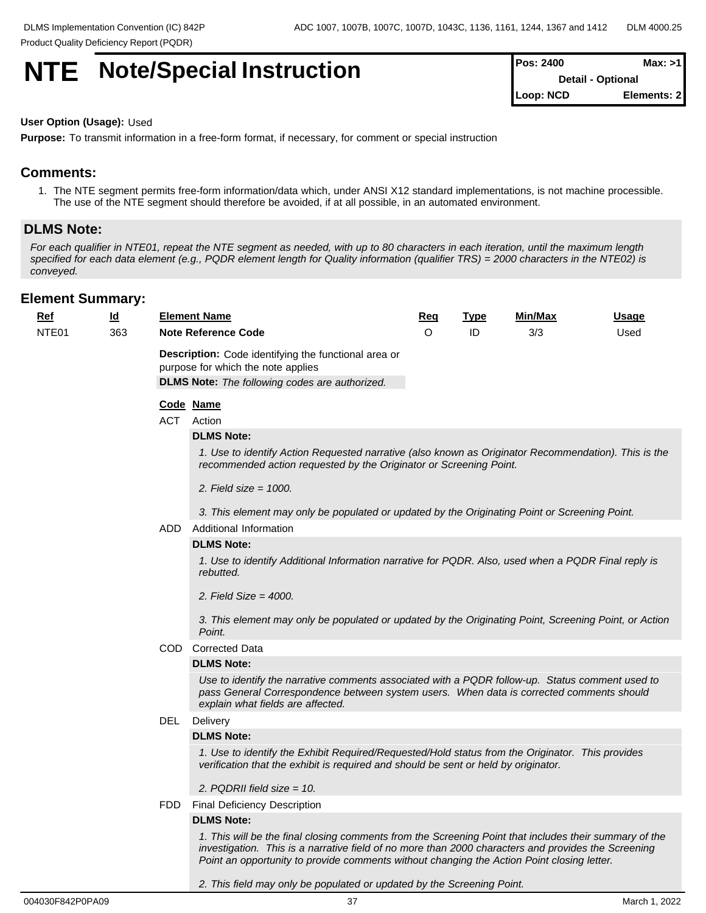# **NTE** Note/Special Instruction

| <b>Pos: 2400</b> | Max: > 11                |
|------------------|--------------------------|
|                  | <b>Detail - Optional</b> |
| Loop: NCD        | Elements: 21             |

## **User Option (Usage):** Used

**Purpose:** To transmit information in a free-form format, if necessary, for comment or special instruction

# **Comments:**

1. The NTE segment permits free-form information/data which, under ANSI X12 standard implementations, is not machine processible. The use of the NTE segment should therefore be avoided, if at all possible, in an automated environment.

# **DLMS Note:**

*For each qualifier in NTE01, repeat the NTE segment as needed, with up to 80 characters in each iteration, until the maximum length specified for each data element (e.g., PQDR element length for Quality information (qualifier TRS) = 2000 characters in the NTE02) is conveyed.*

# **Element Summary:**

| <b>VINGHE VANIMALY.</b><br><u>Ref</u> | <u>ld</u> |     | <b>Element Name</b>                                                                                                                                                                                                                                                                                         | <u>Req</u> | <b>Type</b> | Min/Max | <u>Usage</u> |
|---------------------------------------|-----------|-----|-------------------------------------------------------------------------------------------------------------------------------------------------------------------------------------------------------------------------------------------------------------------------------------------------------------|------------|-------------|---------|--------------|
| NTE01                                 | 363       |     | <b>Note Reference Code</b>                                                                                                                                                                                                                                                                                  | $\Omega$   | ID          | 3/3     | Used         |
|                                       |           |     | Description: Code identifying the functional area or<br>purpose for which the note applies<br><b>DLMS Note:</b> The following codes are authorized.                                                                                                                                                         |            |             |         |              |
|                                       |           |     | Code Name                                                                                                                                                                                                                                                                                                   |            |             |         |              |
|                                       |           |     | ACT Action                                                                                                                                                                                                                                                                                                  |            |             |         |              |
|                                       |           |     | <b>DLMS Note:</b>                                                                                                                                                                                                                                                                                           |            |             |         |              |
|                                       |           |     | 1. Use to identify Action Requested narrative (also known as Originator Recommendation). This is the<br>recommended action requested by the Originator or Screening Point.                                                                                                                                  |            |             |         |              |
|                                       |           |     | 2. Field size $= 1000$ .                                                                                                                                                                                                                                                                                    |            |             |         |              |
|                                       |           |     | 3. This element may only be populated or updated by the Originating Point or Screening Point.                                                                                                                                                                                                               |            |             |         |              |
|                                       |           | ADD | Additional Information                                                                                                                                                                                                                                                                                      |            |             |         |              |
|                                       |           |     | <b>DLMS Note:</b>                                                                                                                                                                                                                                                                                           |            |             |         |              |
|                                       |           |     | 1. Use to identify Additional Information narrative for PQDR. Also, used when a PQDR Final reply is<br>rebutted.                                                                                                                                                                                            |            |             |         |              |
|                                       |           |     | 2. Field Size = $4000$ .                                                                                                                                                                                                                                                                                    |            |             |         |              |
|                                       |           |     |                                                                                                                                                                                                                                                                                                             |            |             |         |              |
|                                       |           |     | 3. This element may only be populated or updated by the Originating Point, Screening Point, or Action<br>Point.                                                                                                                                                                                             |            |             |         |              |
|                                       |           |     | COD Corrected Data                                                                                                                                                                                                                                                                                          |            |             |         |              |
|                                       |           |     | <b>DLMS Note:</b>                                                                                                                                                                                                                                                                                           |            |             |         |              |
|                                       |           |     | Use to identify the narrative comments associated with a PQDR follow-up. Status comment used to<br>pass General Correspondence between system users. When data is corrected comments should<br>explain what fields are affected.                                                                            |            |             |         |              |
|                                       |           | DEL | Delivery                                                                                                                                                                                                                                                                                                    |            |             |         |              |
|                                       |           |     | <b>DLMS Note:</b>                                                                                                                                                                                                                                                                                           |            |             |         |              |
|                                       |           |     | 1. Use to identify the Exhibit Required/Requested/Hold status from the Originator. This provides<br>verification that the exhibit is required and should be sent or held by originator.                                                                                                                     |            |             |         |              |
|                                       |           |     | 2. PQDRII field size $= 10$ .                                                                                                                                                                                                                                                                               |            |             |         |              |
|                                       |           |     | FDD Final Deficiency Description                                                                                                                                                                                                                                                                            |            |             |         |              |
|                                       |           |     | <b>DLMS Note:</b>                                                                                                                                                                                                                                                                                           |            |             |         |              |
|                                       |           |     | 1. This will be the final closing comments from the Screening Point that includes their summary of the<br>investigation. This is a narrative field of no more than 2000 characters and provides the Screening<br>Point an opportunity to provide comments without changing the Action Point closing letter. |            |             |         |              |

*2. This field may only be populated or updated by the Screening Point.*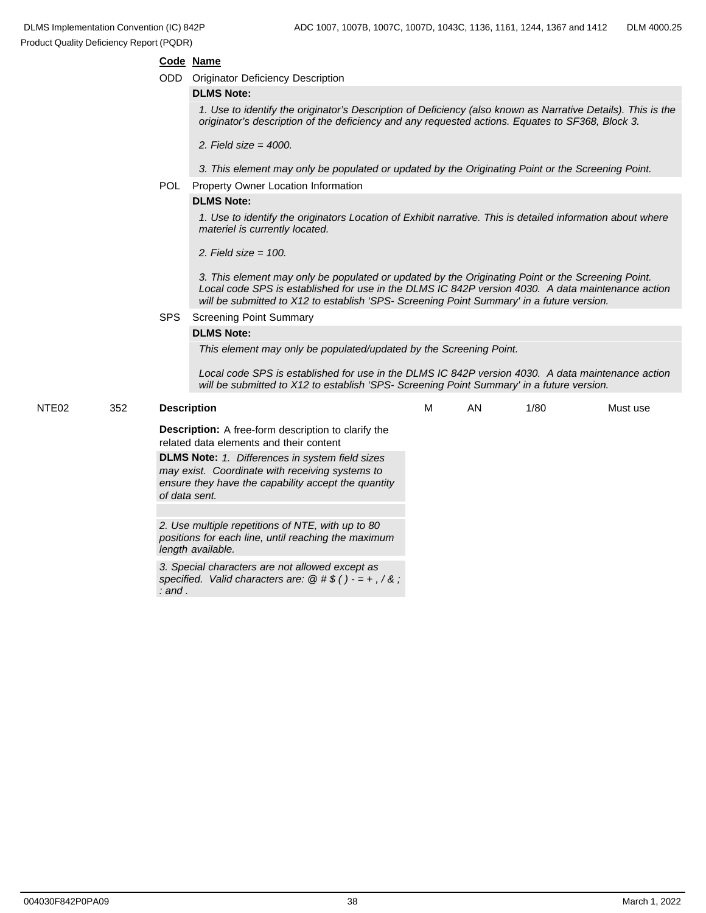ODD Originator Deficiency Description

#### **DLMS Note:**

*1. Use to identify the originator's Description of Deficiency (also known as Narrative Details). This is the originator's description of the deficiency and any requested actions. Equates to SF368, Block 3.*

- *2. Field size = 4000.*
- *3. This element may only be populated or updated by the Originating Point or the Screening Point.*
- POL Property Owner Location Information

### **DLMS Note:**

*1. Use to identify the originators Location of Exhibit narrative. This is detailed information about where materiel is currently located.*

*2. Field size = 100.*

*3. This element may only be populated or updated by the Originating Point or the Screening Point. Local code SPS is established for use in the DLMS IC 842P version 4030. A data maintenance action will be submitted to X12 to establish 'SPS- Screening Point Summary' in a future version.* 

SPS Screening Point Summary

#### **DLMS Note:**

*This element may only be populated/updated by the Screening Point.*

*Local code SPS is established for use in the DLMS IC 842P version 4030. A data maintenance action will be submitted to X12 to establish 'SPS- Screening Point Summary' in a future version.* 

#### NTE02 352 **Description**

AN 1/80 Must use

**Description:** A free-form description to clarify the related data elements and their content

**DLMS Note:** *1. Differences in system field sizes may exist. Coordinate with receiving systems to ensure they have the capability accept the quantity of data sent.*

*2. Use multiple repetitions of NTE, with up to 80 positions for each line, until reaching the maximum length available.*

*3. Special characters are not allowed except as specified. Valid characters are: @ # \$ ( ) - = + , / & ; : and .*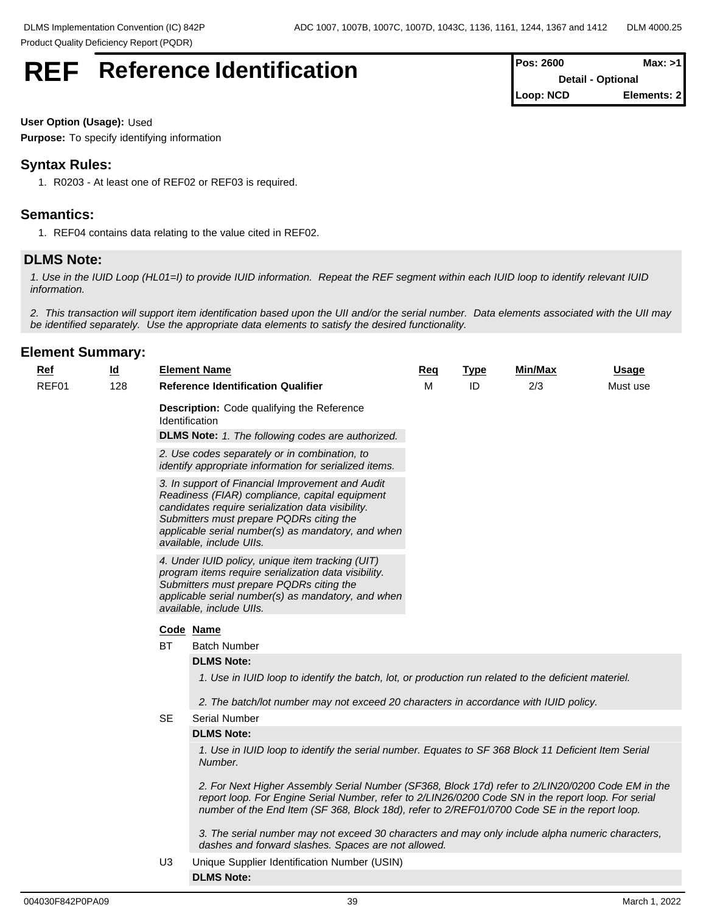# **REF** Reference Identification

| <b>IPos: 2600</b>        | Max: >1     |
|--------------------------|-------------|
| <b>Detail - Optional</b> |             |
| $\mathsf{Loop: NCD}$     | Elements: 2 |

**User Option (Usage):** Used

**Purpose:** To specify identifying information

# **Syntax Rules:**

1. R0203 - At least one of REF02 or REF03 is required.

# **Semantics:**

1. REF04 contains data relating to the value cited in REF02.

# **DLMS Note:**

*1. Use in the IUID Loop (HL01=I) to provide IUID information. Repeat the REF segment within each IUID loop to identify relevant IUID information.*

*2. This transaction will support item identification based upon the UII and/or the serial number. Data elements associated with the UII may be identified separately. Use the appropriate data elements to satisfy the desired functionality.*

# **Element Summary:**

| $Ref$ | $\underline{\mathsf{Id}}$ |           | <b>Element Name</b>                                                                                                                                                                                                                                                                                       | Req | <b>Type</b> | Min/Max | <b>Usage</b> |
|-------|---------------------------|-----------|-----------------------------------------------------------------------------------------------------------------------------------------------------------------------------------------------------------------------------------------------------------------------------------------------------------|-----|-------------|---------|--------------|
| REF01 | 128                       |           | <b>Reference Identification Qualifier</b>                                                                                                                                                                                                                                                                 | м   | ID          | 2/3     | Must use     |
|       |                           |           | <b>Description:</b> Code qualifying the Reference<br><b>Identification</b>                                                                                                                                                                                                                                |     |             |         |              |
|       |                           |           | <b>DLMS Note:</b> 1. The following codes are authorized.                                                                                                                                                                                                                                                  |     |             |         |              |
|       |                           |           | 2. Use codes separately or in combination, to<br>identify appropriate information for serialized items.                                                                                                                                                                                                   |     |             |         |              |
|       |                           |           | 3. In support of Financial Improvement and Audit<br>Readiness (FIAR) compliance, capital equipment<br>candidates require serialization data visibility.<br>Submitters must prepare PQDRs citing the<br>applicable serial number(s) as mandatory, and when<br>available, include Ulls.                     |     |             |         |              |
|       |                           |           | 4. Under IUID policy, unique item tracking (UIT)<br>program items require serialization data visibility.<br>Submitters must prepare PQDRs citing the<br>applicable serial number(s) as mandatory, and when<br>available, include Ulls.                                                                    |     |             |         |              |
|       |                           |           | Code Name                                                                                                                                                                                                                                                                                                 |     |             |         |              |
|       |                           | <b>BT</b> | <b>Batch Number</b>                                                                                                                                                                                                                                                                                       |     |             |         |              |
|       |                           |           | <b>DLMS Note:</b>                                                                                                                                                                                                                                                                                         |     |             |         |              |
|       |                           |           | 1. Use in IUID loop to identify the batch, lot, or production run related to the deficient materiel.                                                                                                                                                                                                      |     |             |         |              |
|       |                           |           | 2. The batch/lot number may not exceed 20 characters in accordance with IUID policy.                                                                                                                                                                                                                      |     |             |         |              |
|       |                           | <b>SE</b> | <b>Serial Number</b>                                                                                                                                                                                                                                                                                      |     |             |         |              |
|       |                           |           | <b>DLMS Note:</b>                                                                                                                                                                                                                                                                                         |     |             |         |              |
|       |                           |           | 1. Use in IUID loop to identify the serial number. Equates to SF 368 Block 11 Deficient Item Serial<br>Number.                                                                                                                                                                                            |     |             |         |              |
|       |                           |           | 2. For Next Higher Assembly Serial Number (SF368, Block 17d) refer to 2/LIN20/0200 Code EM in the<br>report loop. For Engine Serial Number, refer to 2/LIN26/0200 Code SN in the report loop. For serial<br>number of the End Item (SF 368, Block 18d), refer to 2/REF01/0700 Code SE in the report loop. |     |             |         |              |
|       |                           |           | 3. The serial number may not exceed 30 characters and may only include alpha numeric characters,<br>dashes and forward slashes. Spaces are not allowed.                                                                                                                                                   |     |             |         |              |

U3 Unique Supplier Identification Number (USIN) **DLMS Note:**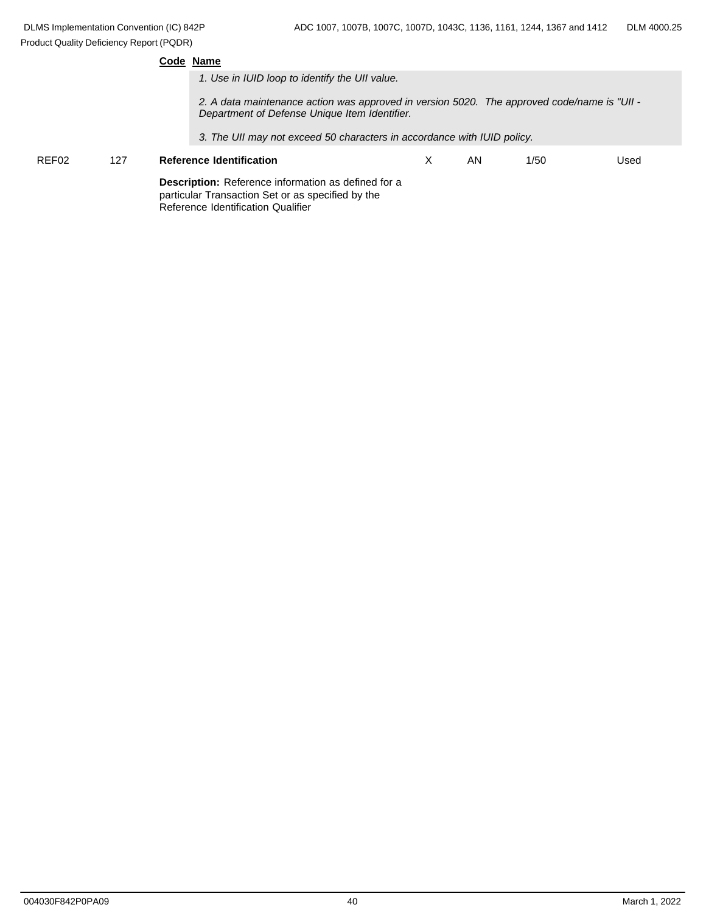|                   |     | Code Name                                                                                                                                             |  |    |      |      |  |
|-------------------|-----|-------------------------------------------------------------------------------------------------------------------------------------------------------|--|----|------|------|--|
|                   |     | 1. Use in IUID loop to identify the UII value.                                                                                                        |  |    |      |      |  |
|                   |     | 2. A data maintenance action was approved in version 5020. The approved code/name is "UII -<br>Department of Defense Unique Item Identifier.          |  |    |      |      |  |
|                   |     | 3. The UII may not exceed 50 characters in accordance with IUID policy.                                                                               |  |    |      |      |  |
| REF <sub>02</sub> | 127 | <b>Reference Identification</b>                                                                                                                       |  | AN | 1/50 | Used |  |
|                   |     | <b>Description:</b> Reference information as defined for a<br>particular Transaction Set or as specified by the<br>Reference Identification Qualifier |  |    |      |      |  |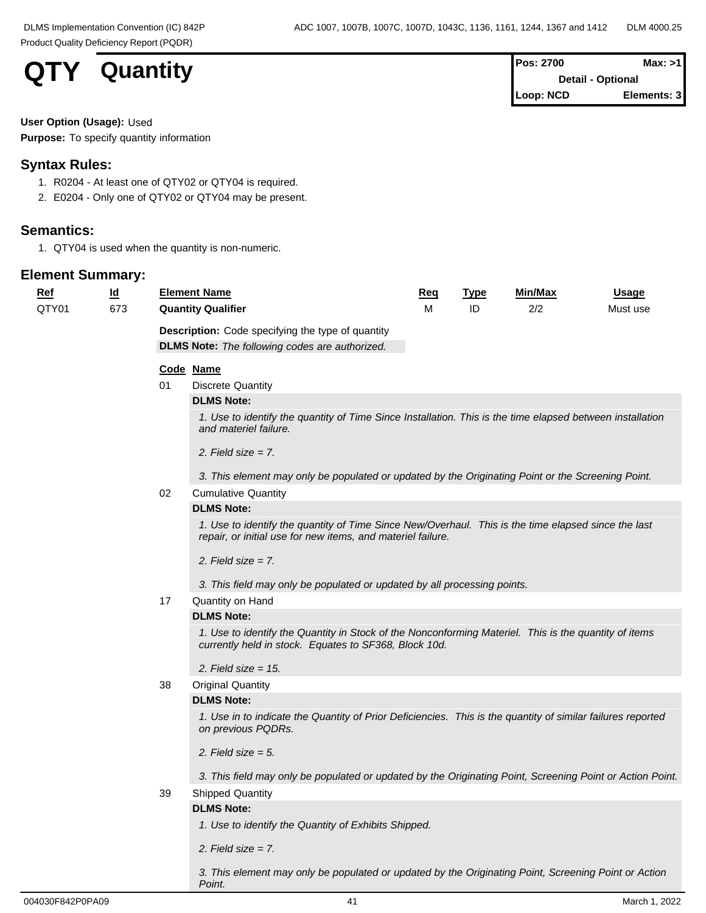

**Detail - Optional Loop: NCD Elements: 3**

## **User Option (Usage):** Used

**Purpose:** To specify quantity information

# **Syntax Rules:**

- 1. R0204 At least one of QTY02 or QTY04 is required.
- 2. E0204 Only one of QTY02 or QTY04 may be present.

# **Semantics:**

1. QTY04 is used when the quantity is non-numeric.

| <b>Ref</b> | <u>ld</u> |    | <b>Element Name</b>                                                                                                                                                | Req | <b>Type</b> | Min/Max | <u>Usage</u> |
|------------|-----------|----|--------------------------------------------------------------------------------------------------------------------------------------------------------------------|-----|-------------|---------|--------------|
| QTY01      | 673       |    | <b>Quantity Qualifier</b>                                                                                                                                          | м   | ID          | 2/2     | Must use     |
|            |           |    | <b>Description:</b> Code specifying the type of quantity                                                                                                           |     |             |         |              |
|            |           |    | <b>DLMS Note:</b> The following codes are authorized.                                                                                                              |     |             |         |              |
|            |           |    | Code Name                                                                                                                                                          |     |             |         |              |
|            |           | 01 | <b>Discrete Quantity</b>                                                                                                                                           |     |             |         |              |
|            |           |    | <b>DLMS Note:</b>                                                                                                                                                  |     |             |         |              |
|            |           |    | 1. Use to identify the quantity of Time Since Installation. This is the time elapsed between installation<br>and materiel failure.                                 |     |             |         |              |
|            |           |    | 2. Field size $= 7$ .                                                                                                                                              |     |             |         |              |
|            |           |    | 3. This element may only be populated or updated by the Originating Point or the Screening Point.                                                                  |     |             |         |              |
|            |           | 02 | <b>Cumulative Quantity</b>                                                                                                                                         |     |             |         |              |
|            |           |    | <b>DLMS Note:</b>                                                                                                                                                  |     |             |         |              |
|            |           |    | 1. Use to identify the quantity of Time Since New/Overhaul. This is the time elapsed since the last<br>repair, or initial use for new items, and materiel failure. |     |             |         |              |
|            |           |    | 2. Field size $= 7$ .                                                                                                                                              |     |             |         |              |
|            |           |    | 3. This field may only be populated or updated by all processing points.                                                                                           |     |             |         |              |
|            |           | 17 | Quantity on Hand                                                                                                                                                   |     |             |         |              |
|            |           |    | <b>DLMS Note:</b>                                                                                                                                                  |     |             |         |              |
|            |           |    | 1. Use to identify the Quantity in Stock of the Nonconforming Materiel. This is the quantity of items<br>currently held in stock. Equates to SF368, Block 10d.     |     |             |         |              |
|            |           |    | 2. Field size $= 15$ .                                                                                                                                             |     |             |         |              |
|            |           | 38 | <b>Original Quantity</b>                                                                                                                                           |     |             |         |              |
|            |           |    | <b>DLMS Note:</b>                                                                                                                                                  |     |             |         |              |
|            |           |    | 1. Use in to indicate the Quantity of Prior Deficiencies. This is the quantity of similar failures reported<br>on previous PQDRs.                                  |     |             |         |              |
|            |           |    | 2. Field size $= 5$ .                                                                                                                                              |     |             |         |              |
|            |           |    | 3. This field may only be populated or updated by the Originating Point, Screening Point or Action Point.                                                          |     |             |         |              |
|            |           | 39 | <b>Shipped Quantity</b>                                                                                                                                            |     |             |         |              |
|            |           |    | <b>DLMS Note:</b>                                                                                                                                                  |     |             |         |              |
|            |           |    | 1. Use to identify the Quantity of Exhibits Shipped.                                                                                                               |     |             |         |              |
|            |           |    | 2. Field size $= 7$ .                                                                                                                                              |     |             |         |              |
|            |           |    | 3. This element may only be populated or updated by the Originating Point, Screening Point or Action<br>Point.                                                     |     |             |         |              |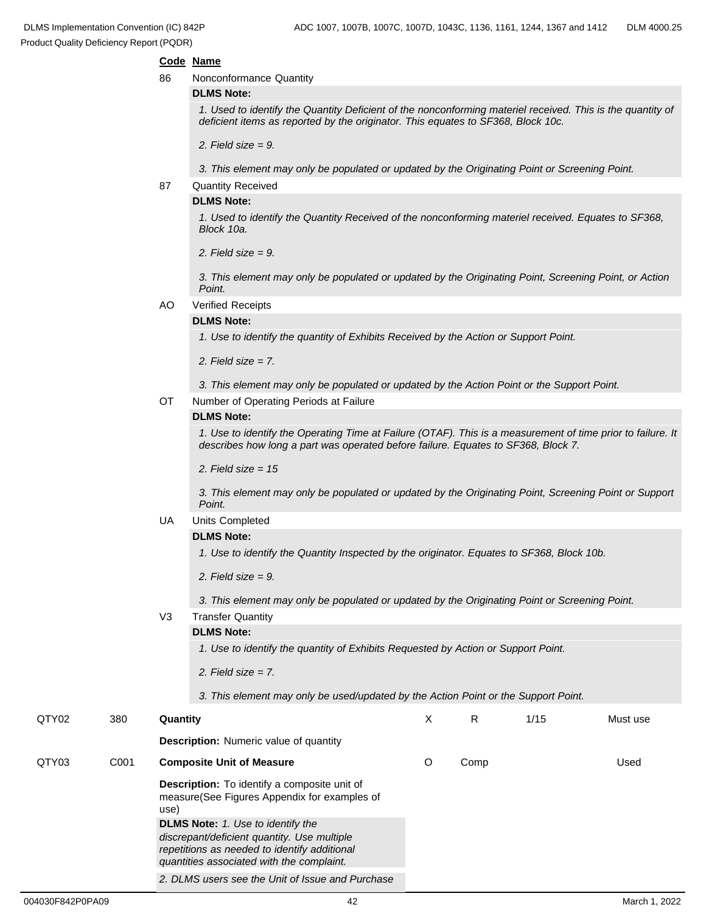### 86 Nonconformance Quantity

#### **DLMS Note:**

*1. Used to identify the Quantity Deficient of the nonconforming materiel received. This is the quantity of deficient items as reported by the originator. This equates to SF368, Block 10c.*

```
2. Field size = 9.
```
*3. This element may only be populated or updated by the Originating Point or Screening Point.*

87 Quantity Received

## **DLMS Note:**

*1. Used to identify the Quantity Received of the nonconforming materiel received. Equates to SF368, Block 10a.*

```
2. Field size = 9.
```
*3. This element may only be populated or updated by the Originating Point, Screening Point, or Action Point.*

AO Verified Receipts

### **DLMS Note:**

*1. Use to identify the quantity of Exhibits Received by the Action or Support Point.*

```
2. Field size = 7.
```
*3. This element may only be populated or updated by the Action Point or the Support Point.*

OT Number of Operating Periods at Failure

## **DLMS Note:**

*1. Use to identify the Operating Time at Failure (OTAF). This is a measurement of time prior to failure. It describes how long a part was operated before failure. Equates to SF368, Block 7.*

*2. Field size = 15*

*3. This element may only be populated or updated by the Originating Point, Screening Point or Support Point.*

UA Units Completed

### **DLMS Note:**

*1. Use to identify the Quantity Inspected by the originator. Equates to SF368, Block 10b.*

*2. Field size = 9.*

*3. This element may only be populated or updated by the Originating Point or Screening Point.*

V3 Transfer Quantity

#### **DLMS Note:**

*1. Use to identify the quantity of Exhibits Requested by Action or Support Point.*

*2. Field size = 7.*

*3. This element may only be used/updated by the Action Point or the Support Point.*

| QTY02 | 380  | Quantity                                                                                                                                                                             | v | R    | 1/15 | Must use |
|-------|------|--------------------------------------------------------------------------------------------------------------------------------------------------------------------------------------|---|------|------|----------|
|       |      | <b>Description:</b> Numeric value of quantity                                                                                                                                        |   |      |      |          |
| QTY03 | C001 | <b>Composite Unit of Measure</b>                                                                                                                                                     | O | Comp |      | Used     |
|       |      | Description: To identify a composite unit of<br>measure (See Figures Appendix for examples of<br>use)                                                                                |   |      |      |          |
|       |      | <b>DLMS Note:</b> 1. Use to identify the<br>discrepant/deficient quantity. Use multiple<br>repetitions as needed to identify additional<br>quantities associated with the complaint. |   |      |      |          |
|       |      | 2. DLMS users see the Unit of Issue and Purchase                                                                                                                                     |   |      |      |          |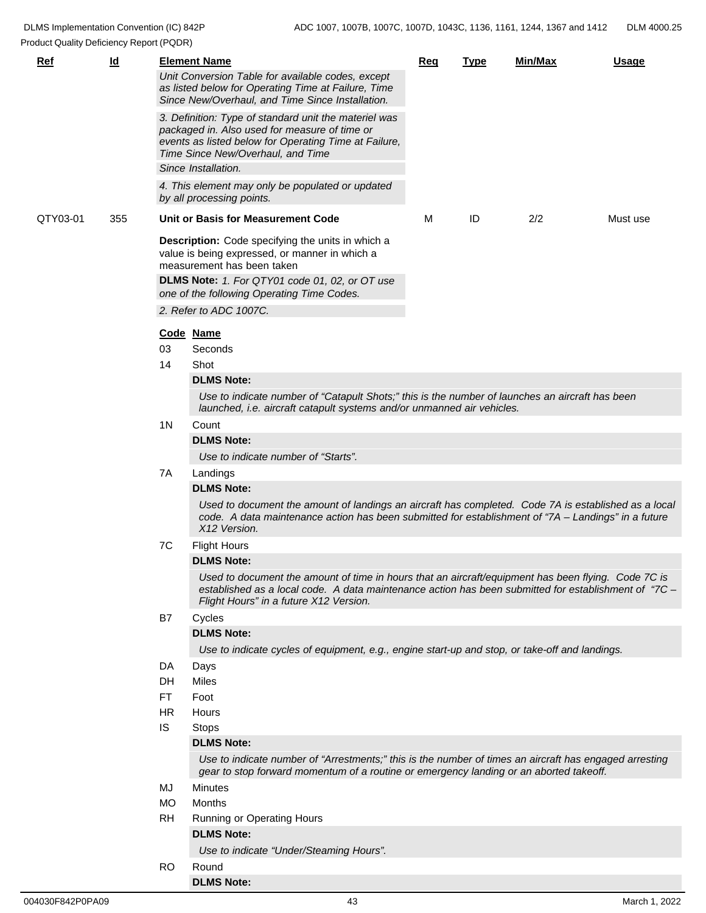| DLMS Implementation Convention (IC) 842P<br>Product Quality Deficiency Report (PQDR) |           |                | ADC 1007, 1007B, 1007C, 1007D, 1043C, 1136, 1161, 1244, 1367 and 1412                                                                                                                                                                                 |            |             |         | DLM 4000.25  |
|--------------------------------------------------------------------------------------|-----------|----------------|-------------------------------------------------------------------------------------------------------------------------------------------------------------------------------------------------------------------------------------------------------|------------|-------------|---------|--------------|
| <u>Ref</u>                                                                           | <u>ld</u> |                | <b>Element Name</b><br>Unit Conversion Table for available codes, except<br>as listed below for Operating Time at Failure, Time<br>Since New/Overhaul, and Time Since Installation.                                                                   | <u>Req</u> | <b>Type</b> | Min/Max | <u>Usage</u> |
|                                                                                      |           |                | 3. Definition: Type of standard unit the materiel was<br>packaged in. Also used for measure of time or<br>events as listed below for Operating Time at Failure,<br>Time Since New/Overhaul, and Time                                                  |            |             |         |              |
|                                                                                      |           |                | Since Installation.                                                                                                                                                                                                                                   |            |             |         |              |
|                                                                                      |           |                | 4. This element may only be populated or updated<br>by all processing points.                                                                                                                                                                         |            |             |         |              |
| QTY03-01                                                                             | 355       |                | Unit or Basis for Measurement Code                                                                                                                                                                                                                    | м          | ID          | 2/2     | Must use     |
|                                                                                      |           |                | Description: Code specifying the units in which a<br>value is being expressed, or manner in which a<br>measurement has been taken                                                                                                                     |            |             |         |              |
|                                                                                      |           |                | DLMS Note: 1. For QTY01 code 01, 02, or OT use<br>one of the following Operating Time Codes.                                                                                                                                                          |            |             |         |              |
|                                                                                      |           |                | 2. Refer to ADC 1007C.                                                                                                                                                                                                                                |            |             |         |              |
|                                                                                      |           |                | Code Name                                                                                                                                                                                                                                             |            |             |         |              |
|                                                                                      |           | 03             | Seconds                                                                                                                                                                                                                                               |            |             |         |              |
|                                                                                      |           | 14             | Shot                                                                                                                                                                                                                                                  |            |             |         |              |
|                                                                                      |           |                | <b>DLMS Note:</b>                                                                                                                                                                                                                                     |            |             |         |              |
|                                                                                      |           |                | Use to indicate number of "Catapult Shots;" this is the number of launches an aircraft has been<br>launched, i.e. aircraft catapult systems and/or unmanned air vehicles.                                                                             |            |             |         |              |
|                                                                                      |           | 1 <sup>N</sup> | Count                                                                                                                                                                                                                                                 |            |             |         |              |
|                                                                                      |           |                | <b>DLMS Note:</b>                                                                                                                                                                                                                                     |            |             |         |              |
|                                                                                      |           |                | Use to indicate number of "Starts".                                                                                                                                                                                                                   |            |             |         |              |
|                                                                                      |           | 7A             | Landings                                                                                                                                                                                                                                              |            |             |         |              |
|                                                                                      |           |                | <b>DLMS Note:</b>                                                                                                                                                                                                                                     |            |             |         |              |
|                                                                                      |           |                | Used to document the amount of landings an aircraft has completed. Code 7A is established as a local<br>code. A data maintenance action has been submitted for establishment of "7A - Landings" in a future<br>X12 Version.                           |            |             |         |              |
|                                                                                      |           | 7C             | <b>Flight Hours</b>                                                                                                                                                                                                                                   |            |             |         |              |
|                                                                                      |           |                | <b>DLMS Note:</b>                                                                                                                                                                                                                                     |            |             |         |              |
|                                                                                      |           |                | Used to document the amount of time in hours that an aircraft/equipment has been flying. Code 7C is<br>established as a local code. A data maintenance action has been submitted for establishment of "7C -<br>Flight Hours" in a future X12 Version. |            |             |         |              |
|                                                                                      |           | B7             | Cycles                                                                                                                                                                                                                                                |            |             |         |              |
|                                                                                      |           |                | <b>DLMS Note:</b>                                                                                                                                                                                                                                     |            |             |         |              |
|                                                                                      |           |                | Use to indicate cycles of equipment, e.g., engine start-up and stop, or take-off and landings.                                                                                                                                                        |            |             |         |              |
|                                                                                      |           | DA             | Days                                                                                                                                                                                                                                                  |            |             |         |              |
|                                                                                      |           | DH             | Miles                                                                                                                                                                                                                                                 |            |             |         |              |
|                                                                                      |           | <b>FT</b>      | Foot                                                                                                                                                                                                                                                  |            |             |         |              |
|                                                                                      |           | <b>HR</b>      | Hours                                                                                                                                                                                                                                                 |            |             |         |              |
|                                                                                      |           | IS             | <b>Stops</b>                                                                                                                                                                                                                                          |            |             |         |              |
|                                                                                      |           |                | <b>DLMS Note:</b>                                                                                                                                                                                                                                     |            |             |         |              |
|                                                                                      |           |                | Use to indicate number of "Arrestments;" this is the number of times an aircraft has engaged arresting<br>gear to stop forward momentum of a routine or emergency landing or an aborted takeoff.                                                      |            |             |         |              |
|                                                                                      |           | MJ             | Minutes                                                                                                                                                                                                                                               |            |             |         |              |
|                                                                                      |           | <b>MO</b>      | Months                                                                                                                                                                                                                                                |            |             |         |              |

- RH Running or Operating Hours
- **DLMS Note:**

*Use to indicate "Under/Steaming Hours".*

- RO Round
	- **DLMS Note:**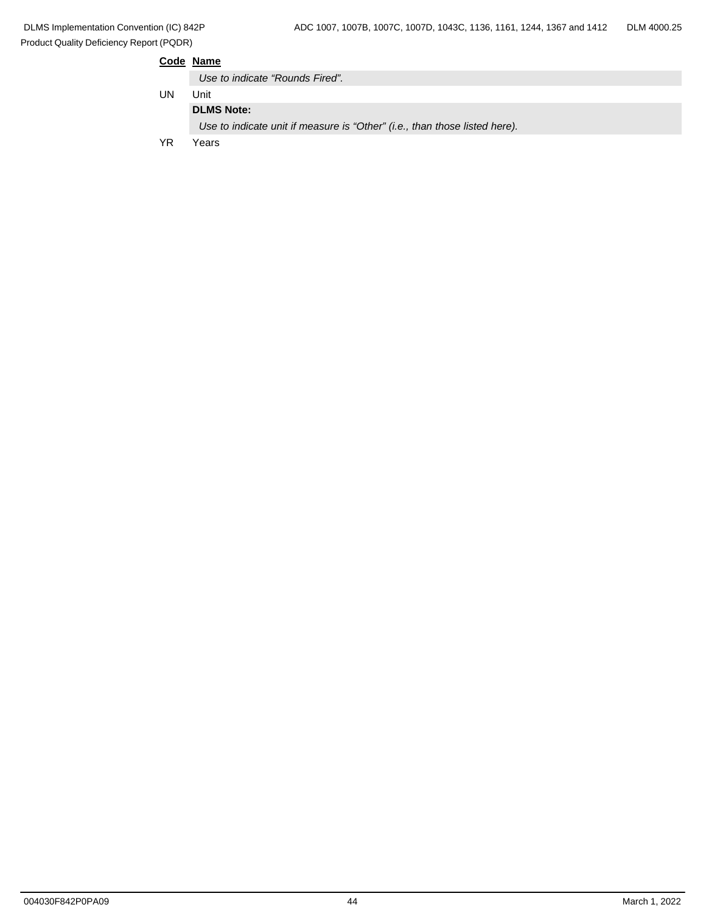|     | OUWU INGHIU                                                                |
|-----|----------------------------------------------------------------------------|
|     | Use to indicate "Rounds Fired".                                            |
| UN  | Jnit                                                                       |
|     | <b>DLMS Note:</b>                                                          |
|     | Use to indicate unit if measure is "Other" (i.e., than those listed here). |
| VD. | $\sqrt{2}$                                                                 |

YR Years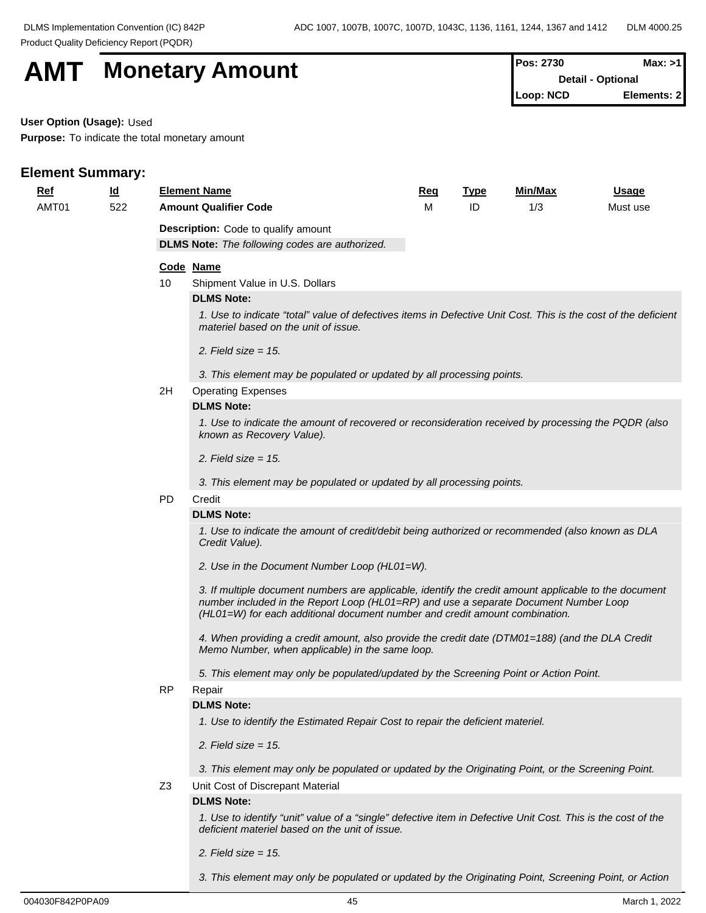| <b>AMT</b>                                                                         |                  |                | <b>Monetary Amount</b>                                                                                                                                                                                                                                                       |          |                   | Pos: 2730             | Max: >1<br><b>Detail - Optional</b> |
|------------------------------------------------------------------------------------|------------------|----------------|------------------------------------------------------------------------------------------------------------------------------------------------------------------------------------------------------------------------------------------------------------------------------|----------|-------------------|-----------------------|-------------------------------------|
|                                                                                    |                  |                |                                                                                                                                                                                                                                                                              |          |                   | Loop: NCD             | Elements: 2                         |
| <b>User Option (Usage): Used</b><br>Purpose: To indicate the total monetary amount |                  |                |                                                                                                                                                                                                                                                                              |          |                   |                       |                                     |
| <b>Element Summary:</b>                                                            |                  |                |                                                                                                                                                                                                                                                                              |          |                   |                       |                                     |
| <u>Ref</u><br>AMT01                                                                | <u>ld</u><br>522 |                | <b>Element Name</b><br><b>Amount Qualifier Code</b>                                                                                                                                                                                                                          | Req<br>M | <b>Type</b><br>ID | <b>Min/Max</b><br>1/3 | <u>Usage</u><br>Must use            |
|                                                                                    |                  |                | <b>Description:</b> Code to qualify amount<br><b>DLMS Note:</b> The following codes are authorized.                                                                                                                                                                          |          |                   |                       |                                     |
|                                                                                    |                  | 10             | Code Name<br>Shipment Value in U.S. Dollars<br><b>DLMS Note:</b><br>1. Use to indicate "total" value of defectives items in Defective Unit Cost. This is the cost of the deficient                                                                                           |          |                   |                       |                                     |
|                                                                                    |                  |                | materiel based on the unit of issue.<br>2. Field size $= 15$ .<br>3. This element may be populated or updated by all processing points.                                                                                                                                      |          |                   |                       |                                     |
|                                                                                    |                  | 2H             | <b>Operating Expenses</b>                                                                                                                                                                                                                                                    |          |                   |                       |                                     |
|                                                                                    |                  |                | <b>DLMS Note:</b>                                                                                                                                                                                                                                                            |          |                   |                       |                                     |
|                                                                                    |                  |                | 1. Use to indicate the amount of recovered or reconsideration received by processing the PQDR (also<br>known as Recovery Value).<br>2. Field size $= 15$ .<br>3. This element may be populated or updated by all processing points.                                          |          |                   |                       |                                     |
|                                                                                    |                  | <b>PD</b>      | Credit                                                                                                                                                                                                                                                                       |          |                   |                       |                                     |
|                                                                                    |                  |                | <b>DLMS Note:</b>                                                                                                                                                                                                                                                            |          |                   |                       |                                     |
|                                                                                    |                  |                | 1. Use to indicate the amount of credit/debit being authorized or recommended (also known as DLA<br>Credit Value).                                                                                                                                                           |          |                   |                       |                                     |
|                                                                                    |                  |                | 2. Use in the Document Number Loop (HL01=W).                                                                                                                                                                                                                                 |          |                   |                       |                                     |
|                                                                                    |                  |                | 3. If multiple document numbers are applicable, identify the credit amount applicable to the document<br>number included in the Report Loop (HL01=RP) and use a separate Document Number Loop<br>(HL01=W) for each additional document number and credit amount combination. |          |                   |                       |                                     |
|                                                                                    |                  |                | 4. When providing a credit amount, also provide the credit date (DTM01=188) (and the DLA Credit<br>Memo Number, when applicable) in the same loop.                                                                                                                           |          |                   |                       |                                     |
|                                                                                    |                  |                | 5. This element may only be populated/updated by the Screening Point or Action Point.                                                                                                                                                                                        |          |                   |                       |                                     |
|                                                                                    |                  | <b>RP</b>      | Repair<br><b>DLMS Note:</b>                                                                                                                                                                                                                                                  |          |                   |                       |                                     |
|                                                                                    |                  |                | 1. Use to identify the Estimated Repair Cost to repair the deficient materiel.                                                                                                                                                                                               |          |                   |                       |                                     |
|                                                                                    |                  |                | 2. Field size $= 15$ .                                                                                                                                                                                                                                                       |          |                   |                       |                                     |
|                                                                                    |                  | Z <sub>3</sub> | 3. This element may only be populated or updated by the Originating Point, or the Screening Point.<br>Unit Cost of Discrepant Material                                                                                                                                       |          |                   |                       |                                     |
|                                                                                    |                  |                | <b>DLMS Note:</b>                                                                                                                                                                                                                                                            |          |                   |                       |                                     |
|                                                                                    |                  |                | 1. Use to identify "unit" value of a "single" defective item in Defective Unit Cost. This is the cost of the<br>deficient materiel based on the unit of issue.                                                                                                               |          |                   |                       |                                     |
|                                                                                    |                  |                | 2. Field size $= 15$ .                                                                                                                                                                                                                                                       |          |                   |                       |                                     |

*3. This element may only be populated or updated by the Originating Point, Screening Point, or Action*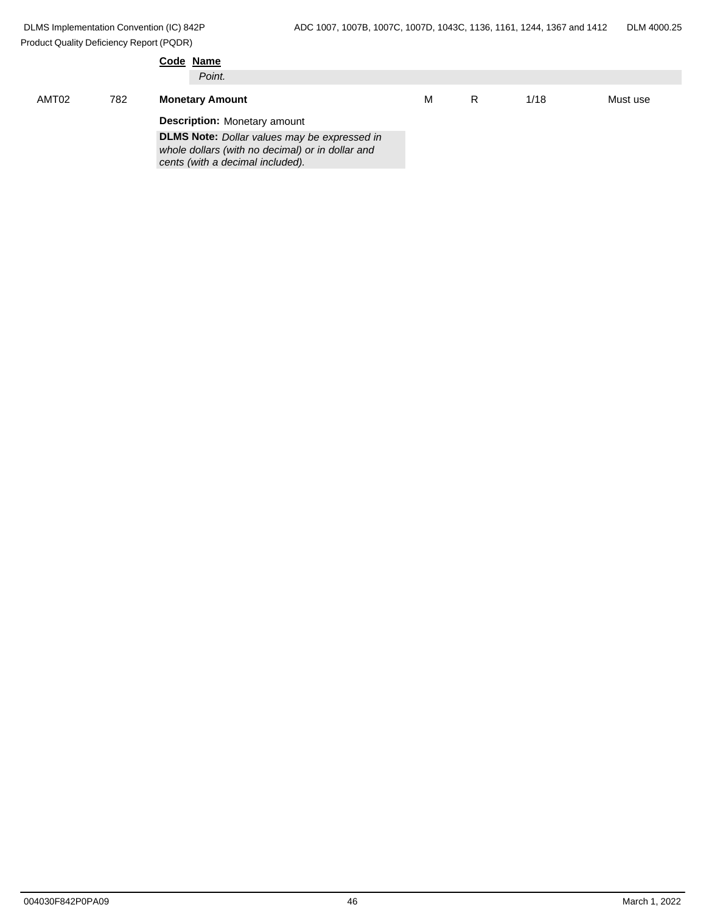|       |     | Code Name<br>Point.                                                                                     |   |   |      |          |
|-------|-----|---------------------------------------------------------------------------------------------------------|---|---|------|----------|
| AMT02 | 782 | <b>Monetary Amount</b>                                                                                  | м | R | 1/18 | Must use |
|       |     | <b>Description: Monetary amount</b>                                                                     |   |   |      |          |
|       |     | <b>DLMS Note:</b> Dollar values may be expressed in<br>whole dollars (with no decimal) or in dollar and |   |   |      |          |

*cents (with a decimal included).*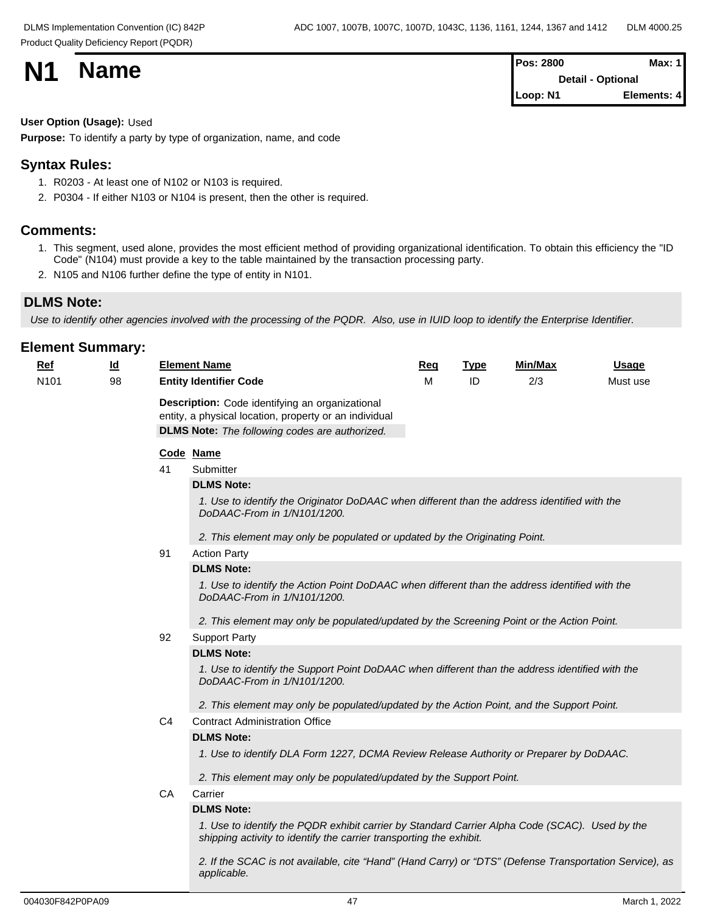

| <b>N1</b> | <b>Name</b> | <b>Pos: 2800</b>         | Max: $1$    |  |
|-----------|-------------|--------------------------|-------------|--|
|           |             | <b>Detail - Optional</b> |             |  |
|           |             | Loop: N1                 | Elements: 4 |  |

## **User Option (Usage):** Used

**Purpose:** To identify a party by type of organization, name, and code

# **Syntax Rules:**

- 1. R0203 At least one of N102 or N103 is required.
- 2. P0304 If either N103 or N104 is present, then the other is required.

# **Comments:**

- 1. This segment, used alone, provides the most efficient method of providing organizational identification. To obtain this efficiency the "ID Code" (N104) must provide a key to the table maintained by the transaction processing party.
- 2. N105 and N106 further define the type of entity in N101.

# **DLMS Note:**

*Use to identify other agencies involved with the processing of the PQDR. Also, use in IUID loop to identify the Enterprise Identifier.*

| $Ref$            | $\underline{\mathsf{Id}}$ |                | <b>Element Name</b>                                                                                                                                                   | Req | <b>Type</b> | Min/Max | <b>Usage</b> |
|------------------|---------------------------|----------------|-----------------------------------------------------------------------------------------------------------------------------------------------------------------------|-----|-------------|---------|--------------|
| N <sub>101</sub> | 98                        |                | <b>Entity Identifier Code</b>                                                                                                                                         | м   | ID          | 2/3     | Must use     |
|                  |                           |                | Description: Code identifying an organizational<br>entity, a physical location, property or an individual<br><b>DLMS Note:</b> The following codes are authorized.    |     |             |         |              |
|                  |                           |                | Code Name                                                                                                                                                             |     |             |         |              |
|                  |                           | 41             | Submitter                                                                                                                                                             |     |             |         |              |
|                  |                           |                | <b>DLMS Note:</b>                                                                                                                                                     |     |             |         |              |
|                  |                           |                | 1. Use to identify the Originator DoDAAC when different than the address identified with the<br>DoDAAC-From in 1/N101/1200.                                           |     |             |         |              |
|                  |                           |                | 2. This element may only be populated or updated by the Originating Point.                                                                                            |     |             |         |              |
|                  |                           | 91             | <b>Action Party</b>                                                                                                                                                   |     |             |         |              |
|                  |                           |                | <b>DLMS Note:</b>                                                                                                                                                     |     |             |         |              |
|                  |                           |                | 1. Use to identify the Action Point DoDAAC when different than the address identified with the<br>DoDAAC-From in 1/N101/1200.                                         |     |             |         |              |
|                  |                           |                | 2. This element may only be populated/updated by the Screening Point or the Action Point.                                                                             |     |             |         |              |
|                  |                           | 92             | <b>Support Party</b>                                                                                                                                                  |     |             |         |              |
|                  |                           |                | <b>DLMS Note:</b>                                                                                                                                                     |     |             |         |              |
|                  |                           |                | 1. Use to identify the Support Point DoDAAC when different than the address identified with the<br>DoDAAC-From in 1/N101/1200.                                        |     |             |         |              |
|                  |                           |                | 2. This element may only be populated/updated by the Action Point, and the Support Point.                                                                             |     |             |         |              |
|                  |                           | C <sub>4</sub> | <b>Contract Administration Office</b>                                                                                                                                 |     |             |         |              |
|                  |                           |                | <b>DLMS Note:</b>                                                                                                                                                     |     |             |         |              |
|                  |                           |                | 1. Use to identify DLA Form 1227, DCMA Review Release Authority or Preparer by DoDAAC.                                                                                |     |             |         |              |
|                  |                           |                | 2. This element may only be populated/updated by the Support Point.                                                                                                   |     |             |         |              |
|                  |                           | CA             | Carrier                                                                                                                                                               |     |             |         |              |
|                  |                           |                | <b>DLMS Note:</b>                                                                                                                                                     |     |             |         |              |
|                  |                           |                | 1. Use to identify the PQDR exhibit carrier by Standard Carrier Alpha Code (SCAC). Used by the<br>shipping activity to identify the carrier transporting the exhibit. |     |             |         |              |
|                  |                           |                | 2. If the SCAC is not available, cite "Hand" (Hand Carry) or "DTS" (Defense Transportation Service), as<br>applicable.                                                |     |             |         |              |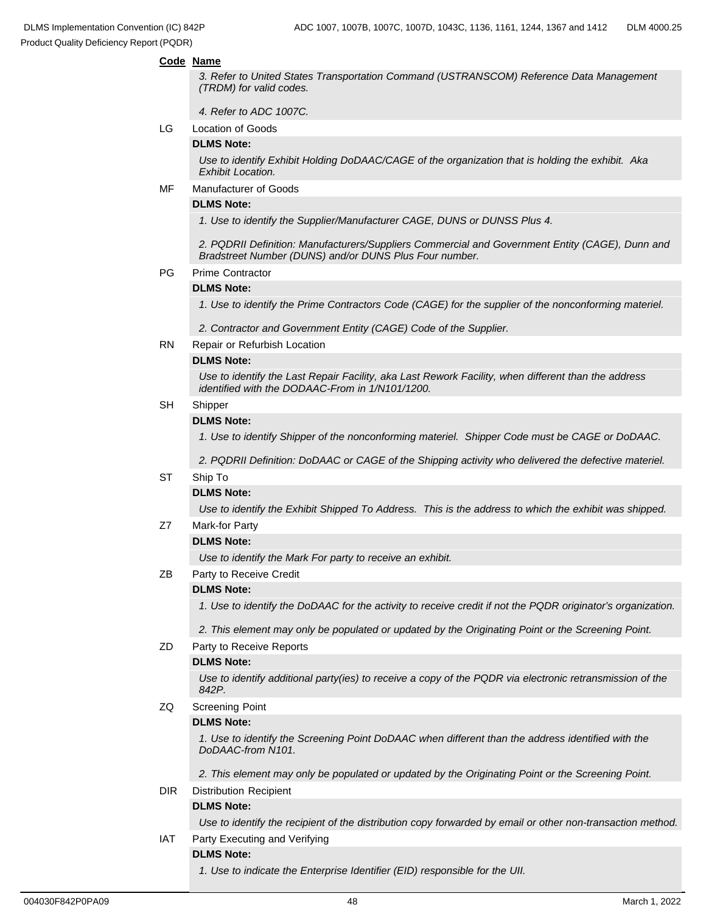*3. Refer to United States Transportation Command (USTRANSCOM) Reference Data Management (TRDM) for valid codes.*

*4. Refer to ADC 1007C.*

LG Location of Goods

## **DLMS Note:**

*Use to identify Exhibit Holding DoDAAC/CAGE of the organization that is holding the exhibit. Aka Exhibit Location.*

### MF Manufacturer of Goods

## **DLMS Note:**

*1. Use to identify the Supplier/Manufacturer CAGE, DUNS or DUNSS Plus 4.*

*2. PQDRII Definition: Manufacturers/Suppliers Commercial and Government Entity (CAGE), Dunn and Bradstreet Number (DUNS) and/or DUNS Plus Four number.*

#### PG Prime Contractor

#### **DLMS Note:**

*1. Use to identify the Prime Contractors Code (CAGE) for the supplier of the nonconforming materiel.*

*2. Contractor and Government Entity (CAGE) Code of the Supplier.*

RN Repair or Refurbish Location

## **DLMS Note:**

*Use to identify the Last Repair Facility, aka Last Rework Facility, when different than the address identified with the DODAAC-From in 1/N101/1200.*

### SH Shipper

## **DLMS Note:**

*1. Use to identify Shipper of the nonconforming materiel. Shipper Code must be CAGE or DoDAAC.*

*2. PQDRII Definition: DoDAAC or CAGE of the Shipping activity who delivered the defective materiel.*

## ST Ship To

## **DLMS Note:**

*Use to identify the Exhibit Shipped To Address. This is the address to which the exhibit was shipped.*

### Z7 Mark-for Party

### **DLMS Note:**

*Use to identify the Mark For party to receive an exhibit.*

ZB Party to Receive Credit

## **DLMS Note:**

*1. Use to identify the DoDAAC for the activity to receive credit if not the PQDR originator's organization.*

*2. This element may only be populated or updated by the Originating Point or the Screening Point.*

ZD Party to Receive Reports

## **DLMS Note:**

*Use to identify additional party(ies) to receive a copy of the PQDR via electronic retransmission of the 842P.*

## ZQ Screening Point

## **DLMS Note:**

*1. Use to identify the Screening Point DoDAAC when different than the address identified with the DoDAAC-from N101.*

*2. This element may only be populated or updated by the Originating Point or the Screening Point.*

## DIR Distribution Recipient

## **DLMS Note:**

*Use to identify the recipient of the distribution copy forwarded by email or other non-transaction method.*

IAT Party Executing and Verifying

## **DLMS Note:**

*1. Use to indicate the Enterprise Identifier (EID) responsible for the UII.*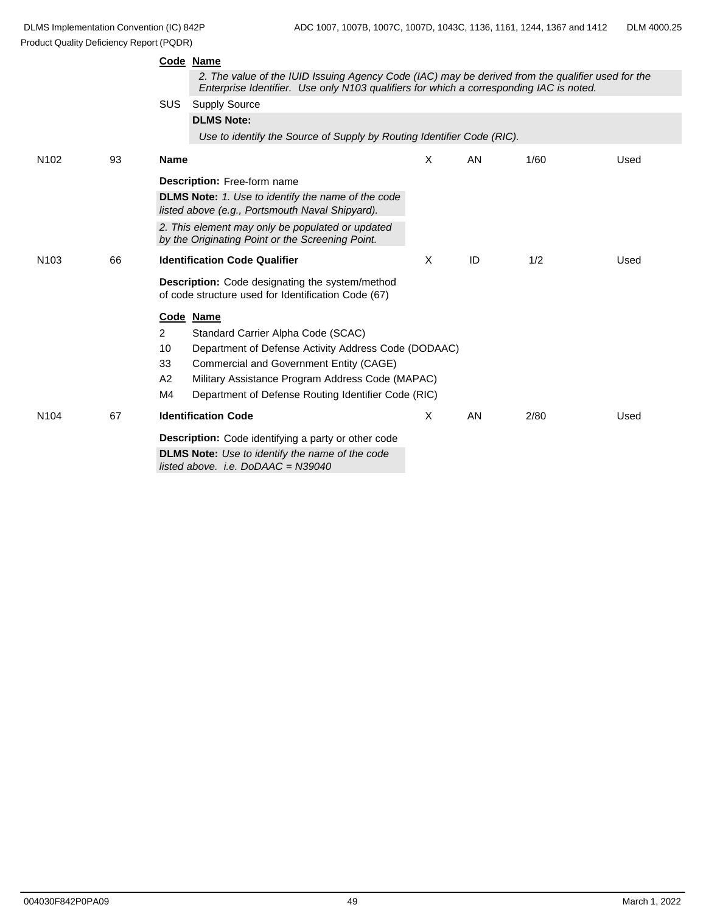| oduct Quality Deficiency Report (PQDR) |    |                                                                                                                                                                                                                                                                                                         |   |    |      |      |
|----------------------------------------|----|---------------------------------------------------------------------------------------------------------------------------------------------------------------------------------------------------------------------------------------------------------------------------------------------------------|---|----|------|------|
|                                        |    | Code Name<br>2. The value of the IUID Issuing Agency Code (IAC) may be derived from the qualifier used for the<br>Enterprise Identifier. Use only N103 qualifiers for which a corresponding IAC is noted.                                                                                               |   |    |      |      |
|                                        |    | <b>SUS</b><br><b>Supply Source</b>                                                                                                                                                                                                                                                                      |   |    |      |      |
|                                        |    | <b>DLMS Note:</b>                                                                                                                                                                                                                                                                                       |   |    |      |      |
|                                        |    | Use to identify the Source of Supply by Routing Identifier Code (RIC).                                                                                                                                                                                                                                  |   |    |      |      |
| N <sub>102</sub>                       | 93 | <b>Name</b>                                                                                                                                                                                                                                                                                             | X | AN | 1/60 | Used |
|                                        |    | <b>Description:</b> Free-form name                                                                                                                                                                                                                                                                      |   |    |      |      |
|                                        |    | <b>DLMS Note:</b> 1. Use to identify the name of the code<br>listed above (e.g., Portsmouth Naval Shipyard).                                                                                                                                                                                            |   |    |      |      |
|                                        |    | 2. This element may only be populated or updated<br>by the Originating Point or the Screening Point.                                                                                                                                                                                                    |   |    |      |      |
| N <sub>103</sub>                       | 66 | <b>Identification Code Qualifier</b>                                                                                                                                                                                                                                                                    | X | ID | 1/2  | Used |
|                                        |    | Description: Code designating the system/method<br>of code structure used for Identification Code (67)                                                                                                                                                                                                  |   |    |      |      |
|                                        |    | Code Name<br>$\overline{2}$<br>Standard Carrier Alpha Code (SCAC)<br>10<br>Department of Defense Activity Address Code (DODAAC)<br>33<br>Commercial and Government Entity (CAGE)<br>A2<br>Military Assistance Program Address Code (MAPAC)<br>M4<br>Department of Defense Routing Identifier Code (RIC) |   |    |      |      |
| N <sub>104</sub>                       | 67 | <b>Identification Code</b>                                                                                                                                                                                                                                                                              | X | AN | 2/80 | Used |
|                                        |    | <b>Description:</b> Code identifying a party or other code                                                                                                                                                                                                                                              |   |    |      |      |
|                                        |    | <b>DLMS Note:</b> Use to identify the name of the code<br>listed above. <i>i.e.</i> DoDAAC = $N39040$                                                                                                                                                                                                   |   |    |      |      |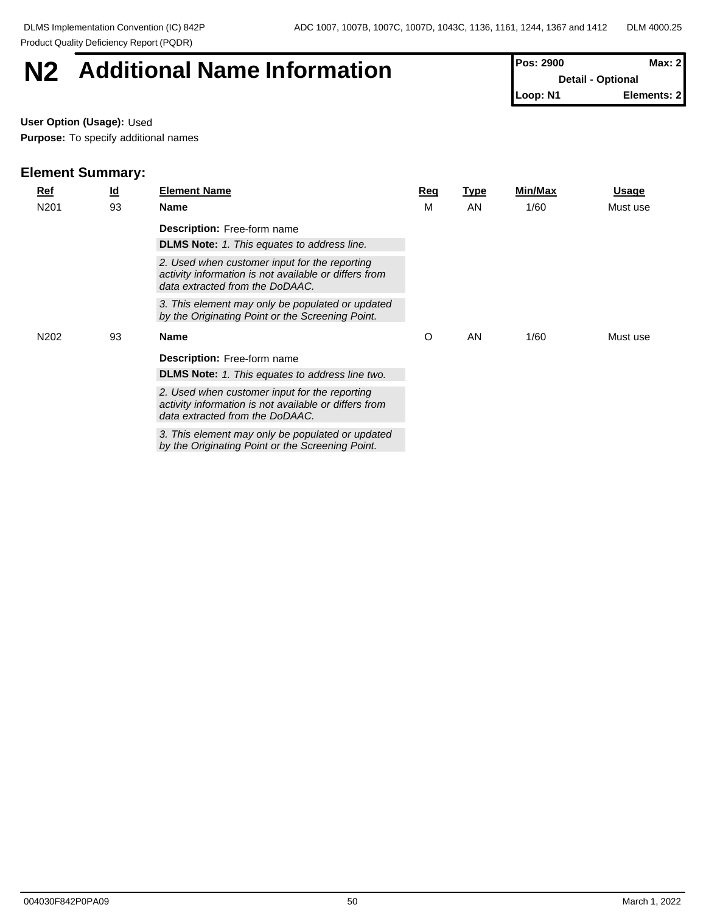# **N2 Additional Name Information Pos: 2900 Max: 2 Max: 2**

| I POS: 2900              | max: 21     |  |
|--------------------------|-------------|--|
| <b>Detail - Optional</b> |             |  |
| l Loop: N1               | Elements: 2 |  |

**User Option (Usage):** Used

**Purpose:** To specify additional names

# **Element Summary: Ref Id Element Name Req Type Min/Max Usage**

| N <sub>201</sub> | 93 | <b>Name</b>                                                                                                                               | M | AN | 1/60 | Must use |
|------------------|----|-------------------------------------------------------------------------------------------------------------------------------------------|---|----|------|----------|
|                  |    | <b>Description:</b> Free-form name                                                                                                        |   |    |      |          |
|                  |    | <b>DLMS Note:</b> 1. This equates to address line.                                                                                        |   |    |      |          |
|                  |    | 2. Used when customer input for the reporting<br>activity information is not available or differs from<br>data extracted from the DoDAAC. |   |    |      |          |
|                  |    | 3. This element may only be populated or updated<br>by the Originating Point or the Screening Point.                                      |   |    |      |          |
| N <sub>202</sub> | 93 | <b>Name</b>                                                                                                                               | O | AN | 1/60 | Must use |
|                  |    | <b>Description:</b> Free-form name                                                                                                        |   |    |      |          |
|                  |    | <b>DLMS Note:</b> 1. This equates to address line two.                                                                                    |   |    |      |          |
|                  |    | 2. Used when customer input for the reporting<br>activity information is not available or differs from<br>data extracted from the DoDAAC. |   |    |      |          |
|                  |    | 3. This element may only be populated or updated                                                                                          |   |    |      |          |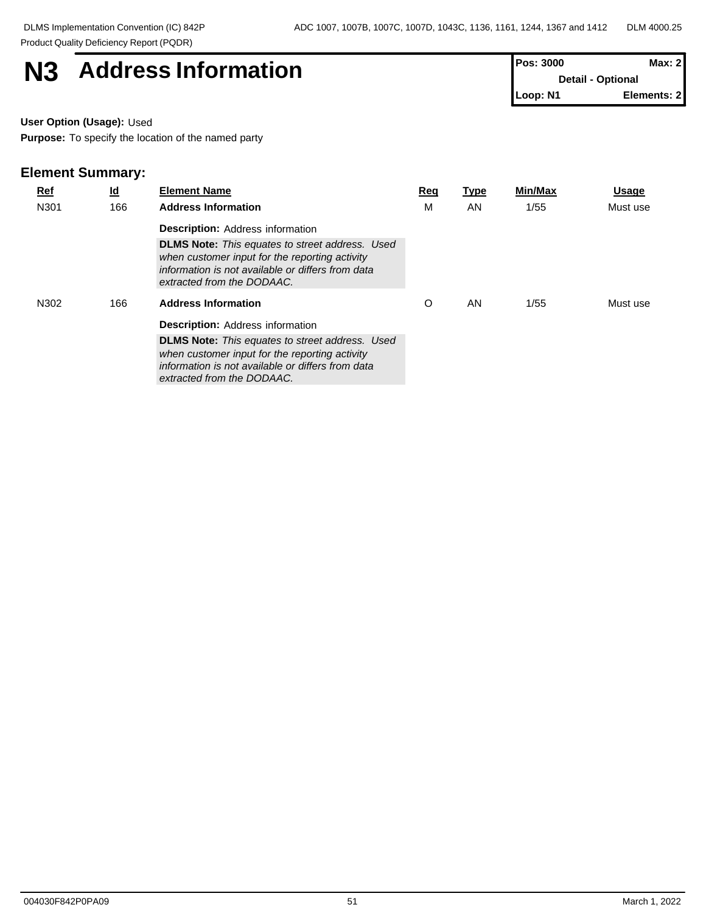# **N3** Address Information

| <b>I</b> Pos: 3000 | Max: 2                   |
|--------------------|--------------------------|
|                    | <b>Detail - Optional</b> |
| Loop: N1           | Elements: 2              |

**User Option (Usage):** Used

**Purpose:** To specify the location of the named party

| <u>Ref</u> | <u>ld</u> | <b>Element Name</b>                                                                                                                                                                         | Req | Type | Min/Max | Usage    |
|------------|-----------|---------------------------------------------------------------------------------------------------------------------------------------------------------------------------------------------|-----|------|---------|----------|
| N301       | 166       | <b>Address Information</b>                                                                                                                                                                  | М   | AN   | 1/55    | Must use |
|            |           | <b>Description: Address information</b>                                                                                                                                                     |     |      |         |          |
|            |           | <b>DLMS Note:</b> This equates to street address. Used<br>when customer input for the reporting activity<br>information is not available or differs from data<br>extracted from the DODAAC. |     |      |         |          |
| N302       | 166       | <b>Address Information</b>                                                                                                                                                                  | O   | AN   | 1/55    | Must use |
|            |           | <b>Description: Address information</b>                                                                                                                                                     |     |      |         |          |
|            |           | <b>DLMS Note:</b> This equates to street address. Used<br>when customer input for the reporting activity<br>information is not available or differs from data<br>extracted from the DODAAC. |     |      |         |          |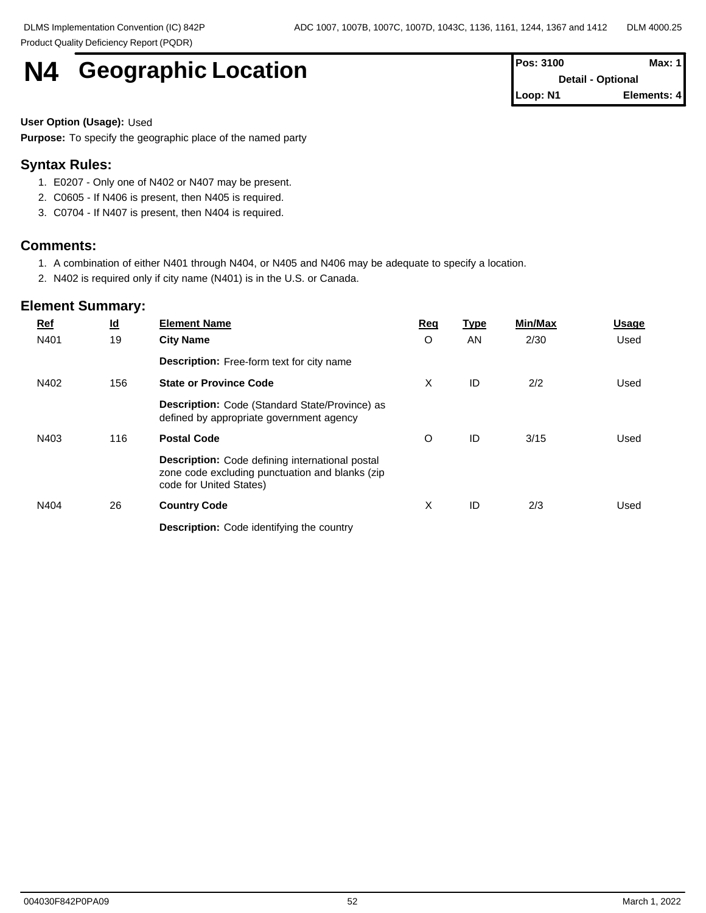# **N4 Geographic Location**

| <b>IPos: 3100</b>        | Max: 1      |
|--------------------------|-------------|
| <b>Detail - Optional</b> |             |
| Loop: N1                 | Elements: 4 |

**User Option (Usage):** Used

**Purpose:** To specify the geographic place of the named party

# **Syntax Rules:**

- 1. E0207 Only one of N402 or N407 may be present.
- 2. C0605 If N406 is present, then N405 is required.
- 3. C0704 If N407 is present, then N404 is required.

# **Comments:**

- 1. A combination of either N401 through N404, or N405 and N406 may be adequate to specify a location.
- 2. N402 is required only if city name (N401) is in the U.S. or Canada.

| <b>Ref</b> | $\underline{\mathsf{Id}}$ | <b>Element Name</b>                                                                                                                  | Reg     | <b>Type</b> | <b>Min/Max</b> | <u>Usage</u> |
|------------|---------------------------|--------------------------------------------------------------------------------------------------------------------------------------|---------|-------------|----------------|--------------|
| N401       | 19                        | <b>City Name</b>                                                                                                                     | $\circ$ | AN          | 2/30           | Used         |
|            |                           | <b>Description:</b> Free-form text for city name                                                                                     |         |             |                |              |
| N402       | 156                       | <b>State or Province Code</b>                                                                                                        | X       | ID          | 2/2            | Used         |
|            |                           | Description: Code (Standard State/Province) as<br>defined by appropriate government agency                                           |         |             |                |              |
| N403       | 116                       | <b>Postal Code</b>                                                                                                                   | O       | ID          | 3/15           | Used         |
|            |                           | <b>Description:</b> Code defining international postal<br>zone code excluding punctuation and blanks (zip<br>code for United States) |         |             |                |              |
| N404       | 26                        | <b>Country Code</b>                                                                                                                  | X       | ID          | 2/3            | Used         |
|            |                           | Description: Code identifying the country                                                                                            |         |             |                |              |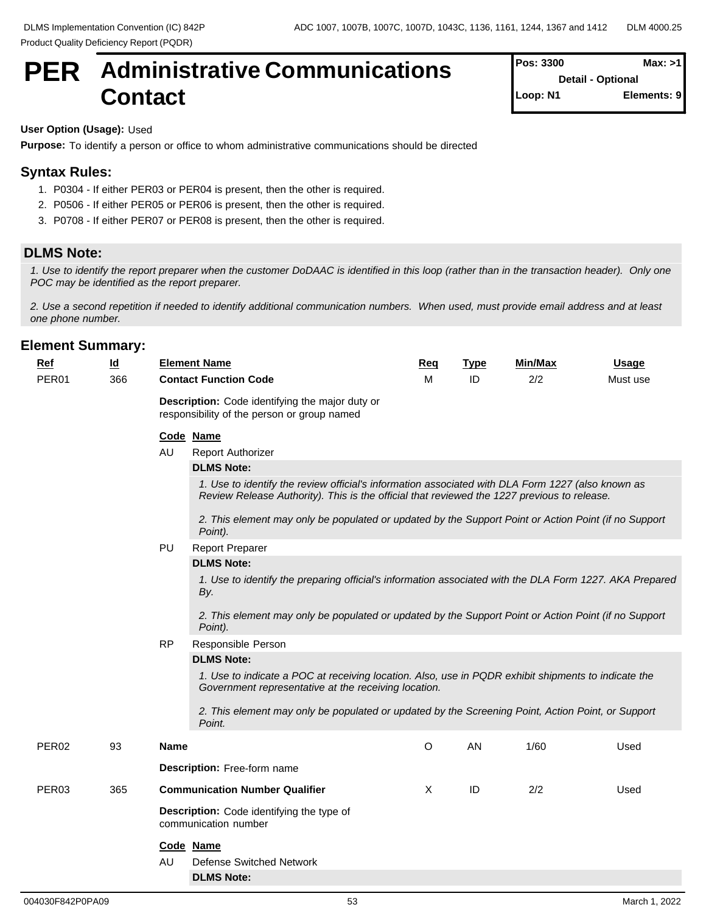# **PER Administrative Communications Contact**

| <b>Pos: 3300</b>         | Max: >1     |
|--------------------------|-------------|
| <b>Detail - Optional</b> |             |
| $\blacksquare$ Loop: N1  | Elements: 9 |

## **User Option (Usage):** Used

**Purpose:** To identify a person or office to whom administrative communications should be directed

# **Syntax Rules:**

- 1. P0304 If either PER03 or PER04 is present, then the other is required.
- 2. P0506 If either PER05 or PER06 is present, then the other is required.
- 3. P0708 If either PER07 or PER08 is present, then the other is required.

# **DLMS Note:**

*1. Use to identify the report preparer when the customer DoDAAC is identified in this loop (rather than in the transaction header). Only one POC may be identified as the report preparer.*

*2. Use a second repetition if needed to identify additional communication numbers. When used, must provide email address and at least one phone number.*

| <b>Element Summary:</b> |           |             |                                                                                                                                                             |                                                                                                                                                                                                                                                                                                                                                                                                                                                                                                                             |             |         |              |
|-------------------------|-----------|-------------|-------------------------------------------------------------------------------------------------------------------------------------------------------------|-----------------------------------------------------------------------------------------------------------------------------------------------------------------------------------------------------------------------------------------------------------------------------------------------------------------------------------------------------------------------------------------------------------------------------------------------------------------------------------------------------------------------------|-------------|---------|--------------|
| <b>Ref</b>              | <u>ld</u> |             | <b>Element Name</b>                                                                                                                                         | <u>Req</u>                                                                                                                                                                                                                                                                                                                                                                                                                                                                                                                  | <b>Type</b> | Min/Max | <b>Usage</b> |
| PER01                   | 366       |             | <b>Contact Function Code</b>                                                                                                                                | м                                                                                                                                                                                                                                                                                                                                                                                                                                                                                                                           | ID          | 2/2     | Must use     |
|                         |           |             | Description: Code identifying the major duty or<br>responsibility of the person or group named                                                              | 1. Use to identify the review official's information associated with DLA Form 1227 (also known as<br>Review Release Authority). This is the official that reviewed the 1227 previous to release.<br>2. This element may only be populated or updated by the Support Point or Action Point (if no Support<br>1. Use to identify the preparing official's information associated with the DLA Form 1227. AKA Prepared<br>2. This element may only be populated or updated by the Support Point or Action Point (if no Support |             |         |              |
|                         |           |             | Code Name                                                                                                                                                   |                                                                                                                                                                                                                                                                                                                                                                                                                                                                                                                             |             |         |              |
|                         |           | AU          | <b>Report Authorizer</b>                                                                                                                                    |                                                                                                                                                                                                                                                                                                                                                                                                                                                                                                                             |             |         |              |
|                         |           |             | <b>DLMS Note:</b>                                                                                                                                           |                                                                                                                                                                                                                                                                                                                                                                                                                                                                                                                             |             |         |              |
|                         |           |             |                                                                                                                                                             |                                                                                                                                                                                                                                                                                                                                                                                                                                                                                                                             |             |         |              |
|                         |           |             | Point).                                                                                                                                                     |                                                                                                                                                                                                                                                                                                                                                                                                                                                                                                                             |             |         |              |
|                         |           | PU          | <b>Report Preparer</b>                                                                                                                                      |                                                                                                                                                                                                                                                                                                                                                                                                                                                                                                                             |             |         |              |
|                         |           |             | <b>DLMS Note:</b>                                                                                                                                           |                                                                                                                                                                                                                                                                                                                                                                                                                                                                                                                             |             |         |              |
|                         |           |             | By.                                                                                                                                                         |                                                                                                                                                                                                                                                                                                                                                                                                                                                                                                                             |             |         |              |
|                         |           |             | Point).                                                                                                                                                     |                                                                                                                                                                                                                                                                                                                                                                                                                                                                                                                             |             |         |              |
|                         |           | <b>RP</b>   | Responsible Person                                                                                                                                          |                                                                                                                                                                                                                                                                                                                                                                                                                                                                                                                             |             |         |              |
|                         |           |             | <b>DLMS Note:</b>                                                                                                                                           |                                                                                                                                                                                                                                                                                                                                                                                                                                                                                                                             |             |         |              |
|                         |           |             | 1. Use to indicate a POC at receiving location. Also, use in PQDR exhibit shipments to indicate the<br>Government representative at the receiving location. |                                                                                                                                                                                                                                                                                                                                                                                                                                                                                                                             |             |         |              |
|                         |           |             | 2. This element may only be populated or updated by the Screening Point, Action Point, or Support<br>Point.                                                 |                                                                                                                                                                                                                                                                                                                                                                                                                                                                                                                             |             |         |              |
| PER <sub>02</sub>       | 93        | <b>Name</b> |                                                                                                                                                             | O                                                                                                                                                                                                                                                                                                                                                                                                                                                                                                                           | AN          | 1/60    | Used         |
|                         |           |             | Description: Free-form name                                                                                                                                 |                                                                                                                                                                                                                                                                                                                                                                                                                                                                                                                             |             |         |              |
| PER03                   | 365       |             | <b>Communication Number Qualifier</b>                                                                                                                       | X                                                                                                                                                                                                                                                                                                                                                                                                                                                                                                                           | ID          | 2/2     | Used         |
|                         |           |             | <b>Description:</b> Code identifying the type of<br>communication number                                                                                    |                                                                                                                                                                                                                                                                                                                                                                                                                                                                                                                             |             |         |              |
|                         |           |             | Code Name                                                                                                                                                   |                                                                                                                                                                                                                                                                                                                                                                                                                                                                                                                             |             |         |              |
|                         |           | AU          | Defense Switched Network                                                                                                                                    |                                                                                                                                                                                                                                                                                                                                                                                                                                                                                                                             |             |         |              |
|                         |           |             | <b>DLMS Note:</b>                                                                                                                                           |                                                                                                                                                                                                                                                                                                                                                                                                                                                                                                                             |             |         |              |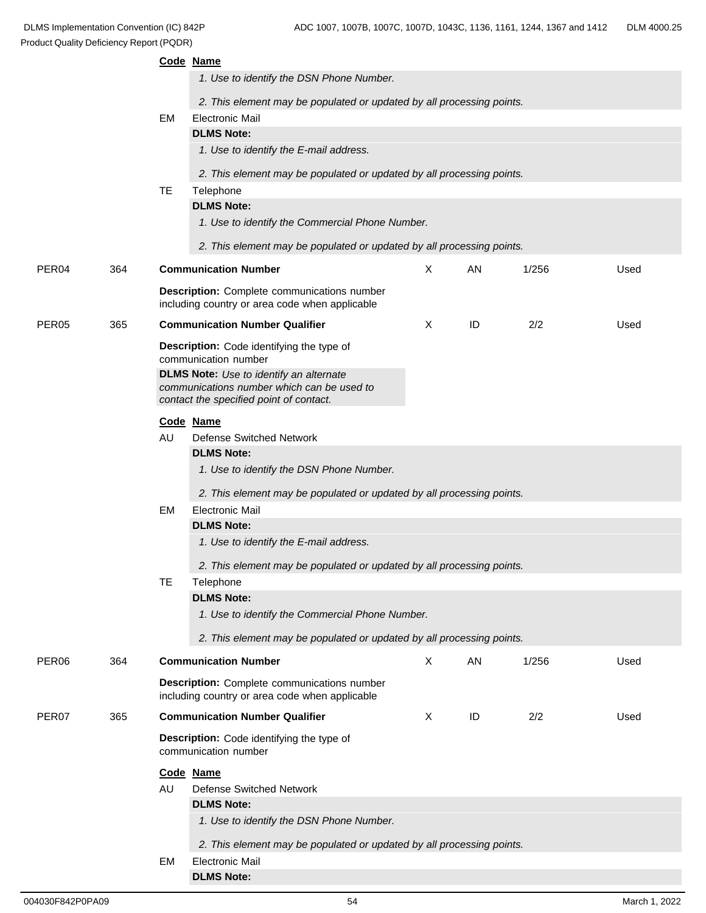| oduct Quality Deficiency Report (PQDR) |     |           |                                                                                                      |              |    |       |      |
|----------------------------------------|-----|-----------|------------------------------------------------------------------------------------------------------|--------------|----|-------|------|
|                                        |     |           | Code Name                                                                                            |              |    |       |      |
|                                        |     |           | 1. Use to identify the DSN Phone Number.                                                             |              |    |       |      |
|                                        |     |           | 2. This element may be populated or updated by all processing points.                                |              |    |       |      |
|                                        |     | EM        | <b>Electronic Mail</b>                                                                               |              |    |       |      |
|                                        |     |           | <b>DLMS Note:</b>                                                                                    |              |    |       |      |
|                                        |     |           | 1. Use to identify the E-mail address.                                                               |              |    |       |      |
|                                        |     |           | 2. This element may be populated or updated by all processing points.                                |              |    |       |      |
|                                        |     | TE        | Telephone                                                                                            |              |    |       |      |
|                                        |     |           | <b>DLMS Note:</b>                                                                                    |              |    |       |      |
|                                        |     |           | 1. Use to identify the Commercial Phone Number.                                                      |              |    |       |      |
|                                        |     |           | 2. This element may be populated or updated by all processing points.                                |              |    |       |      |
| PER04                                  | 364 |           | <b>Communication Number</b>                                                                          | $\times$     | AN | 1/256 | Used |
|                                        |     |           | <b>Description:</b> Complete communications number<br>including country or area code when applicable |              |    |       |      |
| PER <sub>05</sub>                      | 365 |           | <b>Communication Number Qualifier</b>                                                                | $\times$     | ID | 2/2   | Used |
|                                        |     |           | Description: Code identifying the type of<br>communication number                                    |              |    |       |      |
|                                        |     |           | <b>DLMS Note:</b> Use to identify an alternate                                                       |              |    |       |      |
|                                        |     |           | communications number which can be used to<br>contact the specified point of contact.                |              |    |       |      |
|                                        |     |           | Code Name                                                                                            |              |    |       |      |
|                                        |     | AU        | <b>Defense Switched Network</b>                                                                      |              |    |       |      |
|                                        |     |           | <b>DLMS Note:</b>                                                                                    |              |    |       |      |
|                                        |     |           | 1. Use to identify the DSN Phone Number.                                                             |              |    |       |      |
|                                        |     |           | 2. This element may be populated or updated by all processing points.                                |              |    |       |      |
|                                        |     | EM        | <b>Electronic Mail</b>                                                                               |              |    |       |      |
|                                        |     |           | <b>DLMS Note:</b>                                                                                    |              |    |       |      |
|                                        |     |           | 1. Use to identify the E-mail address.                                                               |              |    |       |      |
|                                        |     |           | 2. This element may be populated or updated by all processing points.                                |              |    |       |      |
|                                        |     | <b>TE</b> | Telephone                                                                                            |              |    |       |      |
|                                        |     |           | <b>DLMS Note:</b>                                                                                    |              |    |       |      |
|                                        |     |           | 1. Use to identify the Commercial Phone Number.                                                      |              |    |       |      |
|                                        |     |           | 2. This element may be populated or updated by all processing points.                                |              |    |       |      |
| PER <sub>06</sub>                      | 364 |           | <b>Communication Number</b>                                                                          | X            | AN | 1/256 | Used |
|                                        |     |           | <b>Description:</b> Complete communications number<br>including country or area code when applicable |              |    |       |      |
| PER07                                  | 365 |           | <b>Communication Number Qualifier</b>                                                                | $\mathsf{X}$ | ID | 2/2   | Used |
|                                        |     |           | <b>Description:</b> Code identifying the type of<br>communication number                             |              |    |       |      |
|                                        |     |           | Code Name                                                                                            |              |    |       |      |
|                                        |     | AU        | <b>Defense Switched Network</b>                                                                      |              |    |       |      |
|                                        |     |           | <b>DLMS Note:</b>                                                                                    |              |    |       |      |
|                                        |     |           | 1. Use to identify the DSN Phone Number.                                                             |              |    |       |      |
|                                        |     |           |                                                                                                      |              |    |       |      |
|                                        |     |           | 2. This element may be populated or updated by all processing points.                                |              |    |       |      |
|                                        |     | EM        | <b>Electronic Mail</b>                                                                               |              |    |       |      |
|                                        |     |           | <b>DLMS Note:</b>                                                                                    |              |    |       |      |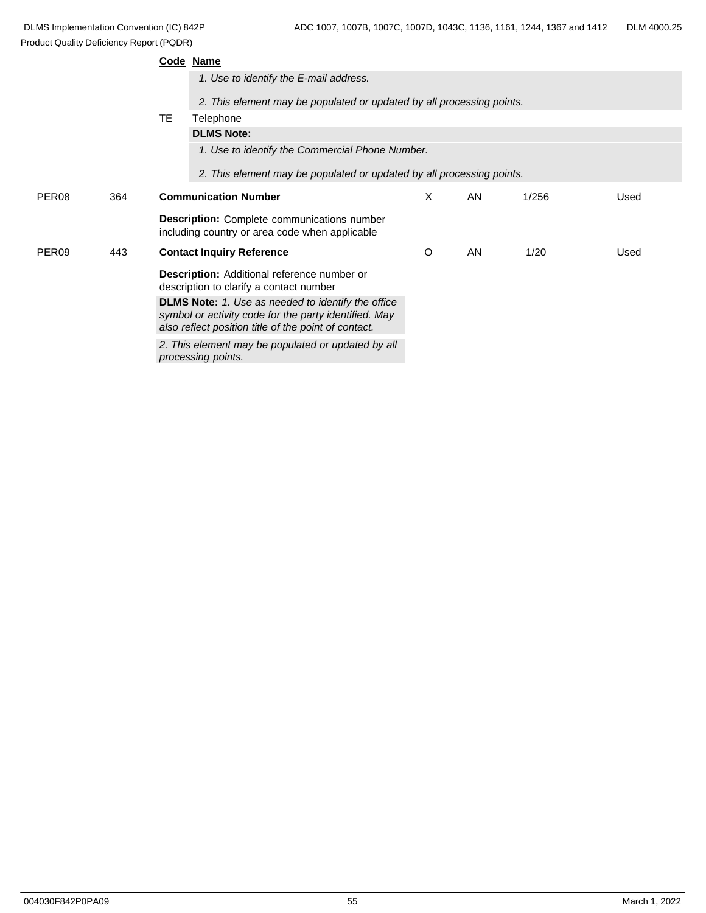|                   |     |           | Code Name                                                                                                                                                                  |          |     |       |      |
|-------------------|-----|-----------|----------------------------------------------------------------------------------------------------------------------------------------------------------------------------|----------|-----|-------|------|
|                   |     |           | 1. Use to identify the E-mail address.                                                                                                                                     |          |     |       |      |
|                   |     |           | 2. This element may be populated or updated by all processing points.                                                                                                      |          |     |       |      |
|                   |     | <b>TE</b> | Telephone                                                                                                                                                                  |          |     |       |      |
|                   |     |           | <b>DLMS Note:</b>                                                                                                                                                          |          |     |       |      |
|                   |     |           | 1. Use to identify the Commercial Phone Number.                                                                                                                            |          |     |       |      |
|                   |     |           | 2. This element may be populated or updated by all processing points.                                                                                                      |          |     |       |      |
| PER <sub>08</sub> | 364 |           | <b>Communication Number</b>                                                                                                                                                | X        | AN. | 1/256 | Used |
|                   |     |           | <b>Description:</b> Complete communications number<br>including country or area code when applicable                                                                       |          |     |       |      |
| PER <sub>09</sub> | 443 |           | <b>Contact Inquiry Reference</b>                                                                                                                                           | $\Omega$ | AN  | 1/20  | Used |
|                   |     |           | <b>Description:</b> Additional reference number or<br>description to clarify a contact number                                                                              |          |     |       |      |
|                   |     |           | <b>DLMS Note:</b> 1. Use as needed to identify the office<br>symbol or activity code for the party identified. May<br>also reflect position title of the point of contact. |          |     |       |      |
|                   |     |           | 2. This element may be populated or updated by all<br>processing points.                                                                                                   |          |     |       |      |
|                   |     |           |                                                                                                                                                                            |          |     |       |      |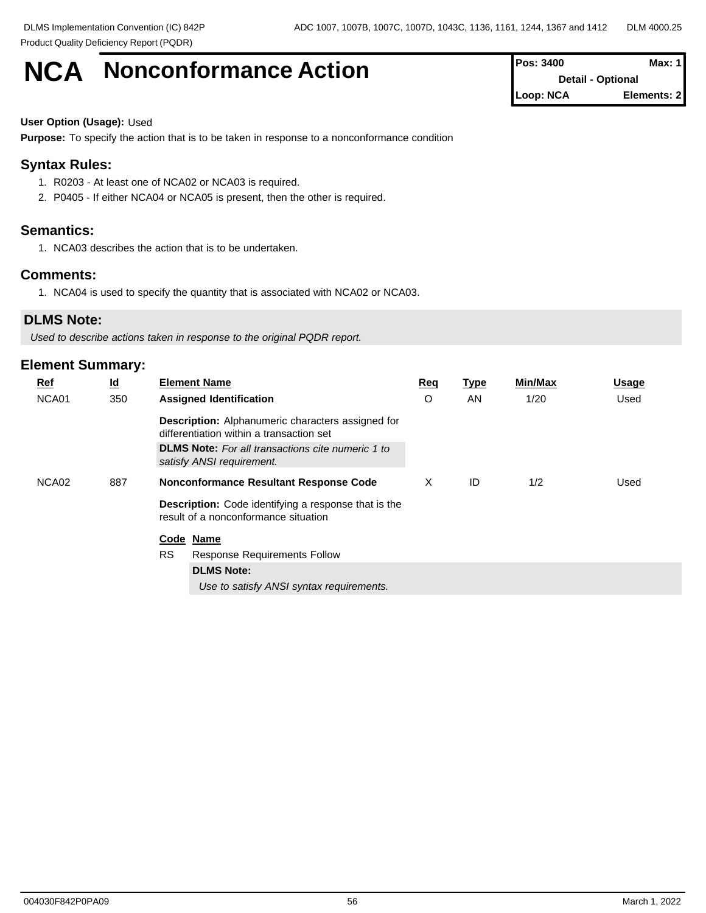# **NCA** Nonconformance Action

| <b>Pos: 3400</b>         | Max: 1       |
|--------------------------|--------------|
| <b>Detail - Optional</b> |              |
| Loop: NCA                | Elements: 21 |

## **User Option (Usage):** Used

**Purpose:** To specify the action that is to be taken in response to a nonconformance condition

# **Syntax Rules:**

- 1. R0203 At least one of NCA02 or NCA03 is required.
- 2. P0405 If either NCA04 or NCA05 is present, then the other is required.

# **Semantics:**

1. NCA03 describes the action that is to be undertaken.

# **Comments:**

1. NCA04 is used to specify the quantity that is associated with NCA02 or NCA03.

# **DLMS Note:**

*Used to describe actions taken in response to the original PQDR report.*

| <b>Ref</b>        | $\underline{\mathsf{Id}}$ | <b>Element Name</b>                                                                                                                                                                           | <b>Req</b> | <u>Type</u> | Min/Max | <b>Usage</b> |
|-------------------|---------------------------|-----------------------------------------------------------------------------------------------------------------------------------------------------------------------------------------------|------------|-------------|---------|--------------|
| NCA01             | 350                       | <b>Assigned Identification</b>                                                                                                                                                                | $\circ$    | AN          | 1/20    | Used         |
|                   |                           | <b>Description:</b> Alphanumeric characters assigned for<br>differentiation within a transaction set<br><b>DLMS Note:</b> For all transactions cite numeric 1 to<br>satisfy ANSI requirement. |            |             |         |              |
| NCA <sub>02</sub> | 887                       | Nonconformance Resultant Response Code                                                                                                                                                        | X          | ID          | 1/2     | Used         |
|                   |                           | <b>Description:</b> Code identifying a response that is the<br>result of a nonconformance situation                                                                                           |            |             |         |              |
|                   |                           | Code Name                                                                                                                                                                                     |            |             |         |              |
|                   |                           | <b>RS</b><br><b>Response Requirements Follow</b>                                                                                                                                              |            |             |         |              |
|                   |                           | <b>DLMS Note:</b>                                                                                                                                                                             |            |             |         |              |
|                   |                           | Use to satisfy ANSI syntax requirements.                                                                                                                                                      |            |             |         |              |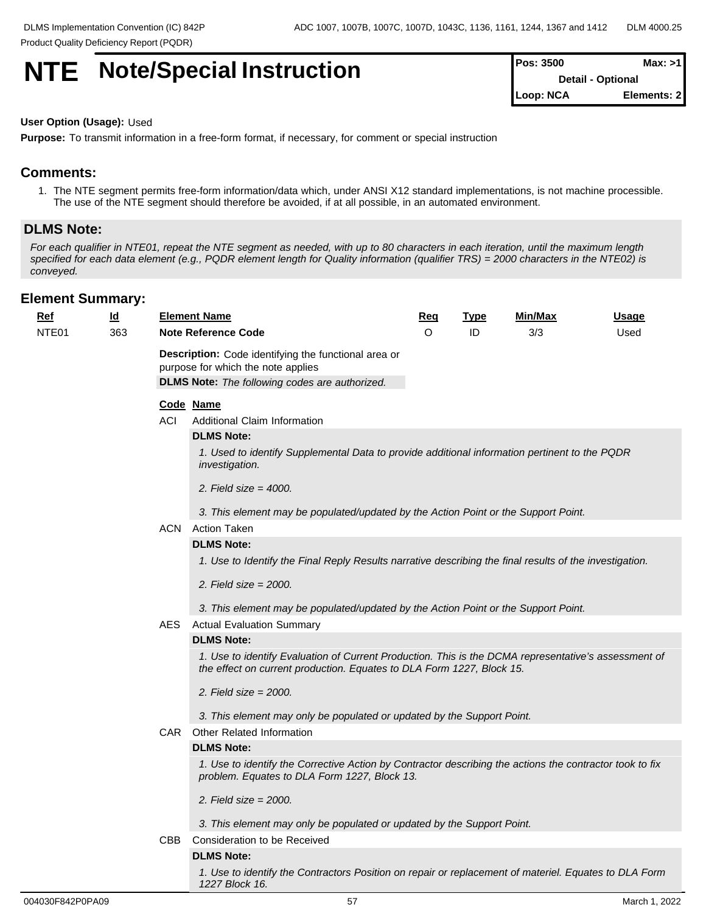# **NTE** Note/Special Instruction

| <b>Pos: 3500</b> | Max: > 11                |
|------------------|--------------------------|
|                  | <b>Detail - Optional</b> |
| Loop: NCA        | Elements: 2              |

## **User Option (Usage):** Used

**Purpose:** To transmit information in a free-form format, if necessary, for comment or special instruction

# **Comments:**

1. The NTE segment permits free-form information/data which, under ANSI X12 standard implementations, is not machine processible. The use of the NTE segment should therefore be avoided, if at all possible, in an automated environment.

# **DLMS Note:**

*For each qualifier in NTE01, repeat the NTE segment as needed, with up to 80 characters in each iteration, until the maximum length specified for each data element (e.g., PQDR element length for Quality information (qualifier TRS) = 2000 characters in the NTE02) is conveyed.*

| <u>Ref</u> | <u>ld</u> | <b>Element Name</b>                                                                                                                                                           | Req      | <b>Type</b> | Min/Max | <b>Usage</b> |
|------------|-----------|-------------------------------------------------------------------------------------------------------------------------------------------------------------------------------|----------|-------------|---------|--------------|
| NTE01      | 363       | <b>Note Reference Code</b>                                                                                                                                                    | $\Omega$ | ID          | 3/3     | Used         |
|            |           | Description: Code identifying the functional area or<br>purpose for which the note applies<br><b>DLMS Note:</b> The following codes are authorized.                           |          |             |         |              |
|            |           | Code Name                                                                                                                                                                     |          |             |         |              |
|            |           | <b>ACI</b> Additional Claim Information                                                                                                                                       |          |             |         |              |
|            |           | <b>DLMS Note:</b>                                                                                                                                                             |          |             |         |              |
|            |           | 1. Used to identify Supplemental Data to provide additional information pertinent to the PQDR<br>investigation.                                                               |          |             |         |              |
|            |           | 2. Field size $=$ 4000.                                                                                                                                                       |          |             |         |              |
|            |           | 3. This element may be populated/updated by the Action Point or the Support Point.                                                                                            |          |             |         |              |
|            |           | <b>ACN</b> Action Taken                                                                                                                                                       |          |             |         |              |
|            |           | <b>DLMS Note:</b>                                                                                                                                                             |          |             |         |              |
|            |           | 1. Use to Identify the Final Reply Results narrative describing the final results of the investigation.                                                                       |          |             |         |              |
|            |           |                                                                                                                                                                               |          |             |         |              |
|            |           | 2. Field size $= 2000$ .                                                                                                                                                      |          |             |         |              |
|            |           | 3. This element may be populated/updated by the Action Point or the Support Point.                                                                                            |          |             |         |              |
|            |           | AES Actual Evaluation Summary                                                                                                                                                 |          |             |         |              |
|            |           | <b>DLMS Note:</b>                                                                                                                                                             |          |             |         |              |
|            |           | 1. Use to identify Evaluation of Current Production. This is the DCMA representative's assessment of<br>the effect on current production. Equates to DLA Form 1227, Block 15. |          |             |         |              |
|            |           | 2. Field size $= 2000$ .                                                                                                                                                      |          |             |         |              |
|            |           | 3. This element may only be populated or updated by the Support Point.                                                                                                        |          |             |         |              |
|            |           | CAR Other Related Information                                                                                                                                                 |          |             |         |              |
|            |           | <b>DLMS Note:</b>                                                                                                                                                             |          |             |         |              |
|            |           | 1. Use to identify the Corrective Action by Contractor describing the actions the contractor took to fix<br>problem. Equates to DLA Form 1227, Block 13.                      |          |             |         |              |
|            |           | 2. Field size $= 2000$ .                                                                                                                                                      |          |             |         |              |
|            |           | 3. This element may only be populated or updated by the Support Point.                                                                                                        |          |             |         |              |
|            |           | CBB Consideration to be Received                                                                                                                                              |          |             |         |              |
|            |           | <b>DLMS Note:</b>                                                                                                                                                             |          |             |         |              |
|            |           | 1. Use to identify the Contractors Position on repair or replacement of materiel. Equates to DLA Form<br>1227 Block 16.                                                       |          |             |         |              |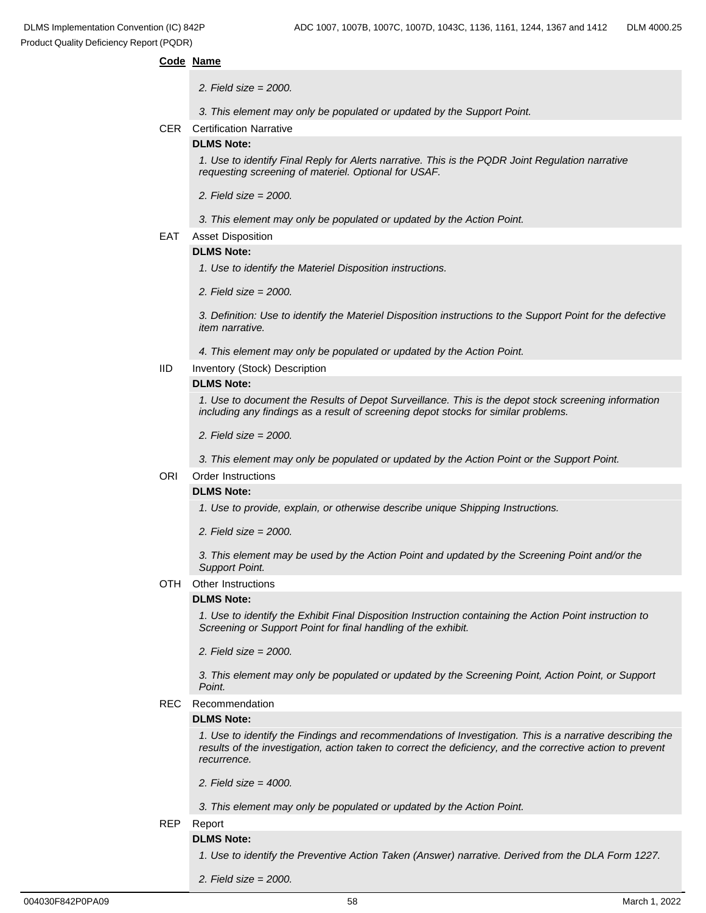- *2. Field size = 2000.*
- *3. This element may only be populated or updated by the Support Point.*

CER Certification Narrative

#### **DLMS Note:**

*1. Use to identify Final Reply for Alerts narrative. This is the PQDR Joint Regulation narrative requesting screening of materiel. Optional for USAF.*

*2. Field size = 2000.*

*3. This element may only be populated or updated by the Action Point.*

#### EAT Asset Disposition

### **DLMS Note:**

*1. Use to identify the Materiel Disposition instructions.*

*2. Field size = 2000.*

*3. Definition: Use to identify the Materiel Disposition instructions to the Support Point for the defective item narrative.*

*4. This element may only be populated or updated by the Action Point.*

IID Inventory (Stock) Description

#### **DLMS Note:**

*1. Use to document the Results of Depot Surveillance. This is the depot stock screening information including any findings as a result of screening depot stocks for similar problems.*

*2. Field size = 2000.*

*3. This element may only be populated or updated by the Action Point or the Support Point.*

ORI Order Instructions

## **DLMS Note:**

*1. Use to provide, explain, or otherwise describe unique Shipping Instructions.*

*2. Field size = 2000.*

*3. This element may be used by the Action Point and updated by the Screening Point and/or the Support Point.*

OTH Other Instructions

#### **DLMS Note:**

*1. Use to identify the Exhibit Final Disposition Instruction containing the Action Point instruction to Screening or Support Point for final handling of the exhibit.*

*2. Field size = 2000.*

*3. This element may only be populated or updated by the Screening Point, Action Point, or Support Point.*

#### REC Recommendation

#### **DLMS Note:**

*1. Use to identify the Findings and recommendations of Investigation. This is a narrative describing the results of the investigation, action taken to correct the deficiency, and the corrective action to prevent recurrence.*

*2. Field size = 4000.*

*3. This element may only be populated or updated by the Action Point.*

REP Report

#### **DLMS Note:**

*1. Use to identify the Preventive Action Taken (Answer) narrative. Derived from the DLA Form 1227.*

*2. Field size = 2000.*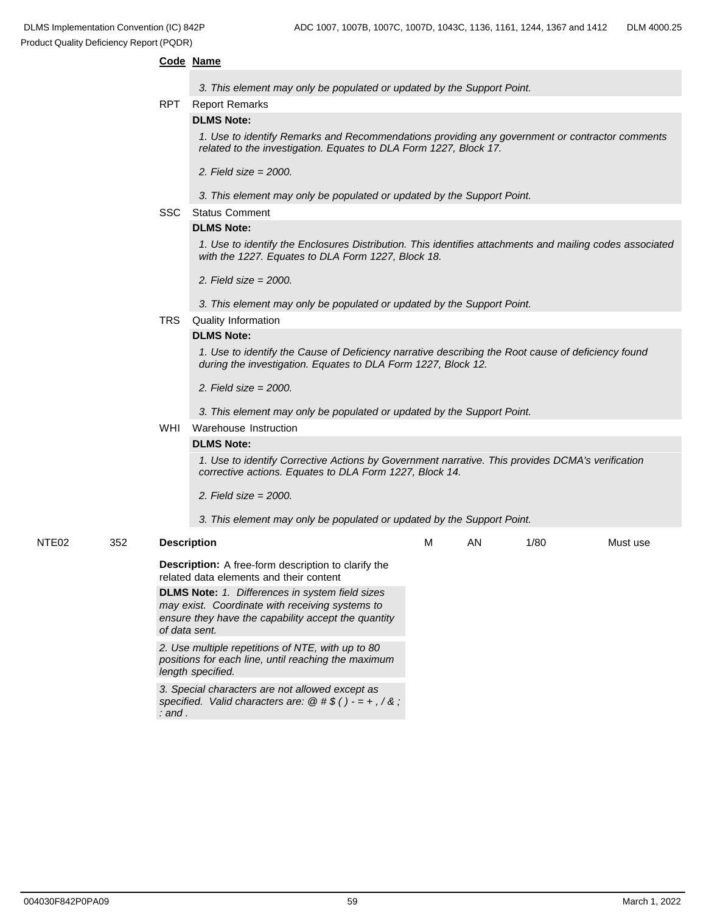#### RPT Report Remarks

## **DLMS Note:**

*1. Use to identify Remarks and Recommendations providing any government or contractor comments related to the investigation. Equates to DLA Form 1227, Block 17.*

*2. Field size = 2000.*

*3. This element may only be populated or updated by the Support Point.*

#### SSC Status Comment

#### **DLMS Note:**

*1. Use to identify the Enclosures Distribution. This identifies attachments and mailing codes associated with the 1227. Equates to DLA Form 1227, Block 18.*

*2. Field size = 2000.*

*3. This element may only be populated or updated by the Support Point.*

## TRS Quality Information

## **DLMS Note:**

*1. Use to identify the Cause of Deficiency narrative describing the Root cause of deficiency found during the investigation. Equates to DLA Form 1227, Block 12.*

*2. Field size = 2000.*

*3. This element may only be populated or updated by the Support Point.*

#### WHI Warehouse Instruction

## **DLMS Note:**

*1. Use to identify Corrective Actions by Government narrative. This provides DCMA's verification corrective actions. Equates to DLA Form 1227, Block 14.*

*2. Field size = 2000.*

*3. This element may only be populated or updated by the Support Point.*

#### NTE02 352 **Description**

M AN 1/80 Must use

**Description:** A free-form description to clarify the related data elements and their content

**DLMS Note:** *1. Differences in system field sizes may exist. Coordinate with receiving systems to ensure they have the capability accept the quantity of data sent.*

*2. Use multiple repetitions of NTE, with up to 80 positions for each line, until reaching the maximum length specified.*

*3. Special characters are not allowed except as specified. Valid characters are: @ # \$ ( ) - = + , / & ; : and .*